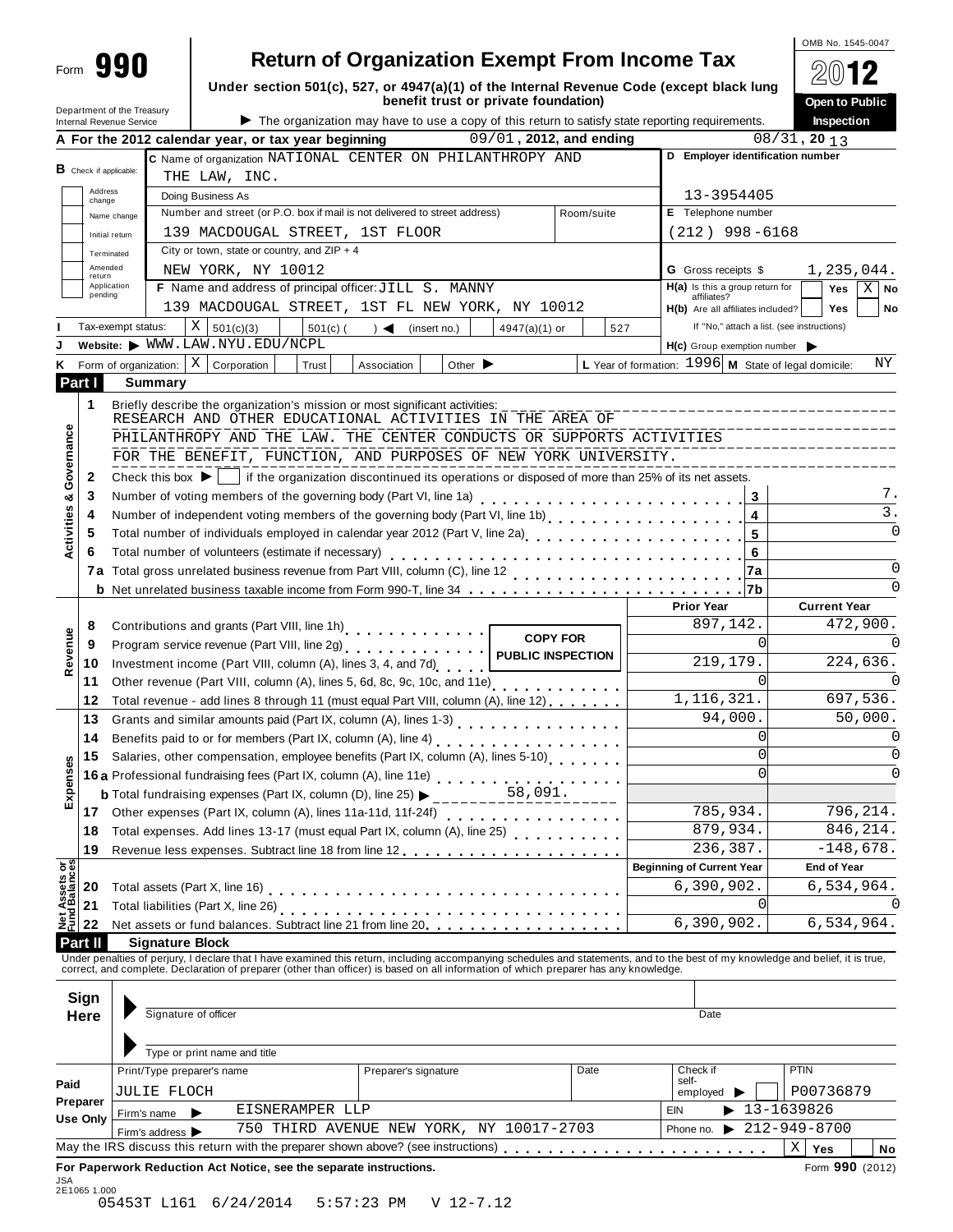|                                                                                 |                                                        |                                                                                          |                                                                                                                                                                                                                                                                                                                          |                                      |            |                                                                 | OMB No. 1545-0047                                        |                  |
|---------------------------------------------------------------------------------|--------------------------------------------------------|------------------------------------------------------------------------------------------|--------------------------------------------------------------------------------------------------------------------------------------------------------------------------------------------------------------------------------------------------------------------------------------------------------------------------|--------------------------------------|------------|-----------------------------------------------------------------|----------------------------------------------------------|------------------|
| Form 990                                                                        |                                                        |                                                                                          | <b>Return of Organization Exempt From Income Tax</b>                                                                                                                                                                                                                                                                     |                                      |            |                                                                 | 2012                                                     |                  |
|                                                                                 |                                                        |                                                                                          | Under section 501(c), 527, or 4947(a)(1) of the Internal Revenue Code (except black lung                                                                                                                                                                                                                                 | benefit trust or private foundation) |            |                                                                 | Open to Public                                           |                  |
|                                                                                 | Department of the Treasury<br>Internal Revenue Service |                                                                                          | The organization may have to use a copy of this return to satisfy state reporting requirements.                                                                                                                                                                                                                          |                                      |            |                                                                 | Inspection                                               |                  |
|                                                                                 |                                                        | A For the 2012 calendar year, or tax year beginning                                      |                                                                                                                                                                                                                                                                                                                          | 09/01, 2012, and ending              |            |                                                                 | $08/31$ , 20 13                                          |                  |
|                                                                                 |                                                        |                                                                                          | C Name of organization NATIONAL CENTER ON PHILANTHROPY AND                                                                                                                                                                                                                                                               |                                      |            | D Employer identification number                                |                                                          |                  |
| <b>B</b> Check if applicable:                                                   |                                                        | THE LAW, INC.                                                                            |                                                                                                                                                                                                                                                                                                                          |                                      |            |                                                                 |                                                          |                  |
| Address<br>change                                                               |                                                        | Doing Business As                                                                        |                                                                                                                                                                                                                                                                                                                          |                                      |            | 13-3954405                                                      |                                                          |                  |
|                                                                                 | Name change                                            |                                                                                          | Number and street (or P.O. box if mail is not delivered to street address)                                                                                                                                                                                                                                               |                                      | Room/suite | E Telephone number                                              |                                                          |                  |
| Initial return                                                                  |                                                        | 139 MACDOUGAL STREET, 1ST FLOOR                                                          |                                                                                                                                                                                                                                                                                                                          |                                      |            | $(212)$ 998-6168                                                |                                                          |                  |
| Terminated                                                                      |                                                        | City or town, state or country, and $ZIP + 4$                                            |                                                                                                                                                                                                                                                                                                                          |                                      |            |                                                                 |                                                          |                  |
| Amended<br>return<br>Application                                                |                                                        | NEW YORK, NY 10012                                                                       | F Name and address of principal officer: JILL S. MANNY                                                                                                                                                                                                                                                                   |                                      |            | <b>G</b> Gross receipts \$<br>$H(a)$ is this a group return for | 1,235,044.                                               |                  |
| pending                                                                         |                                                        |                                                                                          | 139 MACDOUGAL STREET, 1ST FL NEW YORK, NY 10012                                                                                                                                                                                                                                                                          |                                      |            | affiliates?                                                     | Yes                                                      | Χ<br>No          |
|                                                                                 | $X \vert$<br>Tax-exempt status:                        |                                                                                          |                                                                                                                                                                                                                                                                                                                          |                                      |            | H(b) Are all affiliates included?                               | <b>Yes</b><br>If "No," attach a list. (see instructions) | No               |
|                                                                                 |                                                        | $501(c)$ (<br>501(c)(3)<br>Website: WWW.LAW.NYU.EDU/NCPL                                 | $\rightarrow$ $\blacktriangleleft$<br>(insert no.)                                                                                                                                                                                                                                                                       | $4947(a)(1)$ or                      | 527        | $H(c)$ Group exemption number $\blacktriangleright$             |                                                          |                  |
|                                                                                 | Form of organization: $ X $                            | Corporation<br>Trust                                                                     | Association                                                                                                                                                                                                                                                                                                              | Other $\blacktriangleright$          |            | L Year of formation: $1996$ M State of legal domicile:          |                                                          | ΝY               |
| Part I                                                                          | <b>Summary</b>                                         |                                                                                          |                                                                                                                                                                                                                                                                                                                          |                                      |            |                                                                 |                                                          |                  |
| 1                                                                               |                                                        |                                                                                          |                                                                                                                                                                                                                                                                                                                          |                                      |            |                                                                 |                                                          |                  |
|                                                                                 |                                                        |                                                                                          | RESEARCH AND OTHER EDUCATIONAL ACTIVITIES IN THE AREA OF                                                                                                                                                                                                                                                                 |                                      |            |                                                                 |                                                          |                  |
|                                                                                 |                                                        |                                                                                          | PHILANTHROPY AND THE LAW. THE CENTER CONDUCTS OR SUPPORTS ACTIVITIES                                                                                                                                                                                                                                                     |                                      |            |                                                                 |                                                          |                  |
|                                                                                 |                                                        |                                                                                          | FOR THE BENEFIT, FUNCTION, AND PURPOSES OF NEW YORK UNIVERSITY.                                                                                                                                                                                                                                                          |                                      |            |                                                                 |                                                          |                  |
| 2                                                                               | Check this box $\blacktriangleright$                   |                                                                                          | if the organization discontinued its operations or disposed of more than 25% of its net assets.                                                                                                                                                                                                                          |                                      |            |                                                                 |                                                          |                  |
| Governance<br>3<br>ಯ                                                            |                                                        |                                                                                          |                                                                                                                                                                                                                                                                                                                          |                                      |            | 3                                                               |                                                          | 7.               |
| 4                                                                               |                                                        |                                                                                          | Number of independent voting members of the governing body (Part VI, line 1b)<br>Number of independent voting members of the governing body (Part VI, line 1b)                                                                                                                                                           |                                      |            | 4                                                               |                                                          | $\overline{3}$ . |
| 5                                                                               |                                                        |                                                                                          | Total number of individuals employed in calendar year 2012 (Part V, line 2a)<br>The 20 mate of the 20 mate of the 20 mate of the 20 mate of the 20 mate of the 20 mate of the 20 mate of the 2                                                                                                                           |                                      |            | 5                                                               |                                                          | $\Omega$         |
| 6                                                                               |                                                        |                                                                                          |                                                                                                                                                                                                                                                                                                                          |                                      |            | 6                                                               |                                                          |                  |
| 7a                                                                              |                                                        |                                                                                          |                                                                                                                                                                                                                                                                                                                          |                                      |            | 7a                                                              |                                                          | $\Omega$         |
|                                                                                 |                                                        |                                                                                          |                                                                                                                                                                                                                                                                                                                          |                                      |            |                                                                 |                                                          | O                |
|                                                                                 |                                                        |                                                                                          |                                                                                                                                                                                                                                                                                                                          |                                      |            | <b>Prior Year</b><br>897,142.                                   | <b>Current Year</b>                                      | 472,900.         |
| 8<br>9                                                                          |                                                        |                                                                                          | Contributions and grants (Part VIII, line 1h)<br>                                                                                                                                                                                                                                                                        | <b>COPY FOR</b>                      |            | $\Omega$                                                        |                                                          | O                |
| Revenue<br>10                                                                   |                                                        |                                                                                          | Program service revenue (Part VIII, line 2g)<br>Investment income (Part VIII, column (A), lines 3, 4, and 7d)                                                                                                                                                                                                            | <b>PUBLIC INSPECTION</b>             |            | 219,179.                                                        |                                                          | 224,636.         |
| 11                                                                              |                                                        |                                                                                          |                                                                                                                                                                                                                                                                                                                          |                                      |            | $\Omega$                                                        |                                                          |                  |
| 12                                                                              |                                                        |                                                                                          | Total revenue - add lines 8 through 11 (must equal Part VIII, column (A), line 12)                                                                                                                                                                                                                                       |                                      |            | 1,116,321.                                                      |                                                          | 697,536.         |
| 13                                                                              |                                                        | Grants and similar amounts paid (Part IX, column (A), lines 1-3)                         |                                                                                                                                                                                                                                                                                                                          |                                      |            | 94,000.                                                         |                                                          | 50,000           |
| 14                                                                              |                                                        | Benefits paid to or for members (Part IX, column (A), line 4)                            |                                                                                                                                                                                                                                                                                                                          |                                      |            | $\mathbf 0$                                                     |                                                          | 0                |
| 15                                                                              |                                                        |                                                                                          | Salaries, other compensation, employee benefits (Part IX, column (A), lines 5-10)                                                                                                                                                                                                                                        |                                      |            | $\Omega$                                                        |                                                          | O                |
|                                                                                 |                                                        |                                                                                          | 16 a Professional fundraising fees (Part IX, column (A), line 11e)<br>16 a Professional fundraising fees (Part IX, column (A), line 11e)                                                                                                                                                                                 |                                      |            | $\Omega$                                                        |                                                          |                  |
| Expenses                                                                        |                                                        | <b>b</b> Total fundraising expenses (Part IX, column (D), line 25) $\blacktriangleright$ |                                                                                                                                                                                                                                                                                                                          | 58,091.                              |            |                                                                 |                                                          |                  |
| 17                                                                              |                                                        |                                                                                          | Other expenses (Part IX, column (A), lines 11a-11d, 11f-24f)<br>                                                                                                                                                                                                                                                         |                                      |            | 785,934.                                                        |                                                          | 796,214.         |
| 18                                                                              |                                                        |                                                                                          |                                                                                                                                                                                                                                                                                                                          |                                      |            | 879,934.                                                        |                                                          | 846, 214.        |
| 19                                                                              |                                                        |                                                                                          | Revenue less expenses. Subtract line 18 from line 12 [11] [21] [21] [21] Revenue less expenses. Subtract line 18 from line 12                                                                                                                                                                                            |                                      |            | 236,387.                                                        |                                                          | $-148,678.$      |
|                                                                                 |                                                        |                                                                                          |                                                                                                                                                                                                                                                                                                                          |                                      |            | <b>Beginning of Current Year</b>                                | <b>End of Year</b>                                       |                  |
|                                                                                 |                                                        |                                                                                          |                                                                                                                                                                                                                                                                                                                          |                                      |            | 6,390,902.<br>0                                                 | 6,534,964.                                               |                  |
| 20                                                                              |                                                        |                                                                                          |                                                                                                                                                                                                                                                                                                                          |                                      |            |                                                                 |                                                          |                  |
| 21                                                                              |                                                        |                                                                                          |                                                                                                                                                                                                                                                                                                                          |                                      |            |                                                                 |                                                          |                  |
| 22                                                                              |                                                        |                                                                                          | Net assets or fund balances. Subtract line 21 from line 20.                                                                                                                                                                                                                                                              |                                      |            | 6, 390, 902.                                                    | 6,534,964.                                               |                  |
|                                                                                 | <b>Signature Block</b>                                 |                                                                                          |                                                                                                                                                                                                                                                                                                                          |                                      |            |                                                                 |                                                          |                  |
|                                                                                 |                                                        |                                                                                          | Under penalties of perjury, I declare that I have examined this return, including accompanying schedules and statements, and to the best of my knowledge and belief, it is true,<br>correct, and complete. Declaration of preparer (other than officer) is based on all information of which preparer has any knowledge. |                                      |            |                                                                 |                                                          |                  |
|                                                                                 |                                                        |                                                                                          |                                                                                                                                                                                                                                                                                                                          |                                      |            |                                                                 |                                                          |                  |
|                                                                                 | Signature of officer                                   |                                                                                          |                                                                                                                                                                                                                                                                                                                          |                                      |            | Date                                                            |                                                          |                  |
|                                                                                 |                                                        |                                                                                          |                                                                                                                                                                                                                                                                                                                          |                                      |            |                                                                 |                                                          |                  |
|                                                                                 |                                                        | Type or print name and title                                                             |                                                                                                                                                                                                                                                                                                                          |                                      |            |                                                                 |                                                          |                  |
|                                                                                 | Print/Type preparer's name                             |                                                                                          | Preparer's signature                                                                                                                                                                                                                                                                                                     |                                      | Date       | Check if                                                        | <b>PTIN</b>                                              |                  |
|                                                                                 | JULIE FLOCH                                            |                                                                                          |                                                                                                                                                                                                                                                                                                                          |                                      |            | self-<br>employed                                               | P00736879                                                |                  |
|                                                                                 | Firm's name<br>▸                                       | EISNERAMPER LLP                                                                          |                                                                                                                                                                                                                                                                                                                          |                                      |            | <b>EIN</b>                                                      | 13-1639826                                               |                  |
| Net Assets or<br><b>Part II</b><br>Sign<br>Here<br>Paid<br>Preparer<br>Use Only | Firm's address >                                       |                                                                                          | 750 THIRD AVENUE NEW YORK, NY 10017-2703                                                                                                                                                                                                                                                                                 |                                      |            | Phone no.<br>$\blacktriangleright$                              | 212-949-8700<br>X                                        |                  |

| JSA<br>2E1065 1.000 |                                            |  |
|---------------------|--------------------------------------------|--|
|                     | 05453T L161 6/24/2014 5:57:23 PM V 12-7.12 |  |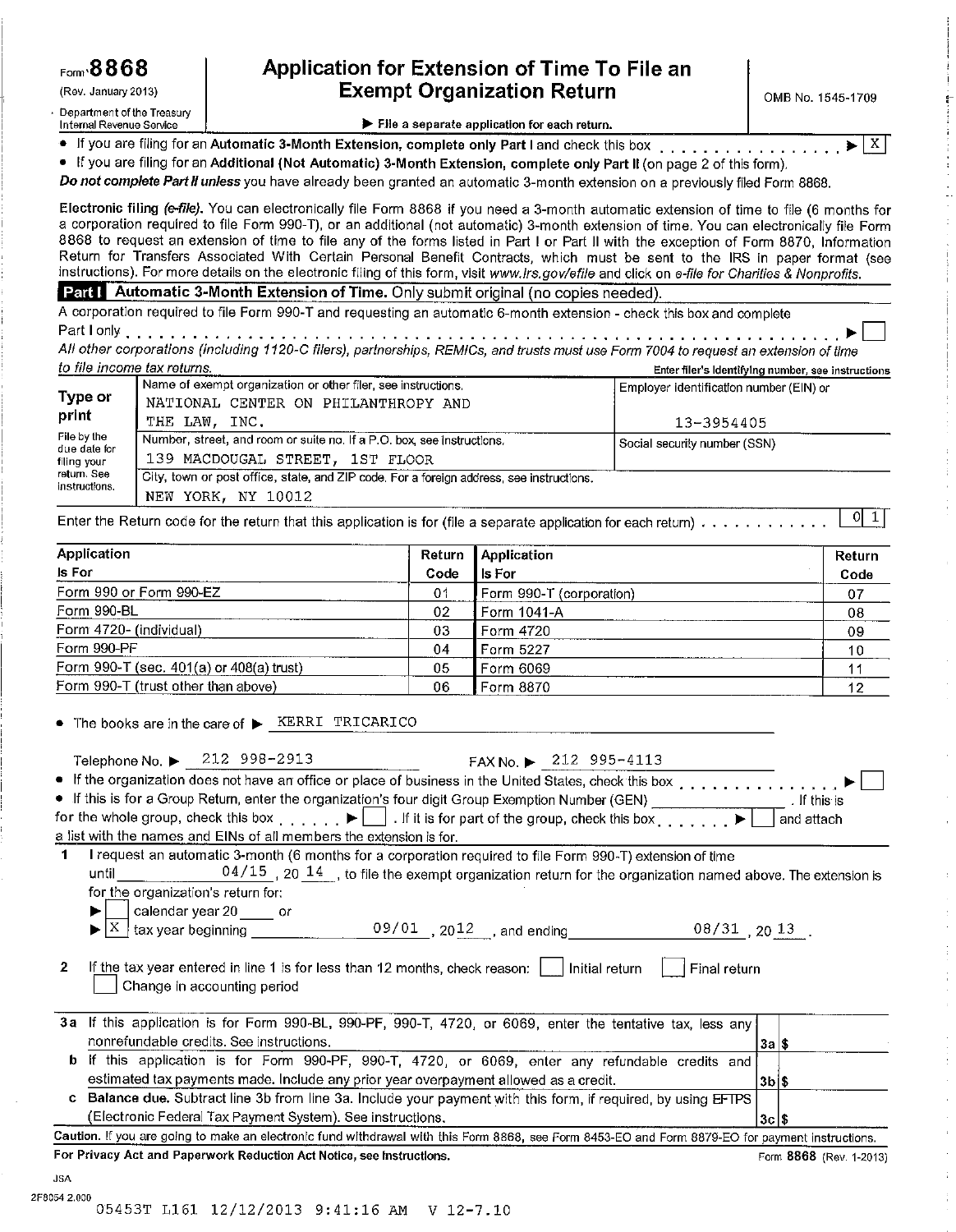(Rev. January 2013)

Department of the Treasury

Internal Revenue Service

## Application for Extension of Time To File an **Exempt Organization Return**

 $X$ 

#### File a separate application for each return.

• If you are filing for an Automatic 3-Month Extension, complete only Part I and check this box . . . . . . . . . . . .

• If you are filing for an Additional (Not Automatic) 3-Month Extension, complete only Part II (on page 2 of this form).

Do not complete Part II unless you have already been granted an automatic 3-month extension on a previously filed Form 8868.

Electronic filing (e-file). You can electronically file Form 8868 if you need a 3-month automatic extension of time to file (6 months for a corporation required to file Form 990-T), or an additional (not automatic) 3-month extension of time. You can electronically file Form 8868 to request an extension of time to file any of the forms listed in Part I or Part II with the exception of Form 8870. Information Return for Transfers Associated With Certain Personal Benefit Contracts, which must be sent to the IRS in paper format (see instructions). For more details on the electronic filing of this form, visit www.irs.gov/efile and click on e-file for Charities & Nonprofits.

#### Part | Automatic 3-Month Extension of Time. Only submit original (no copies needed).

A corporation required to file Form 990-T and requesting an automatic 6-month extension - check this box and complete 

All other corporations (including 1120-C filers), partnerships, REMICs, and trusts must use Form 7004 to request an extension of time to file income tax returns. Enter filer's identifying number, see instructions

|                                                             | Name of exempt organization or other filer, see instructions.                            | Employer identification number (EIN) or |
|-------------------------------------------------------------|------------------------------------------------------------------------------------------|-----------------------------------------|
| Type or                                                     | NATIONAL CENTER ON PHILANTHROPY AND                                                      |                                         |
| print                                                       | THE LAW. INC.                                                                            | 13-3954405                              |
| File by the                                                 | Number, street, and room or suite no. If a P.O. box, see instructions.                   | Social security number (SSN)            |
| due date for<br>filing your<br>return. See<br>instructions. | 139 MACDOUGAL STREET. 1ST FLOOR                                                          |                                         |
|                                                             | City, town or post office, state, and ZIP code. For a foreign address, see instructions. |                                         |
|                                                             | NEW YORK, NY 10012                                                                       |                                         |

 $|0|1|$ Enter the Return code for the return that this application is for (file a separate application for each return) . . . . . . . . . . . .

| <b>Application</b>                       |                | Return   Application     | Return |
|------------------------------------------|----------------|--------------------------|--------|
| Is For                                   | Code           | <b>Is For</b>            | Code   |
| Form 990 or Form 990-EZ                  | 0 <sup>1</sup> | Form 990-T (corporation) | 07     |
| Form 990-BL                              | 02             | Form 1041-A              | 08     |
| Form 4720- (individual)                  | 03             | Form 4720                | 09     |
| Form 990-PF                              | 04             | Form 5227                | 10     |
| Form 990-T (sec. 401(a) or 408(a) trust) | 05             | Form 6069                |        |
| Form 990-T (trust other than above)      | 06             | Form 8870                | 12     |

 $\bullet$  The books are in the care of  $\blacktriangleright$  KERRI TRICARICO

|              | Telephone No. $\triangleright$ 212 998-2913<br>FAX No. $\triangleright$ 212 995-4113                                                                            |          |                         |  |
|--------------|-----------------------------------------------------------------------------------------------------------------------------------------------------------------|----------|-------------------------|--|
|              | • If the organization does not have an office or place of business in the United States, check this box                                                         |          |                         |  |
|              | • If this is for a Group Return, enter the organization's four digit Group Exemption Number (GEN)                                                               |          | . If this is            |  |
|              | for the whole group, check this box enteriation $\blacktriangleright$ $\Box$ . If it is for part of the group, check this box enteriation $\blacktriangleright$ |          | and attach              |  |
|              | a list with the names and EINs of all members the extension is for.                                                                                             |          |                         |  |
| 1.           | I request an automatic 3-month (6 months for a corporation required to file Form 990-T) extension of time                                                       |          |                         |  |
|              | $04/15$ , 20 $14$ , to file the exempt organization return for the organization named above. The extension is<br>until                                          |          |                         |  |
|              | for the organization's return for:                                                                                                                              |          |                         |  |
|              | calendar year 20 _____ or                                                                                                                                       |          |                         |  |
|              |                                                                                                                                                                 |          |                         |  |
| $\mathbf{2}$ | If the tax year entered in line 1 is for less than 12 months, check reason: $\vert$   Initial return<br>Final return<br>Change in accounting period             |          |                         |  |
|              | 3a If this application is for Form 990-BL, 990-PF, 990-T, 4720, or 6069, enter the tentative tax, less any                                                      |          |                         |  |
|              | nonrefundable credits. See instructions.                                                                                                                        | 3a S     |                         |  |
| b            | If this application is for Form 990-PF, 990-T, 4720, or 6069, enter any refundable credits and                                                                  |          |                         |  |
|              | estimated tax payments made. Include any prior year overpayment allowed as a credit.                                                                            | 3b \$    |                         |  |
| C.           | Balance due. Subtract line 3b from line 3a. Include your payment with this form, if required, by using EFTPS                                                    |          |                         |  |
|              | (Electronic Federal Tax Payment System). See instructions.                                                                                                      | $3c$ $s$ |                         |  |
|              | Caution. If you are going to make an electronic fund withdrawal with this Form 8868, see Form 8453-EO and Form 8879-EO for payment instructions.                |          |                         |  |
|              | For Privacy Act and Paperwork Reduction Act Notice, see Instructions.                                                                                           |          | Form 8868 (Rev. 1-2013) |  |
| <b>ICA</b>   |                                                                                                                                                                 |          |                         |  |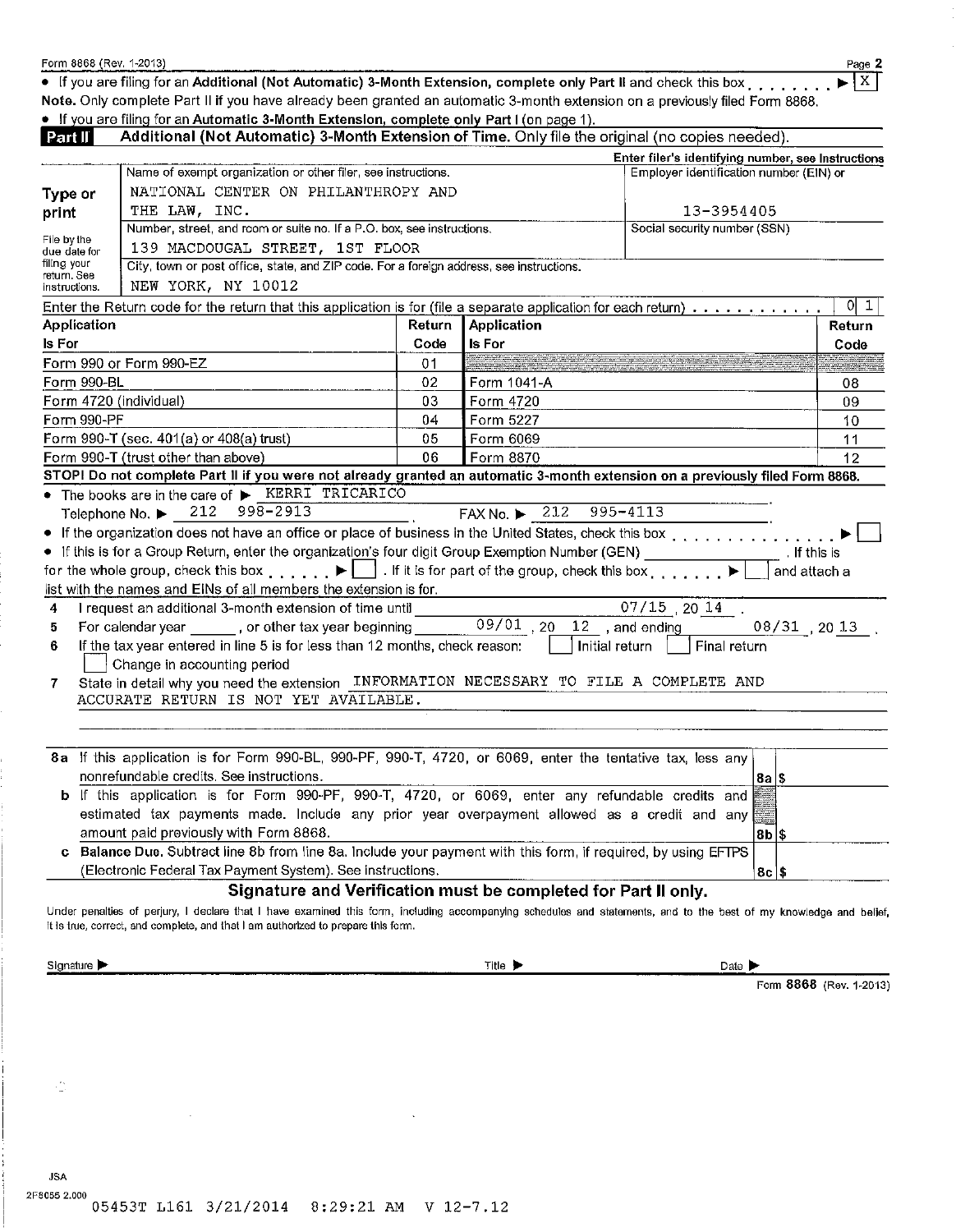|                              |                                                                                                                                                                                                                                                                                                                                                                                                                                                                                                                                                                                                                                                                                                                                                                                                                           |        |               | Additional (Not Automatic) 3-Month Extension of Time. Only file the original (no copies needed).<br>Enter filer's identifying number, see Instructions |              |
|------------------------------|---------------------------------------------------------------------------------------------------------------------------------------------------------------------------------------------------------------------------------------------------------------------------------------------------------------------------------------------------------------------------------------------------------------------------------------------------------------------------------------------------------------------------------------------------------------------------------------------------------------------------------------------------------------------------------------------------------------------------------------------------------------------------------------------------------------------------|--------|---------------|--------------------------------------------------------------------------------------------------------------------------------------------------------|--------------|
|                              | Name of exempt organization or other filer, see instructions.                                                                                                                                                                                                                                                                                                                                                                                                                                                                                                                                                                                                                                                                                                                                                             |        |               | Employer identification number (EIN) or                                                                                                                |              |
| Type or                      | NATIONAL CENTER ON PHILANTHROPY AND                                                                                                                                                                                                                                                                                                                                                                                                                                                                                                                                                                                                                                                                                                                                                                                       |        |               |                                                                                                                                                        |              |
| print                        | THE LAW, INC.                                                                                                                                                                                                                                                                                                                                                                                                                                                                                                                                                                                                                                                                                                                                                                                                             |        |               | 13-3954405                                                                                                                                             |              |
|                              | Number, street, and room or suite no. If a P.O. box, see instructions.                                                                                                                                                                                                                                                                                                                                                                                                                                                                                                                                                                                                                                                                                                                                                    |        |               | Social security number (SSN)                                                                                                                           |              |
| File by the                  | 139 MACDOUGAL STREET, 1ST FLOOR                                                                                                                                                                                                                                                                                                                                                                                                                                                                                                                                                                                                                                                                                                                                                                                           |        |               |                                                                                                                                                        |              |
| due date for<br>filing your  | City, town or post office, state, and ZIP code. For a foreign address, see instructions.                                                                                                                                                                                                                                                                                                                                                                                                                                                                                                                                                                                                                                                                                                                                  |        |               |                                                                                                                                                        |              |
| return. See<br>instructions. | NEW YORK, NY 10012                                                                                                                                                                                                                                                                                                                                                                                                                                                                                                                                                                                                                                                                                                                                                                                                        |        |               |                                                                                                                                                        |              |
|                              | Enter the Return code for the return that this application is for (file a separate application for each return) $\ldots \ldots \ldots$                                                                                                                                                                                                                                                                                                                                                                                                                                                                                                                                                                                                                                                                                    |        |               |                                                                                                                                                        | $0\vert 1$   |
| Application                  |                                                                                                                                                                                                                                                                                                                                                                                                                                                                                                                                                                                                                                                                                                                                                                                                                           | Return | Application   |                                                                                                                                                        | Return       |
| Is For                       |                                                                                                                                                                                                                                                                                                                                                                                                                                                                                                                                                                                                                                                                                                                                                                                                                           | Code   | <b>Is For</b> |                                                                                                                                                        | Code         |
|                              | Form 990 or Form 990-EZ                                                                                                                                                                                                                                                                                                                                                                                                                                                                                                                                                                                                                                                                                                                                                                                                   | 01     |               |                                                                                                                                                        |              |
| Form 990-BL                  |                                                                                                                                                                                                                                                                                                                                                                                                                                                                                                                                                                                                                                                                                                                                                                                                                           | 02     | Form 1041-A   |                                                                                                                                                        | 08           |
|                              | Form 4720 (individual)                                                                                                                                                                                                                                                                                                                                                                                                                                                                                                                                                                                                                                                                                                                                                                                                    | 03     | Form 4720     |                                                                                                                                                        | 09           |
| Form 990-PF                  |                                                                                                                                                                                                                                                                                                                                                                                                                                                                                                                                                                                                                                                                                                                                                                                                                           | 04     | Form 5227     |                                                                                                                                                        | 10           |
|                              | Form 990-T (sec. 401(a) or 408(a) trust)                                                                                                                                                                                                                                                                                                                                                                                                                                                                                                                                                                                                                                                                                                                                                                                  | 05     | Form 6069     |                                                                                                                                                        | 11           |
|                              | Form 990-T (trust other than above)                                                                                                                                                                                                                                                                                                                                                                                                                                                                                                                                                                                                                                                                                                                                                                                       | 06     | Form 8870     |                                                                                                                                                        | 12           |
|                              | STOPI Do not complete Part II if you were not already granted an automatic 3-month extension on a previously filed Form 8868.                                                                                                                                                                                                                                                                                                                                                                                                                                                                                                                                                                                                                                                                                             |        |               |                                                                                                                                                        |              |
|                              | • If the organization does not have an office or place of business in the United States, check this box<br>• If this is for a Group Return, enter the organization's four digit Group Exemption Number (GEN) ___________________. If this is<br>for the whole group, check this box $\blacktriangleright$ $\Box$ . If it is for part of the group, check this box $\blacktriangleright$                                                                                                                                                                                                                                                                                                                                                                                                                                   |        |               |                                                                                                                                                        | and attach a |
| 4<br>5<br>6<br>7.            | list with the names and EINs of all members the extension is for.<br>I request an additional 3-month extension of time until _____<br>For calendar year _______, or other tax year beginning ________09/01, 20, 12, and ending<br>If the tax year entered in line 5 is for less than 12 months, check reason:<br>Change in accounting period<br>State in detail why you need the extension INFORMATION NECESSARY TO FILE A COMPLETE AND<br>ACCURATE RETURN IS NOT YET AVAILABLE.                                                                                                                                                                                                                                                                                                                                          |        |               | $\overline{07/15}$ , 20 $\overline{14}$ .<br>$08/31$ , $2013$ .<br>Initial return  <br>Final return                                                    |              |
| C                            | 8a If this application is for Form 990-BL, 990-PF, 990-T, 4720, or 6069, enter the tentative tax, less any<br>nonrefundable credits. See instructions.<br>b If this application is for Form 990-PF, 990-T, 4720, or 6069, enter any refundable credits and<br>estimated tax payments made. Include any prior year overpayment allowed as a credit and any<br>amount paid previously with Form 8868.<br>Balance Due. Subtract line 8b from line 8a. Include your payment with this form, if required, by using EFTPS<br>(Electronic Federal Tax Payment System). See instructions.<br>Signature and Verification must be completed for Part II only.<br>Under penalties of perjury, I declare that I have examined this form, including accompanying schedules and statements, and to the best of my knowledge and belief, |        |               | 8a  \$<br> 8b \$<br>$8c$ \$                                                                                                                            |              |

• If you are filing for an Additional (Not Automatic) 3-Month Extension, complete only Part II and check this box......

Note. Only complete Part II if you have already been granted an automatic 3-month extension on a previously filed Form 8868.

Form 8868 (Rev. 1-2013)

Page 2

 $\blacktriangleright$   $\vert$  X  $\vert$ 

 $\sim$ 

 $\frac{1}{2}$ 

**JSA** 

Form 8868 (Rev. 1-2013)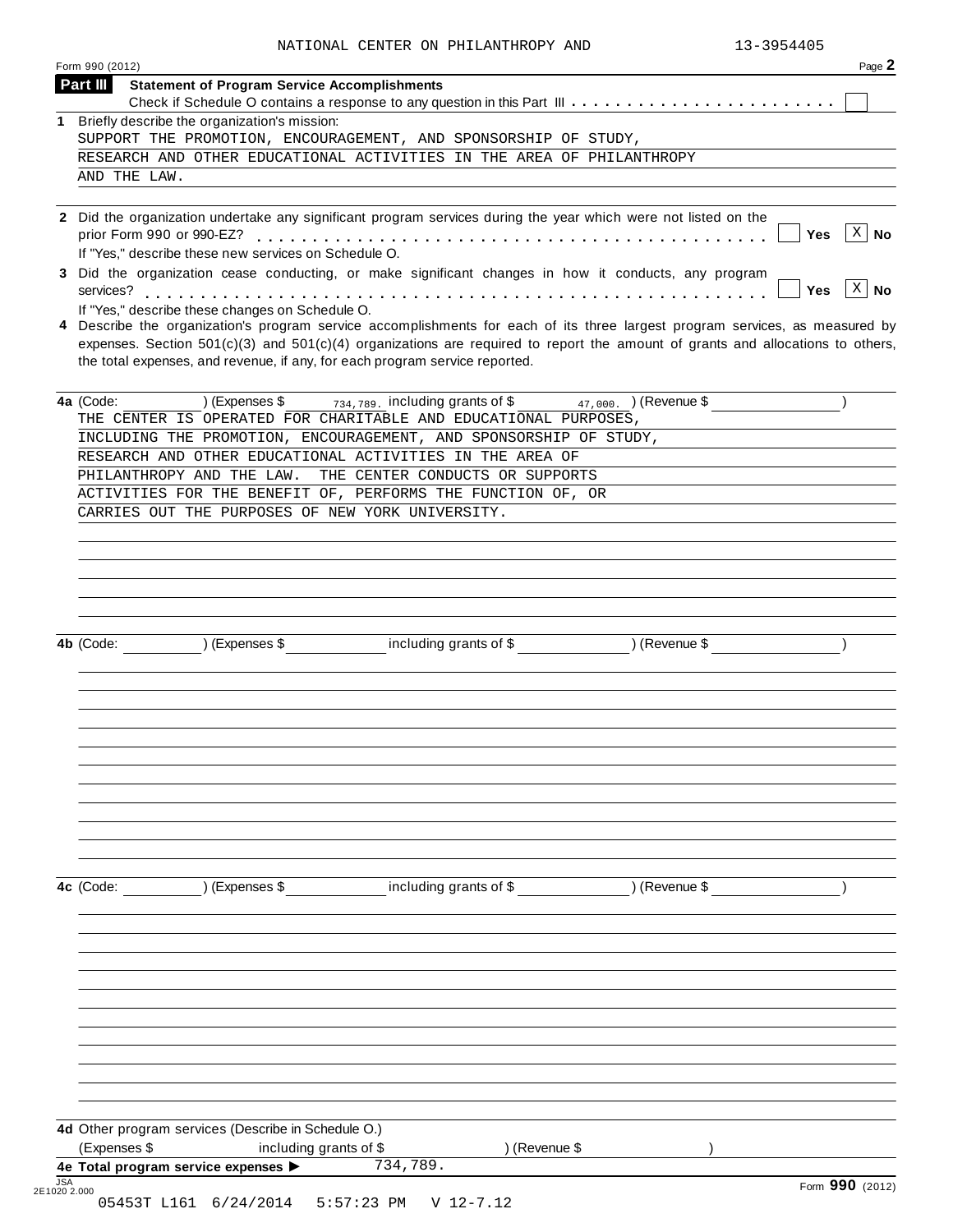| Part III     |                                                               |                                                                                                                                                                                                                   |                                      |                                                                             |
|--------------|---------------------------------------------------------------|-------------------------------------------------------------------------------------------------------------------------------------------------------------------------------------------------------------------|--------------------------------------|-----------------------------------------------------------------------------|
|              | <b>Statement of Program Service Accomplishments</b>           |                                                                                                                                                                                                                   |                                      |                                                                             |
| 1            | Briefly describe the organization's mission:                  |                                                                                                                                                                                                                   |                                      |                                                                             |
|              |                                                               | SUPPORT THE PROMOTION, ENCOURAGEMENT, AND SPONSORSHIP OF STUDY,                                                                                                                                                   |                                      |                                                                             |
|              |                                                               | RESEARCH AND OTHER EDUCATIONAL ACTIVITIES IN THE AREA OF PHILANTHROPY                                                                                                                                             |                                      |                                                                             |
| AND THE LAW. |                                                               |                                                                                                                                                                                                                   |                                      |                                                                             |
|              | If "Yes," describe these new services on Schedule O.          | 2 Did the organization undertake any significant program services during the year which were not listed on the                                                                                                    |                                      | $\left\lceil x \right\rceil$ No<br>Yes                                      |
|              |                                                               | 3 Did the organization cease conducting, or make significant changes in how it conducts, any program                                                                                                              |                                      | $\left[\begin{array}{c c} x & \mathbf{No} \end{array}\right]$<br><b>Yes</b> |
|              | If "Yes," describe these changes on Schedule O.               | 4 Describe the organization's program service accomplishments for each of its three largest program services, as measured by                                                                                      |                                      |                                                                             |
|              |                                                               | expenses. Section $501(c)(3)$ and $501(c)(4)$ organizations are required to report the amount of grants and allocations to others,<br>the total expenses, and revenue, if any, for each program service reported. |                                      |                                                                             |
| 4a (Code:    | ) (Expenses \$                                                | $734,789$ . including grants of \$<br>THE CENTER IS OPERATED FOR CHARITABLE AND EDUCATIONAL PURPOSES,                                                                                                             | $(47,000)$ (Revenue \$               |                                                                             |
|              |                                                               | INCLUDING THE PROMOTION, ENCOURAGEMENT, AND SPONSORSHIP OF STUDY,                                                                                                                                                 |                                      |                                                                             |
|              |                                                               | RESEARCH AND OTHER EDUCATIONAL ACTIVITIES IN THE AREA OF                                                                                                                                                          |                                      |                                                                             |
|              | PHILANTHROPY AND THE LAW.                                     | THE CENTER CONDUCTS OR SUPPORTS                                                                                                                                                                                   |                                      |                                                                             |
|              |                                                               | ACTIVITIES FOR THE BENEFIT OF, PERFORMS THE FUNCTION OF, OR                                                                                                                                                       |                                      |                                                                             |
|              | CARRIES OUT THE PURPOSES OF NEW YORK UNIVERSITY.              |                                                                                                                                                                                                                   |                                      |                                                                             |
|              |                                                               |                                                                                                                                                                                                                   |                                      |                                                                             |
|              |                                                               |                                                                                                                                                                                                                   |                                      |                                                                             |
|              |                                                               |                                                                                                                                                                                                                   |                                      |                                                                             |
|              |                                                               |                                                                                                                                                                                                                   |                                      |                                                                             |
|              |                                                               |                                                                                                                                                                                                                   |                                      |                                                                             |
| 4b (Code:    | $\overline{)}$ (Expenses \$                                   |                                                                                                                                                                                                                   | including grants of \$ ) (Revenue \$ |                                                                             |
|              |                                                               |                                                                                                                                                                                                                   |                                      |                                                                             |
|              |                                                               |                                                                                                                                                                                                                   |                                      |                                                                             |
|              |                                                               |                                                                                                                                                                                                                   |                                      |                                                                             |
|              |                                                               |                                                                                                                                                                                                                   |                                      |                                                                             |
|              |                                                               |                                                                                                                                                                                                                   |                                      |                                                                             |
|              |                                                               |                                                                                                                                                                                                                   |                                      |                                                                             |
|              |                                                               |                                                                                                                                                                                                                   |                                      |                                                                             |
|              |                                                               |                                                                                                                                                                                                                   |                                      |                                                                             |
|              |                                                               |                                                                                                                                                                                                                   |                                      |                                                                             |
|              |                                                               |                                                                                                                                                                                                                   |                                      |                                                                             |
|              |                                                               |                                                                                                                                                                                                                   |                                      |                                                                             |
|              |                                                               |                                                                                                                                                                                                                   |                                      |                                                                             |
|              |                                                               |                                                                                                                                                                                                                   |                                      |                                                                             |
|              |                                                               |                                                                                                                                                                                                                   |                                      |                                                                             |
|              | ) (Expenses \$                                                | including grants of \$                                                                                                                                                                                            | ) (Revenue \$                        |                                                                             |
|              |                                                               |                                                                                                                                                                                                                   |                                      |                                                                             |
|              |                                                               |                                                                                                                                                                                                                   |                                      |                                                                             |
|              |                                                               |                                                                                                                                                                                                                   |                                      |                                                                             |
|              |                                                               |                                                                                                                                                                                                                   |                                      |                                                                             |
|              |                                                               |                                                                                                                                                                                                                   |                                      |                                                                             |
|              |                                                               |                                                                                                                                                                                                                   |                                      |                                                                             |
|              |                                                               |                                                                                                                                                                                                                   |                                      |                                                                             |
|              |                                                               |                                                                                                                                                                                                                   |                                      |                                                                             |
|              |                                                               |                                                                                                                                                                                                                   |                                      |                                                                             |
| 4c (Code:    |                                                               |                                                                                                                                                                                                                   |                                      |                                                                             |
|              |                                                               |                                                                                                                                                                                                                   |                                      |                                                                             |
|              |                                                               |                                                                                                                                                                                                                   |                                      |                                                                             |
|              | 4d Other program services (Describe in Schedule O.)           |                                                                                                                                                                                                                   |                                      |                                                                             |
| (Expenses \$ | including grants of \$<br>4e Total program service expenses > | ) (Revenue \$<br>734,789.                                                                                                                                                                                         |                                      |                                                                             |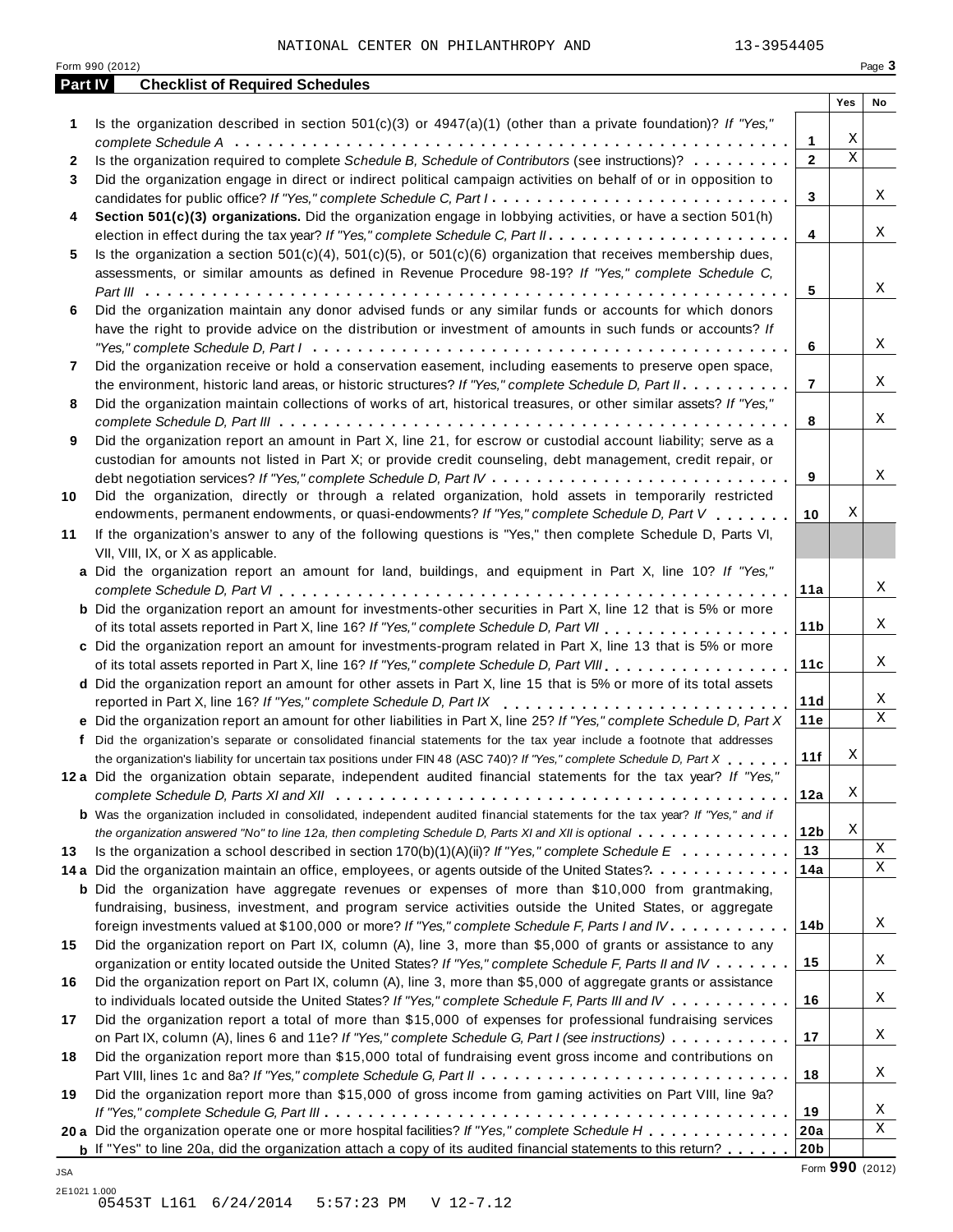|         | Form 990 (2012)                                                                                                                                                                                                                          |                 |                         | Page 3      |
|---------|------------------------------------------------------------------------------------------------------------------------------------------------------------------------------------------------------------------------------------------|-----------------|-------------------------|-------------|
| Part IV | <b>Checklist of Required Schedules</b>                                                                                                                                                                                                   |                 | Yes                     | No          |
| 1       | Is the organization described in section $501(c)(3)$ or $4947(a)(1)$ (other than a private foundation)? If "Yes,"                                                                                                                        |                 |                         |             |
|         |                                                                                                                                                                                                                                          | 1               | Χ                       |             |
| 2       | Is the organization required to complete Schedule B, Schedule of Contributors (see instructions)?                                                                                                                                        | $\overline{2}$  | $\overline{\mathbf{x}}$ |             |
| 3       | Did the organization engage in direct or indirect political campaign activities on behalf of or in opposition to                                                                                                                         |                 |                         |             |
|         | candidates for public office? If "Yes," complete Schedule C, Part I.                                                                                                                                                                     | 3               |                         | Χ           |
| 4       | Section 501(c)(3) organizations. Did the organization engage in lobbying activities, or have a section 501(h)                                                                                                                            |                 |                         |             |
|         |                                                                                                                                                                                                                                          | 4               |                         | Χ           |
| 5       | Is the organization a section $501(c)(4)$ , $501(c)(5)$ , or $501(c)(6)$ organization that receives membership dues,                                                                                                                     |                 |                         |             |
|         | assessments, or similar amounts as defined in Revenue Procedure 98-19? If "Yes," complete Schedule C,                                                                                                                                    |                 |                         |             |
|         |                                                                                                                                                                                                                                          | 5               |                         | Χ           |
| 6       | Did the organization maintain any donor advised funds or any similar funds or accounts for which donors                                                                                                                                  |                 |                         |             |
|         | have the right to provide advice on the distribution or investment of amounts in such funds or accounts? If                                                                                                                              |                 |                         |             |
|         |                                                                                                                                                                                                                                          | 6               |                         | Χ           |
| 7       | Did the organization receive or hold a conservation easement, including easements to preserve open space,                                                                                                                                |                 |                         | Χ           |
|         | the environment, historic land areas, or historic structures? If "Yes," complete Schedule D, Part II.                                                                                                                                    | $\overline{7}$  |                         |             |
| 8       | Did the organization maintain collections of works of art, historical treasures, or other similar assets? If "Yes,"                                                                                                                      | 8               |                         | Χ           |
| 9       | Did the organization report an amount in Part X, line 21, for escrow or custodial account liability; serve as a                                                                                                                          |                 |                         |             |
|         | custodian for amounts not listed in Part X; or provide credit counseling, debt management, credit repair, or                                                                                                                             |                 |                         |             |
|         |                                                                                                                                                                                                                                          | 9               |                         | Χ           |
| 10      | Did the organization, directly or through a related organization, hold assets in temporarily restricted                                                                                                                                  |                 |                         |             |
|         | endowments, permanent endowments, or quasi-endowments? If "Yes," complete Schedule D, Part V                                                                                                                                             | 10              | X                       |             |
| 11      | If the organization's answer to any of the following questions is "Yes," then complete Schedule D, Parts VI,                                                                                                                             |                 |                         |             |
|         | VII, VIII, IX, or X as applicable.                                                                                                                                                                                                       |                 |                         |             |
|         | a Did the organization report an amount for land, buildings, and equipment in Part X, line 10? If "Yes,"                                                                                                                                 |                 |                         |             |
|         |                                                                                                                                                                                                                                          | 11a             |                         | Χ           |
|         | <b>b</b> Did the organization report an amount for investments-other securities in Part X, line 12 that is 5% or more                                                                                                                    |                 |                         |             |
|         | of its total assets reported in Part X, line 16? If "Yes," complete Schedule D, Part VII                                                                                                                                                 | 11 <sub>b</sub> |                         | Χ           |
|         | c Did the organization report an amount for investments-program related in Part X, line 13 that is 5% or more                                                                                                                            |                 |                         |             |
|         | of its total assets reported in Part X, line 16? If "Yes," complete Schedule D, Part VIII                                                                                                                                                | 11c             |                         | Χ           |
|         | d Did the organization report an amount for other assets in Part X, line 15 that is 5% or more of its total assets                                                                                                                       |                 |                         |             |
|         | reported in Part X, line 16? If "Yes," complete Schedule D, Part IX                                                                                                                                                                      | 11d             |                         | Χ<br>X      |
|         | e Did the organization report an amount for other liabilities in Part X, line 25? If "Yes," complete Schedule D, Part X                                                                                                                  | 11e             |                         |             |
|         | f Did the organization's separate or consolidated financial statements for the tax year include a footnote that addresses                                                                                                                |                 | X                       |             |
|         | the organization's liability for uncertain tax positions under FIN 48 (ASC 740)? If "Yes," complete Schedule D, Part X<br>12a Did the organization obtain separate, independent audited financial statements for the tax year? If "Yes," | 11f             |                         |             |
|         |                                                                                                                                                                                                                                          | 12a             | Χ                       |             |
|         | <b>b</b> Was the organization included in consolidated, independent audited financial statements for the tax year? If "Yes," and if                                                                                                      |                 |                         |             |
|         | the organization answered "No" to line 12a, then completing Schedule D, Parts XI and XII is optional                                                                                                                                     | 12 <sub>b</sub> | Χ                       |             |
| 13      | Is the organization a school described in section 170(b)(1)(A)(ii)? If "Yes," complete Schedule $E_1, \ldots, \ldots, \ldots$                                                                                                            | 13              |                         | X           |
|         | 14 a Did the organization maintain an office, employees, or agents outside of the United States?                                                                                                                                         | 14a             |                         | $\mathbf X$ |
|         | <b>b</b> Did the organization have aggregate revenues or expenses of more than \$10,000 from grantmaking,                                                                                                                                |                 |                         |             |
|         | fundraising, business, investment, and program service activities outside the United States, or aggregate                                                                                                                                |                 |                         |             |
|         | foreign investments valued at \$100,000 or more? If "Yes," complete Schedule F, Parts I and IV                                                                                                                                           | 14b             |                         | Χ           |
| 15      | Did the organization report on Part IX, column (A), line 3, more than \$5,000 of grants or assistance to any                                                                                                                             |                 |                         |             |
|         | organization or entity located outside the United States? If "Yes," complete Schedule F, Parts II and IV                                                                                                                                 | 15              |                         | Χ           |
| 16      | Did the organization report on Part IX, column (A), line 3, more than \$5,000 of aggregate grants or assistance                                                                                                                          |                 |                         |             |
|         | to individuals located outside the United States? If "Yes," complete Schedule F, Parts III and IV $\ldots \ldots \ldots$                                                                                                                 | 16              |                         | Χ           |
| 17      | Did the organization report a total of more than \$15,000 of expenses for professional fundraising services                                                                                                                              |                 |                         |             |
|         | on Part IX, column (A), lines 6 and 11e? If "Yes," complete Schedule G, Part I (see instructions)                                                                                                                                        | 17              |                         | Χ           |
| 18      | Did the organization report more than \$15,000 total of fundraising event gross income and contributions on                                                                                                                              |                 |                         |             |
|         |                                                                                                                                                                                                                                          | 18              |                         | Χ           |
| 19      | Did the organization report more than \$15,000 of gross income from gaming activities on Part VIII, line 9a?                                                                                                                             |                 |                         |             |
|         |                                                                                                                                                                                                                                          | 19              |                         | Χ<br>Χ      |
|         | 20 a Did the organization operate one or more hospital facilities? If "Yes," complete Schedule H                                                                                                                                         | 20a             |                         |             |
|         | <b>b</b> If "Yes" to line 20a, did the organization attach a copy of its audited financial statements to this return?                                                                                                                    | 20 <sub>b</sub> | Form 990 (2012)         |             |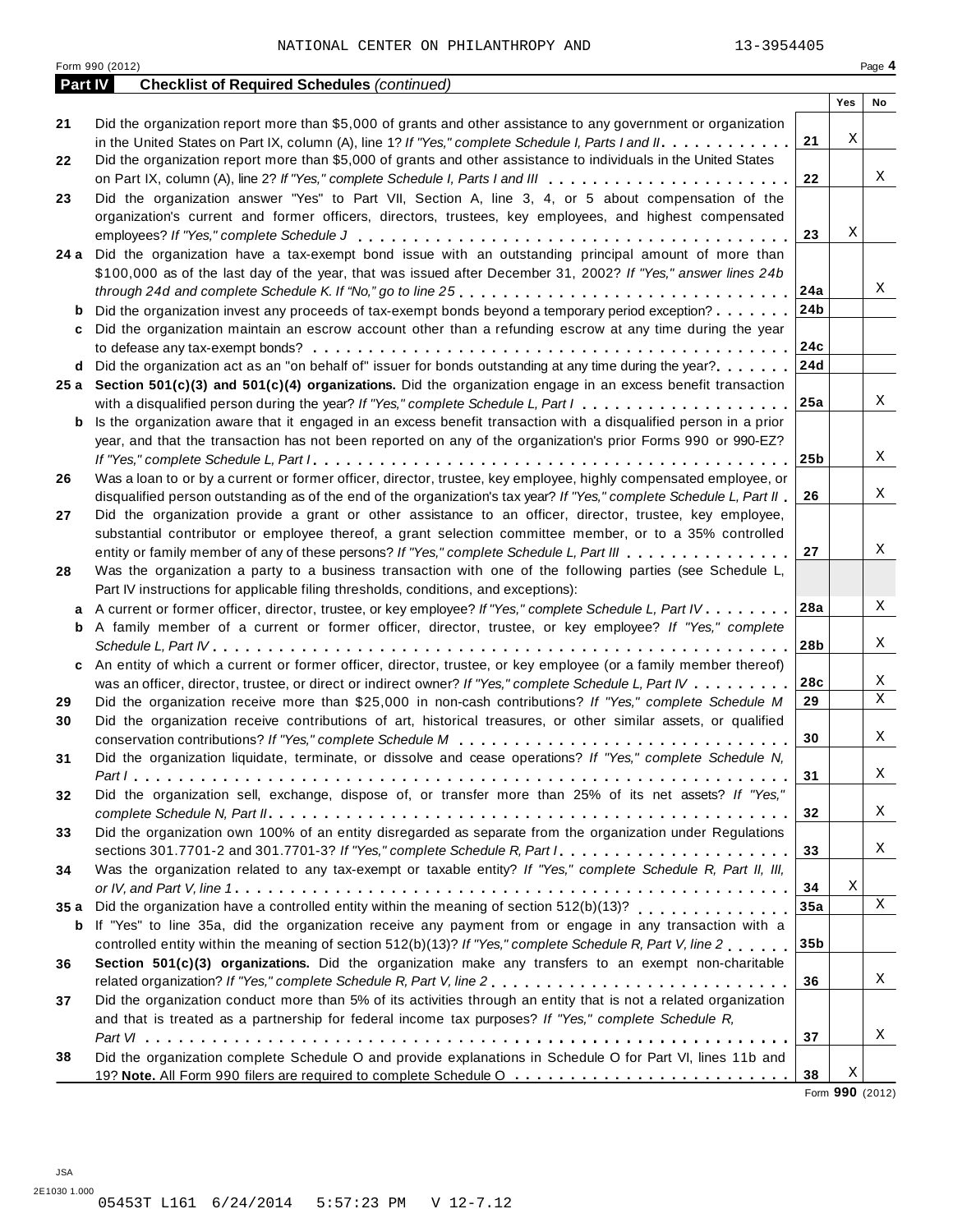|                | Form 990 (2012)                                                                                                           |                 |     | Page 4 |
|----------------|---------------------------------------------------------------------------------------------------------------------------|-----------------|-----|--------|
| <b>Part IV</b> | <b>Checklist of Required Schedules (continued)</b>                                                                        |                 |     |        |
|                |                                                                                                                           |                 | Yes | No     |
| 21             | Did the organization report more than \$5,000 of grants and other assistance to any government or organization            |                 |     |        |
|                | in the United States on Part IX, column (A), line 1? If "Yes," complete Schedule I, Parts I and II.                       | 21              | Χ   |        |
| 22             | Did the organization report more than \$5,000 of grants and other assistance to individuals in the United States          |                 |     |        |
|                |                                                                                                                           | 22              |     | Χ      |
| 23             | Did the organization answer "Yes" to Part VII, Section A, line 3, 4, or 5 about compensation of the                       |                 |     |        |
|                | organization's current and former officers, directors, trustees, key employees, and highest compensated                   |                 |     |        |
|                |                                                                                                                           | 23              | Χ   |        |
|                | 24 a Did the organization have a tax-exempt bond issue with an outstanding principal amount of more than                  |                 |     |        |
|                | \$100,000 as of the last day of the year, that was issued after December 31, 2002? If "Yes," answer lines 24b             |                 |     |        |
|                |                                                                                                                           | 24a             |     | Χ      |
|                |                                                                                                                           |                 |     |        |
| b              | Did the organization invest any proceeds of tax-exempt bonds beyond a temporary period exception?                         | 24b             |     |        |
| c              | Did the organization maintain an escrow account other than a refunding escrow at any time during the year                 |                 |     |        |
|                |                                                                                                                           | 24c             |     |        |
|                | <b>d</b> Did the organization act as an "on behalf of" issuer for bonds outstanding at any time during the year? $\ldots$ | 24d             |     |        |
|                | 25 a Section 501(c)(3) and 501(c)(4) organizations. Did the organization engage in an excess benefit transaction          |                 |     |        |
|                |                                                                                                                           | 25a             |     | Χ      |
| b              | Is the organization aware that it engaged in an excess benefit transaction with a disqualified person in a prior          |                 |     |        |
|                | year, and that the transaction has not been reported on any of the organization's prior Forms 990 or 990-EZ?              |                 |     |        |
|                |                                                                                                                           | 25 <sub>b</sub> |     | Χ      |
| 26             | Was a loan to or by a current or former officer, director, trustee, key employee, highly compensated employee, or         |                 |     |        |
|                |                                                                                                                           | 26              |     | Χ      |
|                | disqualified person outstanding as of the end of the organization's tax year? If "Yes," complete Schedule L, Part II      |                 |     |        |
| 27             | Did the organization provide a grant or other assistance to an officer, director, trustee, key employee,                  |                 |     |        |
|                | substantial contributor or employee thereof, a grant selection committee member, or to a 35% controlled                   |                 |     |        |
|                | entity or family member of any of these persons? If "Yes," complete Schedule L, Part III                                  | 27              |     | Χ      |
| 28             | Was the organization a party to a business transaction with one of the following parties (see Schedule L,                 |                 |     |        |
|                | Part IV instructions for applicable filing thresholds, conditions, and exceptions):                                       |                 |     |        |
| a              | A current or former officer, director, trustee, or key employee? If "Yes," complete Schedule L, Part IV.                  | 28a             |     | Χ      |
|                | <b>b</b> A family member of a current or former officer, director, trustee, or key employee? If "Yes," complete           |                 |     |        |
|                |                                                                                                                           | 28b             |     | Χ      |
| c              | An entity of which a current or former officer, director, trustee, or key employee (or a family member thereof)           |                 |     |        |
|                | was an officer, director, trustee, or direct or indirect owner? If "Yes," complete Schedule L, Part IV                    | 28c             |     | Χ      |
|                |                                                                                                                           | 29              |     | Χ      |
| 29             | Did the organization receive more than \$25,000 in non-cash contributions? If "Yes," complete Schedule M                  |                 |     |        |
| 30             | Did the organization receive contributions of art, historical treasures, or other similar assets, or qualified            |                 |     |        |
|                |                                                                                                                           | 30              |     | Χ      |
| 31             | Did the organization liquidate, terminate, or dissolve and cease operations? If "Yes," complete Schedule N,               |                 |     |        |
|                |                                                                                                                           | 31              |     | Χ      |
| 32             | Did the organization sell, exchange, dispose of, or transfer more than 25% of its net assets? If "Yes,"                   |                 |     |        |
|                |                                                                                                                           | 32              |     | Χ      |
| 33             | Did the organization own 100% of an entity disregarded as separate from the organization under Regulations                |                 |     |        |
|                | sections 301.7701-2 and 301.7701-3? If "Yes," complete Schedule R, Part /                                                 | 33              |     | Χ      |
| 34             | Was the organization related to any tax-exempt or taxable entity? If "Yes," complete Schedule R, Part II, III,            |                 |     |        |
|                |                                                                                                                           | 34              | Χ   |        |
|                | Did the organization have a controlled entity within the meaning of section $512(b)(13)$ ?                                | 35a             |     | X      |
| 35 a           |                                                                                                                           |                 |     |        |
| b              | If "Yes" to line 35a, did the organization receive any payment from or engage in any transaction with a                   |                 |     |        |
|                | controlled entity within the meaning of section 512(b)(13)? If "Yes," complete Schedule R, Part V, line 2                 | 35b             |     |        |
| 36             | Section 501(c)(3) organizations. Did the organization make any transfers to an exempt non-charitable                      |                 |     |        |
|                | related organization? If "Yes," complete Schedule R, Part V, line 2                                                       | 36              |     | Χ      |
| 37             | Did the organization conduct more than 5% of its activities through an entity that is not a related organization          |                 |     |        |
|                | and that is treated as a partnership for federal income tax purposes? If "Yes," complete Schedule R,                      |                 |     |        |
|                |                                                                                                                           | 37              |     | Χ      |
|                | Did the organization complete Schedule O and provide explanations in Schedule O for Part VI, lines 11b and                |                 |     |        |
| 38             |                                                                                                                           |                 | Χ   |        |
|                |                                                                                                                           | 38              |     |        |

Form **990** (2012)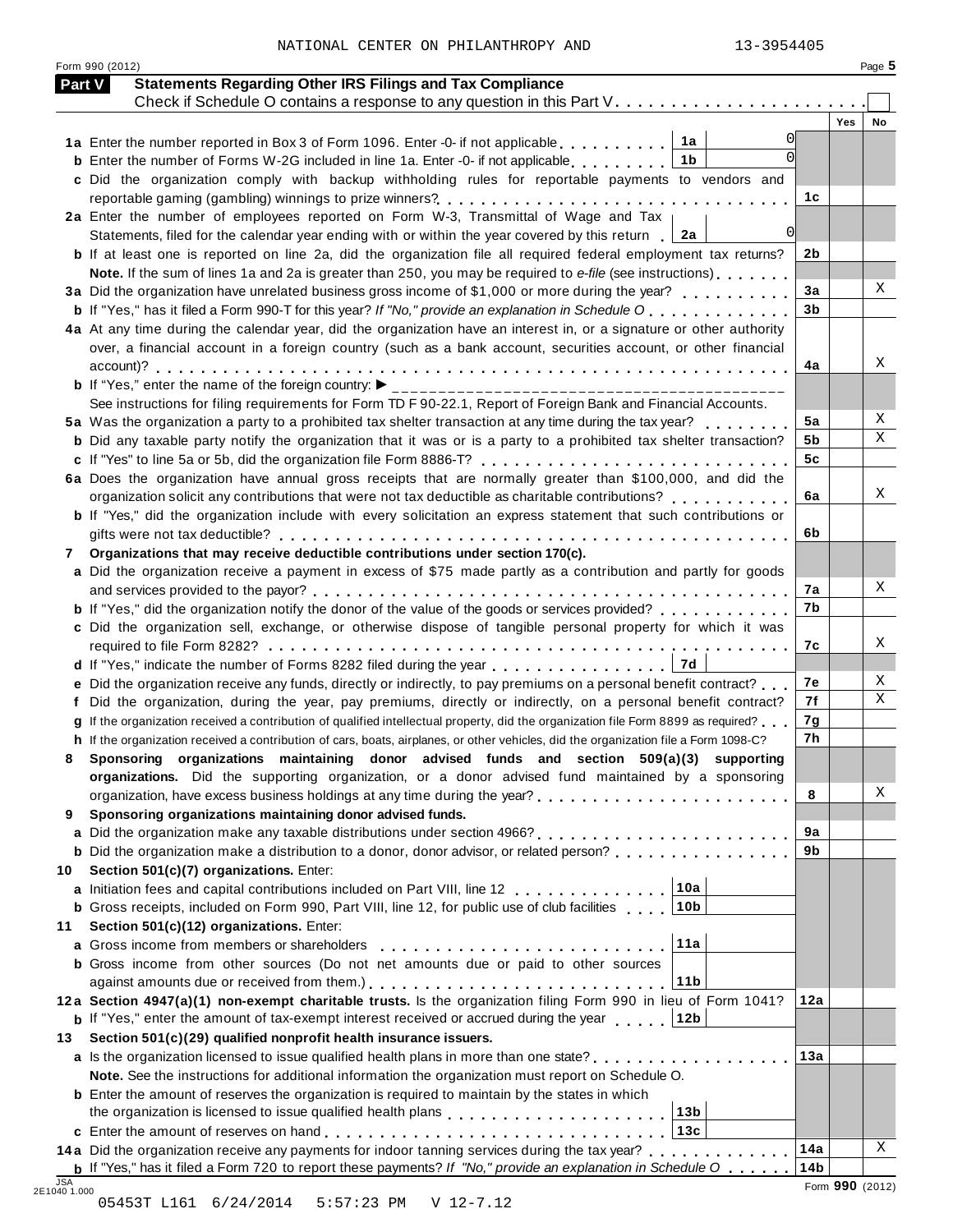|  | NATIONAL CENTER ON PHILANTHROPY AND | 13-3954405 |
|--|-------------------------------------|------------|

Form 990 (2012) Page **5**

| Part V     | <b>Statements Regarding Other IRS Filings and Tax Compliance</b><br>Check if Schedule O contains a response to any question in this Part V. |                 |                 |    |
|------------|---------------------------------------------------------------------------------------------------------------------------------------------|-----------------|-----------------|----|
|            |                                                                                                                                             |                 | <b>Yes</b>      | No |
|            | 1a<br>1a Enter the number reported in Box 3 of Form 1096. Enter -0- if not applicable                                                       |                 |                 |    |
|            | <b>b</b> Enter the number of Forms W-2G included in line 1a. Enter -0- if not applicable<br>1b                                              |                 |                 |    |
|            | c Did the organization comply with backup withholding rules for reportable payments to vendors and                                          |                 |                 |    |
|            |                                                                                                                                             | 1c              |                 |    |
|            | 2a Enter the number of employees reported on Form W-3, Transmittal of Wage and Tax                                                          |                 |                 |    |
|            | $\Omega$<br>Statements, filed for the calendar year ending with or within the year covered by this return<br>2a                             |                 |                 |    |
|            | <b>b</b> If at least one is reported on line 2a, did the organization file all required federal employment tax returns?                     | 2b              |                 |    |
|            | Note. If the sum of lines 1a and 2a is greater than 250, you may be required to e-file (see instructions)                                   |                 |                 |    |
|            | 3a Did the organization have unrelated business gross income of \$1,000 or more during the year?                                            | 3a              |                 | Χ  |
|            | <b>b</b> If "Yes," has it filed a Form 990-T for this year? If "No," provide an explanation in Schedule O                                   | 3 <sub>b</sub>  |                 |    |
|            | 4a At any time during the calendar year, did the organization have an interest in, or a signature or other authority                        |                 |                 |    |
|            | over, a financial account in a foreign country (such as a bank account, securities account, or other financial                              |                 |                 |    |
|            |                                                                                                                                             | 4a              |                 | Χ  |
|            | <b>b</b> If "Yes," enter the name of the foreign country: $\blacktriangleright$<br>___________________________________                      |                 |                 |    |
|            | See instructions for filing requirements for Form TD F 90-22.1, Report of Foreign Bank and Financial Accounts.                              |                 |                 |    |
|            | 5a Was the organization a party to a prohibited tax shelter transaction at any time during the tax year?                                    | 5a              |                 | Χ  |
|            | <b>b</b> Did any taxable party notify the organization that it was or is a party to a prohibited tax shelter transaction?                   | 5b              |                 | X  |
|            | c If "Yes" to line 5a or 5b, did the organization file Form 8886-T?                                                                         | 5c              |                 |    |
|            | 6a Does the organization have annual gross receipts that are normally greater than \$100,000, and did the                                   |                 |                 |    |
|            | organization solicit any contributions that were not tax deductible as charitable contributions?                                            | 6a              |                 | Χ  |
|            | b If "Yes," did the organization include with every solicitation an express statement that such contributions or                            |                 |                 |    |
|            |                                                                                                                                             | 6b              |                 |    |
| 7          | Organizations that may receive deductible contributions under section 170(c).                                                               |                 |                 |    |
|            | a Did the organization receive a payment in excess of \$75 made partly as a contribution and partly for goods                               |                 |                 |    |
|            |                                                                                                                                             | 7a              |                 | Χ  |
|            | <b>b</b> If "Yes," did the organization notify the donor of the value of the goods or services provided?                                    | 7b              |                 |    |
|            | c Did the organization sell, exchange, or otherwise dispose of tangible personal property for which it was                                  |                 |                 |    |
|            |                                                                                                                                             | 7с              |                 | Χ  |
|            | 7d<br>d If "Yes," indicate the number of Forms 8282 filed during the year                                                                   |                 |                 | Χ  |
|            | e Did the organization receive any funds, directly or indirectly, to pay premiums on a personal benefit contract?                           | 7е              |                 | X  |
|            | Did the organization, during the year, pay premiums, directly or indirectly, on a personal benefit contract?                                | 7f              |                 |    |
|            | If the organization received a contribution of qualified intellectual property, did the organization file Form 8899 as required?            | 7g              |                 |    |
|            | h If the organization received a contribution of cars, boats, airplanes, or other vehicles, did the organization file a Form 1098-C?        | 7h              |                 |    |
| 8          | Sponsoring organizations maintaining donor advised funds and section 509(a)(3) supporting                                                   |                 |                 |    |
|            | organizations. Did the supporting organization, or a donor advised fund maintained by a sponsoring                                          |                 |                 | Χ  |
|            |                                                                                                                                             | 8               |                 |    |
| 9          | Sponsoring organizations maintaining donor advised funds.                                                                                   | 9a              |                 |    |
| a          | <b>b</b> Did the organization make a distribution to a donor, donor advisor, or related person?                                             | 9b              |                 |    |
| 10         | Section 501(c)(7) organizations. Enter:                                                                                                     |                 |                 |    |
|            | 10a<br>a Initiation fees and capital contributions included on Part VIII, line 12                                                           |                 |                 |    |
|            | 10 <sub>b</sub><br><b>b</b> Gross receipts, included on Form 990, Part VIII, line 12, for public use of club facilities                     |                 |                 |    |
| 11         | Section 501(c)(12) organizations. Enter:                                                                                                    |                 |                 |    |
|            | 11a<br>a Gross income from members or shareholders                                                                                          |                 |                 |    |
|            | <b>b</b> Gross income from other sources (Do not net amounts due or paid to other sources                                                   |                 |                 |    |
|            | 11b                                                                                                                                         |                 |                 |    |
|            | 12a Section 4947(a)(1) non-exempt charitable trusts. Is the organization filing Form 990 in lieu of Form 1041?                              | 12a             |                 |    |
|            | <b>b</b> If "Yes," enter the amount of tax-exempt interest received or accrued during the year<br>12b                                       |                 |                 |    |
| 13         | Section 501(c)(29) qualified nonprofit health insurance issuers.                                                                            |                 |                 |    |
|            | a Is the organization licensed to issue qualified health plans in more than one state?                                                      | 13a             |                 |    |
|            | Note. See the instructions for additional information the organization must report on Schedule O.                                           |                 |                 |    |
|            | <b>b</b> Enter the amount of reserves the organization is required to maintain by the states in which                                       |                 |                 |    |
|            | 13 <sub>b</sub>                                                                                                                             |                 |                 |    |
|            | 13c                                                                                                                                         |                 |                 |    |
|            | 14a Did the organization receive any payments for indoor tanning services during the tax year?                                              | 14a             |                 | X  |
|            | <b>b</b> If "Yes," has it filed a Form 720 to report these payments? If "No," provide an explanation in Schedule O $\ldots$                 | 14 <sub>b</sub> |                 |    |
| <b>JSA</b> |                                                                                                                                             |                 | Form 990 (2012) |    |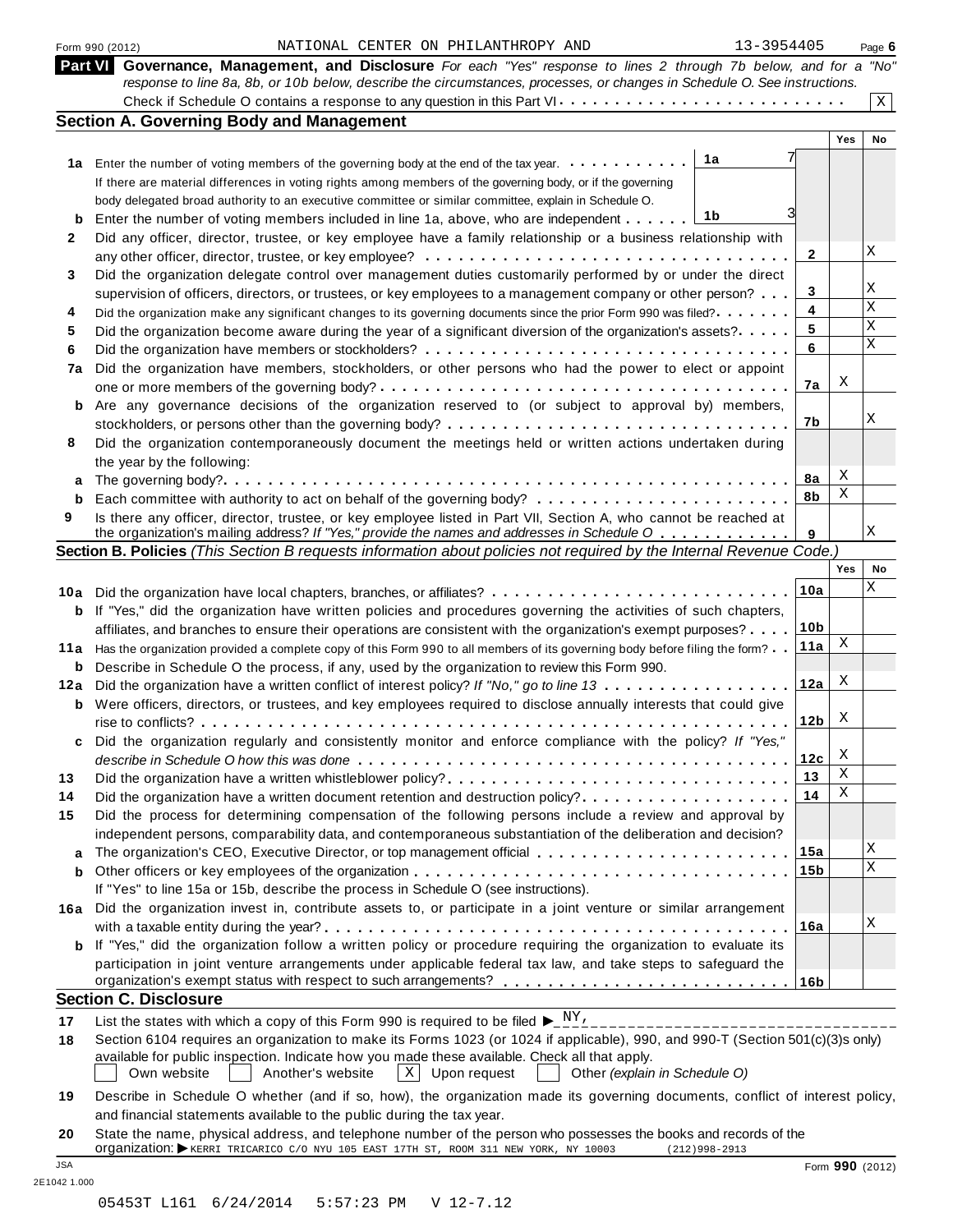| Form 990 (2012) |  |  |
|-----------------|--|--|
|                 |  |  |

#### Form 990 (2012) Page **6** NATIONAL CENTER ON PHILANTHROPY AND 13-3954405

|      | Part VI Governance, Management, and Disclosure For each "Yes" response to lines 2 through 7b below, and for a "No"<br>response to line 8a, 8b, or 10b below, describe the circumstances, processes, or changes in Schedule O. See instructions. |                 |     |             |
|------|-------------------------------------------------------------------------------------------------------------------------------------------------------------------------------------------------------------------------------------------------|-----------------|-----|-------------|
|      | Check if Schedule O contains a response to any question in this Part VI                                                                                                                                                                         |                 |     | $\mathbf X$ |
|      | <b>Section A. Governing Body and Management</b>                                                                                                                                                                                                 |                 |     |             |
|      |                                                                                                                                                                                                                                                 |                 | Yes | No          |
|      | 1a<br>1a Enter the number of voting members of the governing body at the end of the tax year.                                                                                                                                                   |                 |     |             |
|      | If there are material differences in voting rights among members of the governing body, or if the governing                                                                                                                                     |                 |     |             |
|      | body delegated broad authority to an executive committee or similar committee, explain in Schedule O.                                                                                                                                           |                 |     |             |
| b    | 1b<br>Enter the number of voting members included in line 1a, above, who are independent                                                                                                                                                        |                 |     |             |
| 2    | Did any officer, director, trustee, or key employee have a family relationship or a business relationship with                                                                                                                                  |                 |     |             |
|      |                                                                                                                                                                                                                                                 | 2               |     | Χ           |
| 3    | Did the organization delegate control over management duties customarily performed by or under the direct                                                                                                                                       |                 |     |             |
|      | supervision of officers, directors, or trustees, or key employees to a management company or other person?                                                                                                                                      | 3               |     | Χ           |
| 4    | Did the organization make any significant changes to its governing documents since the prior Form 990 was filed?                                                                                                                                | 4               |     | X           |
| 5    | Did the organization become aware during the year of a significant diversion of the organization's assets?.                                                                                                                                     | 5               |     | X           |
|      |                                                                                                                                                                                                                                                 | 6               |     | X           |
| 6    |                                                                                                                                                                                                                                                 |                 |     |             |
| 7a   | Did the organization have members, stockholders, or other persons who had the power to elect or appoint                                                                                                                                         |                 | Χ   |             |
|      |                                                                                                                                                                                                                                                 | 7a              |     |             |
| b    | Are any governance decisions of the organization reserved to (or subject to approval by) members,                                                                                                                                               |                 |     | Χ           |
|      | stockholders, or persons other than the governing body?                                                                                                                                                                                         | 7b              |     |             |
| 8    | Did the organization contemporaneously document the meetings held or written actions undertaken during                                                                                                                                          |                 |     |             |
|      | the year by the following:                                                                                                                                                                                                                      |                 |     |             |
| а    |                                                                                                                                                                                                                                                 | 8a              | Χ   |             |
| b    |                                                                                                                                                                                                                                                 | 8b              | X   |             |
| 9    | Is there any officer, director, trustee, or key employee listed in Part VII, Section A, who cannot be reached at                                                                                                                                |                 |     |             |
|      | the organization's mailing address? If "Yes," provide the names and addresses in Schedule O                                                                                                                                                     | 9               |     | Χ           |
|      | Section B. Policies (This Section B requests information about policies not required by the Internal Revenue Code.)                                                                                                                             |                 |     |             |
|      |                                                                                                                                                                                                                                                 |                 | Yes | No          |
| 10a  |                                                                                                                                                                                                                                                 | 10a             |     | Χ           |
| b    | If "Yes," did the organization have written policies and procedures governing the activities of such chapters,                                                                                                                                  |                 |     |             |
|      | affiliates, and branches to ensure their operations are consistent with the organization's exempt purposes?                                                                                                                                     | <u>10b</u>      |     |             |
| 11 a | Has the organization provided a complete copy of this Form 990 to all members of its governing body before filing the form?                                                                                                                     | 11a             | Χ   |             |
| b    | Describe in Schedule O the process, if any, used by the organization to review this Form 990.                                                                                                                                                   |                 |     |             |
| 12a  | Did the organization have a written conflict of interest policy? If "No," go to line 13                                                                                                                                                         | 12a             | Χ   |             |
|      | Were officers, directors, or trustees, and key employees required to disclose annually interests that could give                                                                                                                                |                 |     |             |
| b    |                                                                                                                                                                                                                                                 | 12 <sub>b</sub> | Χ   |             |
|      |                                                                                                                                                                                                                                                 |                 |     |             |
| c    | Did the organization regularly and consistently monitor and enforce compliance with the policy? If "Yes,"                                                                                                                                       |                 | Χ   |             |
|      |                                                                                                                                                                                                                                                 | 12c             | Χ   |             |
| 13   |                                                                                                                                                                                                                                                 | 13              |     |             |
| 14   | Did the organization have a written document retention and destruction policy?                                                                                                                                                                  | 14              | Χ   |             |
| 15   | Did the process for determining compensation of the following persons include a review and approval by                                                                                                                                          |                 |     |             |
|      | independent persons, comparability data, and contemporaneous substantiation of the deliberation and decision?                                                                                                                                   |                 |     |             |
| a    |                                                                                                                                                                                                                                                 | 15a             |     | Χ           |
| b    |                                                                                                                                                                                                                                                 | 15 <sub>b</sub> |     | Χ           |
|      | If "Yes" to line 15a or 15b, describe the process in Schedule O (see instructions).                                                                                                                                                             |                 |     |             |
| 16a  | Did the organization invest in, contribute assets to, or participate in a joint venture or similar arrangement                                                                                                                                  |                 |     |             |
|      |                                                                                                                                                                                                                                                 | 16a             |     | Χ           |
| b    | If "Yes," did the organization follow a written policy or procedure requiring the organization to evaluate its                                                                                                                                  |                 |     |             |
|      | participation in joint venture arrangements under applicable federal tax law, and take steps to safeguard the                                                                                                                                   |                 |     |             |
|      |                                                                                                                                                                                                                                                 |                 |     |             |
|      | <b>Section C. Disclosure</b>                                                                                                                                                                                                                    |                 |     |             |
|      | List the states with which a copy of this Form 990 is required to be filed $\blacktriangleright_{-}^{\_ \, \rm{NY}}$ .                                                                                                                          |                 |     |             |
| 17   | __________________________<br>Section 6104 requires an organization to make its Forms 1023 (or 1024 if applicable), 990, and 990-T (Section 501(c)(3)s only)                                                                                    |                 |     |             |
| 18   | available for public inspection. Indicate how you made these available. Check all that apply.                                                                                                                                                   |                 |     |             |
|      | Own website<br>Another's website<br>$\mathbf{X}$<br>Other (explain in Schedule O)<br>Upon request                                                                                                                                               |                 |     |             |
|      |                                                                                                                                                                                                                                                 |                 |     |             |
| 19   | Describe in Schedule O whether (and if so, how), the organization made its governing documents, conflict of interest policy,                                                                                                                    |                 |     |             |
|      | and financial statements available to the public during the tax year.                                                                                                                                                                           |                 |     |             |

**20** State the name, physical address, and telephone number of the person who possesses the books and records of the<br>Organization: EXERRI TRICARICO C/O NYU 105 EAST 17TH ST, ROOM 311 NEW YORK, NY 10003 (212)998-2913 JSA Form **990** (2012)

2E1042 1.000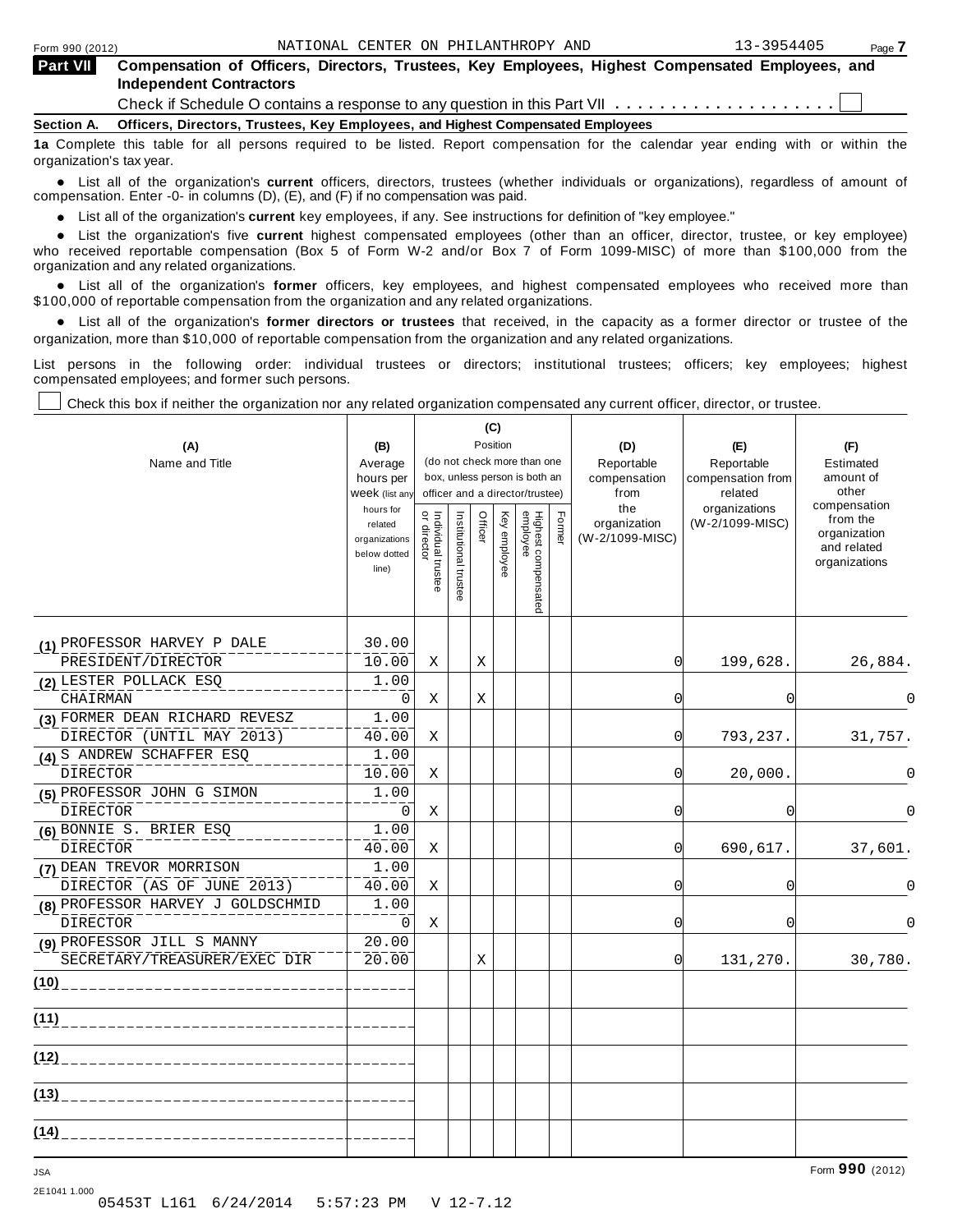⊤

|--|

| <b>Part VII</b> | Compensation of Officers, Directors, Trustees, Key Employees, Highest Compensated Employees, and |  |  |  |  |
|-----------------|--------------------------------------------------------------------------------------------------|--|--|--|--|
|                 | <b>Independent Contractors</b>                                                                   |  |  |  |  |
|                 |                                                                                                  |  |  |  |  |

Check if Schedule O contains a response to any question in this Part VII  $\ldots \ldots \ldots \ldots \ldots$ 

**Section A. Officers, Directors, Trustees, Key Employees, and Highest Compensated Employees**

**1a** Complete this table for all persons required to be listed. Report compensation for the calendar year ending with or within the organization's tax year.

anization's lax year.<br>● List all of the organization's **current** officers, directors, trustees (whether individuals or organizations), regardless of amount of<br>pensation Enter -0- in columns (D) (E) and (E) if no compensat compensation. Enter -0- in columns (D), (E), and (F) if no compensation was paid.

% List all of the organization's **current** key employees, if any. See instructions for definition of "key employee."

■ List all of the organization's **current** highest compensated employees (other than an officer, director, trustee, or key employee)<br>■ List the organization's five **current** highest compensated employees (other than an of who received reportable compensation (Box 5 of Form W-2 and/or Box 7 of Form 1099-MISC) of more than \$100,000 from the

organization and any related organizations.<br>• List all of the organization's **former** officers, key employees, and highest compensated employees who received more than<br>\$1.00.000 of reportable componention from the erganiza \$100,000 of reportable compensation from the organization and any related organizations.

% List all of the organization's **former directors or trustees** that received, in the capacity as a former director or trustee of the organization, more than \$10,000 of reportable compensation from the organization and any related organizations.

List persons in the following order: individual trustees or directors; institutional trustees; officers; key employees; highest compensated employees; and former such persons.

┰

Check this box if neither the organization nor any related organization compensated any current officer, director, or trustee.

 $\overline{\phantom{a}}$ 

| (A)<br>Name and Title                                       | (B)<br>Average<br>hours per<br>Week (list any<br>hours for<br>related<br>organizations<br>below dotted<br>line) | Individual trustee<br>or director | Institutional trustee | Officer | (C)<br>Position<br>Key employee | (do not check more than one<br>box, unless person is both an<br>officer and a director/trustee)<br>Highest compensated<br>employee | Former | (D)<br>Reportable<br>compensation<br>from<br>the<br>organization<br>(W-2/1099-MISC) | (E)<br>Reportable<br>compensation from<br>related<br>organizations<br>(W-2/1099-MISC) | (F)<br>Estimated<br>amount of<br>other<br>compensation<br>from the<br>organization<br>and related<br>organizations |
|-------------------------------------------------------------|-----------------------------------------------------------------------------------------------------------------|-----------------------------------|-----------------------|---------|---------------------------------|------------------------------------------------------------------------------------------------------------------------------------|--------|-------------------------------------------------------------------------------------|---------------------------------------------------------------------------------------|--------------------------------------------------------------------------------------------------------------------|
| (1) PROFESSOR HARVEY P DALE                                 | 30.00                                                                                                           |                                   |                       |         |                                 |                                                                                                                                    |        |                                                                                     |                                                                                       |                                                                                                                    |
| PRESIDENT/DIRECTOR                                          | 10.00                                                                                                           | Χ                                 |                       | X       |                                 |                                                                                                                                    |        | 0                                                                                   | 199,628.                                                                              | 26,884.                                                                                                            |
| (2) LESTER POLLACK ESQ                                      | 1.00                                                                                                            |                                   |                       |         |                                 |                                                                                                                                    |        |                                                                                     |                                                                                       |                                                                                                                    |
| CHAIRMAN                                                    | $\mathbf 0$                                                                                                     | Χ                                 |                       | X       |                                 |                                                                                                                                    |        | $\Omega$                                                                            | $\Omega$                                                                              | 0                                                                                                                  |
| (3) FORMER DEAN RICHARD REVESZ<br>DIRECTOR (UNTIL MAY 2013) | 1.00<br>40.00                                                                                                   | Χ                                 |                       |         |                                 |                                                                                                                                    |        | <sup>0</sup>                                                                        | 793,237.                                                                              | 31,757.                                                                                                            |
| (4) S ANDREW SCHAFFER ESQ                                   | 1.00                                                                                                            |                                   |                       |         |                                 |                                                                                                                                    |        |                                                                                     |                                                                                       |                                                                                                                    |
| <b>DIRECTOR</b>                                             | 10.00                                                                                                           | X                                 |                       |         |                                 |                                                                                                                                    |        | 0                                                                                   | 20,000.                                                                               | $\Omega$                                                                                                           |
| (5) PROFESSOR JOHN G SIMON                                  | 1.00                                                                                                            |                                   |                       |         |                                 |                                                                                                                                    |        |                                                                                     |                                                                                       |                                                                                                                    |
| <b>DIRECTOR</b>                                             | $\mathbf 0$                                                                                                     | Χ                                 |                       |         |                                 |                                                                                                                                    |        | 0                                                                                   | 0                                                                                     | $\Omega$                                                                                                           |
| (6) BONNIE S. BRIER ESQ                                     | 1.00                                                                                                            |                                   |                       |         |                                 |                                                                                                                                    |        |                                                                                     |                                                                                       |                                                                                                                    |
| <b>DIRECTOR</b>                                             | 40.00                                                                                                           | Χ                                 |                       |         |                                 |                                                                                                                                    |        | 0l                                                                                  | 690,617.                                                                              | 37,601.                                                                                                            |
| (7) DEAN TREVOR MORRISON                                    | 1.00                                                                                                            |                                   |                       |         |                                 |                                                                                                                                    |        |                                                                                     |                                                                                       |                                                                                                                    |
| DIRECTOR (AS OF JUNE 2013)                                  | 40.00                                                                                                           | Χ                                 |                       |         |                                 |                                                                                                                                    |        | $\Omega$                                                                            | $\Omega$                                                                              | $\Omega$                                                                                                           |
| (8) PROFESSOR HARVEY J GOLDSCHMID                           | 1.00                                                                                                            |                                   |                       |         |                                 |                                                                                                                                    |        |                                                                                     |                                                                                       |                                                                                                                    |
| <b>DIRECTOR</b>                                             | $\mathbf 0$                                                                                                     | Χ                                 |                       |         |                                 |                                                                                                                                    |        | $\Omega$                                                                            | $\Omega$                                                                              | $\Omega$                                                                                                           |
| (9) PROFESSOR JILL S MANNY                                  | 20.00                                                                                                           |                                   |                       |         |                                 |                                                                                                                                    |        |                                                                                     |                                                                                       |                                                                                                                    |
| SECRETARY/TREASURER/EXEC DIR                                | 20.00                                                                                                           |                                   |                       | X       |                                 |                                                                                                                                    |        | 0                                                                                   | 131,270.                                                                              | 30,780.                                                                                                            |
| (10)                                                        |                                                                                                                 |                                   |                       |         |                                 |                                                                                                                                    |        |                                                                                     |                                                                                       |                                                                                                                    |
| (11)                                                        |                                                                                                                 |                                   |                       |         |                                 |                                                                                                                                    |        |                                                                                     |                                                                                       |                                                                                                                    |
| $(12)$ <sub>---</sub>                                       |                                                                                                                 |                                   |                       |         |                                 |                                                                                                                                    |        |                                                                                     |                                                                                       |                                                                                                                    |
| (13)                                                        |                                                                                                                 |                                   |                       |         |                                 |                                                                                                                                    |        |                                                                                     |                                                                                       |                                                                                                                    |
| (14)                                                        |                                                                                                                 |                                   |                       |         |                                 |                                                                                                                                    |        |                                                                                     |                                                                                       |                                                                                                                    |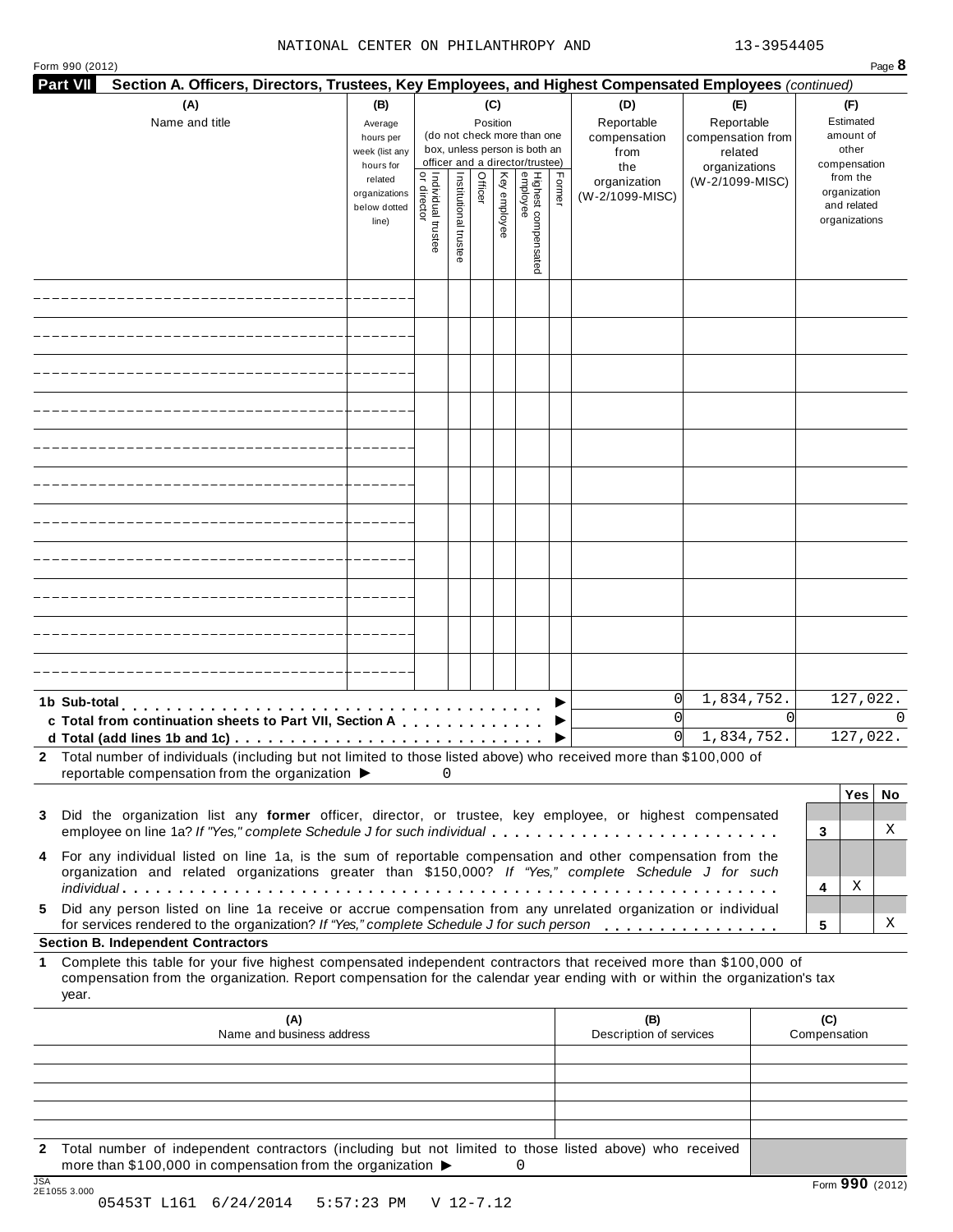#### NATIONAL CENTER ON PHILANTHROPY AND 13-3954405

**Part VII Section A. Officers, Directors, Trustees, Key Employees, and Highest Compensated Employees** *(continued)*

Form <sup>990</sup> (2012) Page **8**

| (A)<br>Name and title                                                                                                                                                                                                                                                                                    | (B)<br>Average<br>hours per<br>week (list any<br>hours for<br>related<br>organizations<br>below dotted<br>line) | 윽<br>Individual trustee<br>director | Institutional trustee | Officer | (C)<br>Position<br>Key employee | (do not check more than one<br>box, unless person is both an<br>officer and a director/trustee)<br>Highest compensated<br>employee | Former | (D)<br>Reportable<br>compensation<br>from<br>the<br>organization<br>(W-2/1099-MISC) | (E)<br>Reportable<br>compensation from<br>related<br>organizations<br>(W-2/1099-MISC) |          |                     | (F)<br>Estimated<br>amount of<br>other<br>compensation<br>from the<br>organization<br>and related<br>organizations |   |
|----------------------------------------------------------------------------------------------------------------------------------------------------------------------------------------------------------------------------------------------------------------------------------------------------------|-----------------------------------------------------------------------------------------------------------------|-------------------------------------|-----------------------|---------|---------------------------------|------------------------------------------------------------------------------------------------------------------------------------|--------|-------------------------------------------------------------------------------------|---------------------------------------------------------------------------------------|----------|---------------------|--------------------------------------------------------------------------------------------------------------------|---|
|                                                                                                                                                                                                                                                                                                          |                                                                                                                 |                                     |                       |         |                                 |                                                                                                                                    |        |                                                                                     |                                                                                       |          |                     |                                                                                                                    |   |
|                                                                                                                                                                                                                                                                                                          |                                                                                                                 |                                     |                       |         |                                 |                                                                                                                                    |        |                                                                                     |                                                                                       |          |                     |                                                                                                                    |   |
|                                                                                                                                                                                                                                                                                                          |                                                                                                                 |                                     |                       |         |                                 |                                                                                                                                    |        |                                                                                     |                                                                                       |          |                     |                                                                                                                    |   |
|                                                                                                                                                                                                                                                                                                          |                                                                                                                 |                                     |                       |         |                                 |                                                                                                                                    |        |                                                                                     |                                                                                       |          |                     |                                                                                                                    |   |
|                                                                                                                                                                                                                                                                                                          |                                                                                                                 |                                     |                       |         |                                 |                                                                                                                                    |        |                                                                                     |                                                                                       |          |                     |                                                                                                                    |   |
|                                                                                                                                                                                                                                                                                                          |                                                                                                                 |                                     |                       |         |                                 |                                                                                                                                    |        |                                                                                     |                                                                                       |          |                     |                                                                                                                    |   |
|                                                                                                                                                                                                                                                                                                          |                                                                                                                 |                                     |                       |         |                                 |                                                                                                                                    |        |                                                                                     |                                                                                       |          |                     |                                                                                                                    |   |
|                                                                                                                                                                                                                                                                                                          |                                                                                                                 |                                     |                       |         |                                 |                                                                                                                                    |        |                                                                                     |                                                                                       |          |                     |                                                                                                                    |   |
|                                                                                                                                                                                                                                                                                                          |                                                                                                                 |                                     |                       |         |                                 |                                                                                                                                    |        |                                                                                     |                                                                                       |          |                     |                                                                                                                    |   |
|                                                                                                                                                                                                                                                                                                          |                                                                                                                 |                                     |                       |         |                                 |                                                                                                                                    |        |                                                                                     |                                                                                       |          |                     |                                                                                                                    |   |
|                                                                                                                                                                                                                                                                                                          |                                                                                                                 |                                     |                       |         |                                 |                                                                                                                                    |        |                                                                                     |                                                                                       |          |                     |                                                                                                                    |   |
| 1b Sub-total<br>.                                                                                                                                                                                                                                                                                        |                                                                                                                 |                                     |                       |         |                                 |                                                                                                                                    |        | 0 <br>$\Omega$                                                                      | 1,834,752.                                                                            | $\Omega$ | 127,022.            |                                                                                                                    |   |
| c Total from continuation sheets to Part VII, Section A<br>d Total (add lines 1b and 1c)                                                                                                                                                                                                                 |                                                                                                                 |                                     |                       |         |                                 |                                                                                                                                    |        | $\Omega$                                                                            | 1,834,752.                                                                            |          |                     | 127,022.                                                                                                           |   |
| Total number of individuals (including but not limited to those listed above) who received more than \$100,000 of<br>2                                                                                                                                                                                   |                                                                                                                 |                                     |                       |         |                                 |                                                                                                                                    |        |                                                                                     |                                                                                       |          |                     |                                                                                                                    |   |
| reportable compensation from the organization ▶                                                                                                                                                                                                                                                          |                                                                                                                 | 0                                   |                       |         |                                 |                                                                                                                                    |        |                                                                                     |                                                                                       |          |                     |                                                                                                                    |   |
| Did the organization list any former officer, director, or trustee, key employee, or highest compensated<br>3<br>employee on line 1a? If "Yes," complete Schedule J for such individual                                                                                                                  |                                                                                                                 |                                     |                       |         |                                 |                                                                                                                                    |        |                                                                                     |                                                                                       |          | 3                   | Yes No                                                                                                             | Χ |
| For any individual listed on line 1a, is the sum of reportable compensation and other compensation from the<br>4<br>organization and related organizations greater than \$150,000? If "Yes," complete Schedule J for such                                                                                |                                                                                                                 |                                     |                       |         |                                 |                                                                                                                                    |        |                                                                                     |                                                                                       |          |                     |                                                                                                                    |   |
| Did any person listed on line 1a receive or accrue compensation from any unrelated organization or individual<br>5                                                                                                                                                                                       |                                                                                                                 |                                     |                       |         |                                 |                                                                                                                                    |        |                                                                                     |                                                                                       |          | 4                   | Χ                                                                                                                  |   |
| for services rendered to the organization? If "Yes," complete Schedule J for such person<br>5                                                                                                                                                                                                            |                                                                                                                 |                                     |                       |         |                                 | Χ                                                                                                                                  |        |                                                                                     |                                                                                       |          |                     |                                                                                                                    |   |
| <b>Section B. Independent Contractors</b><br>1 Complete this table for your five highest compensated independent contractors that received more than \$100,000 of<br>compensation from the organization. Report compensation for the calendar year ending with or within the organization's tax<br>year. |                                                                                                                 |                                     |                       |         |                                 |                                                                                                                                    |        |                                                                                     |                                                                                       |          |                     |                                                                                                                    |   |
| (A)<br>Name and business address                                                                                                                                                                                                                                                                         |                                                                                                                 |                                     |                       |         |                                 |                                                                                                                                    |        | (B)<br>Description of services                                                      |                                                                                       |          | (C)<br>Compensation |                                                                                                                    |   |
|                                                                                                                                                                                                                                                                                                          |                                                                                                                 |                                     |                       |         |                                 |                                                                                                                                    |        |                                                                                     |                                                                                       |          |                     |                                                                                                                    |   |

**2** Total number of independent contractors (including but not limited to those listed above) who received more than \$100,000 in compensation from the organization  $\blacktriangleright$ <br>2E1055 3.000 0

| JSA         |                                                           | Form $990$ (2012) |
|-------------|-----------------------------------------------------------|-------------------|
| 2E10553.000 |                                                           |                   |
|             | $0.5452T$ $T161$ $6/24/2014$ $5.57.22$ $DM$ $M$ $12-7$ 12 |                   |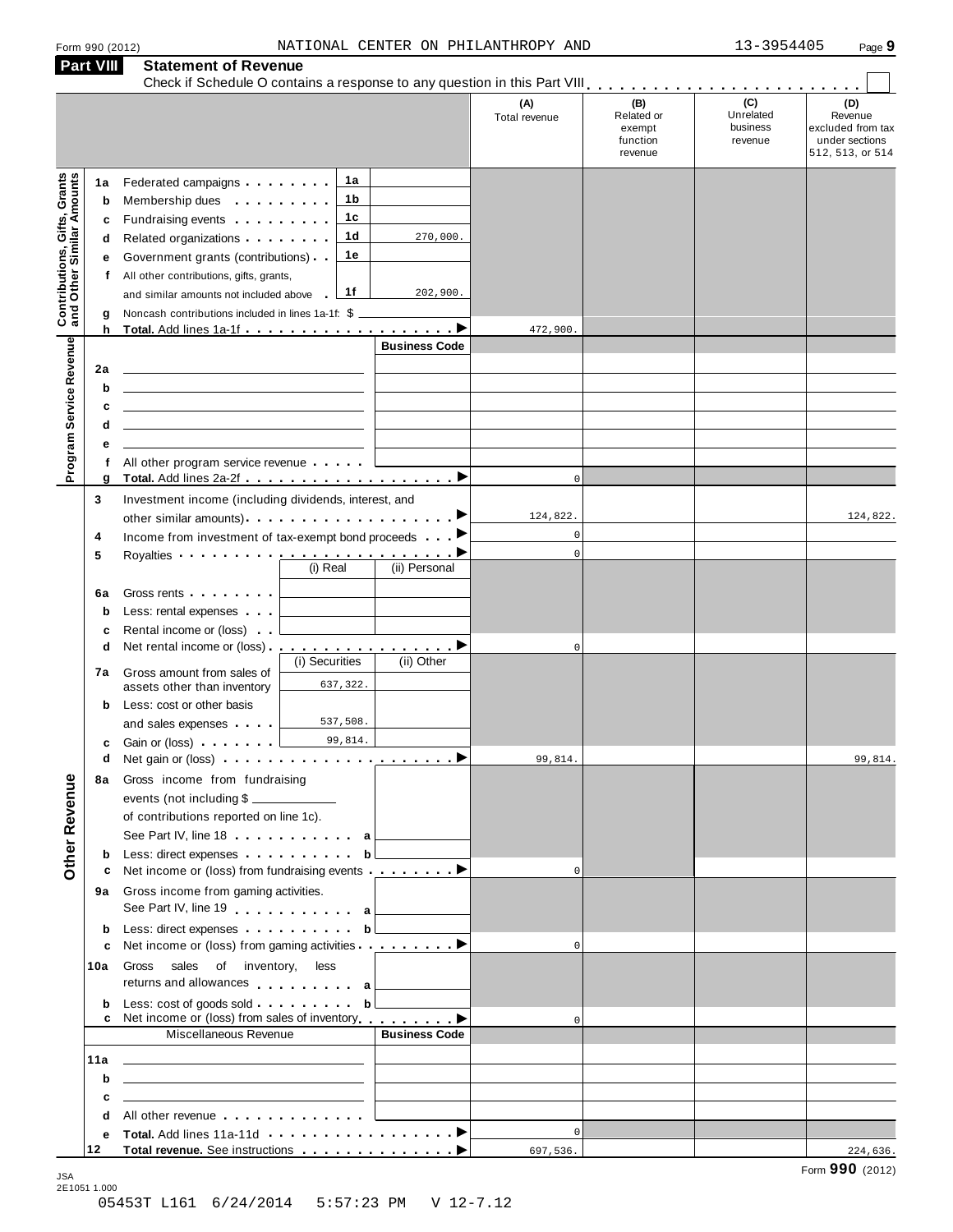| Form 990 (2012 |  |  |
|----------------|--|--|
|                |  |  |

|                                                                  | <b>Part VIII</b>                      | <b>Statement of Revenue</b>                                                                                                                                                                                                                                                                                                                                                                                                                                                                                                                                                                                                            |                                                    |                                                    |                                         |                                                                           |
|------------------------------------------------------------------|---------------------------------------|----------------------------------------------------------------------------------------------------------------------------------------------------------------------------------------------------------------------------------------------------------------------------------------------------------------------------------------------------------------------------------------------------------------------------------------------------------------------------------------------------------------------------------------------------------------------------------------------------------------------------------------|----------------------------------------------------|----------------------------------------------------|-----------------------------------------|---------------------------------------------------------------------------|
|                                                                  |                                       |                                                                                                                                                                                                                                                                                                                                                                                                                                                                                                                                                                                                                                        | (A)<br>Total revenue                               | (B)<br>Related or<br>exempt<br>function<br>revenue | (C)<br>Unrelated<br>business<br>revenue | (D)<br>Revenue<br>excluded from tax<br>under sections<br>512, 513, or 514 |
| <b>Contributions, Gifts, Grants</b><br>and Other Similar Amounts | 1a<br>b<br>c<br>d<br>е<br>f<br>g<br>h | 1a<br>Federated campaigns <b>Federated</b><br>1 b<br>Membership dues <b>All Accords</b> Membership dues<br>1c<br>Fundraising events <b>Fundraising</b><br>1d<br>270,000.<br>Related organizations <b>contains</b> and <b>Related</b> organizations <b>and</b> a set of the set of the set of the set of the set of the set of the set of the set of the set of the set of the set of the set of the set of the set of the<br>1е<br>Government grants (contributions)<br>All other contributions, gifts, grants,<br>1f<br>202,900.<br>and similar amounts not included above<br>Noncash contributions included in lines 1a-1f: $$$ $\_$ | 472,900.                                           |                                                    |                                         |                                                                           |
| Program Service Revenue                                          | 2a<br>b<br>c<br>d<br>е<br>f           | <b>Business Code</b><br><u> 1980 - Jan Stein Stein, fransk politiker (d. 1980)</u><br>All other program service revenue                                                                                                                                                                                                                                                                                                                                                                                                                                                                                                                |                                                    |                                                    |                                         |                                                                           |
|                                                                  | g<br>3<br>4<br>5<br>6a<br>b<br>c      | Investment income (including dividends, interest, and<br>Income from investment of tax-exempt bond proceeds <b>Department</b><br>Royalties <b>Department of the Contract of the Contract of the Contract of Texas Property</b><br>(i) Real<br>(ii) Personal<br>Gross rents <b>Container and Container</b><br>Less: rental expenses<br>Rental income or (loss)                                                                                                                                                                                                                                                                          | $\Omega$<br>124,822.<br>$\mathbf 0$<br>$\mathbf 0$ |                                                    |                                         | 124,822.                                                                  |
| Other Revenue                                                    | d<br>7а<br>b<br>c                     | (i) Securities<br>(ii) Other<br>Gross amount from sales of<br>637,322.<br>assets other than inventory<br>Less: cost or other basis<br>537,508.<br>and sales expenses<br>99,814.<br>Gain or (loss) <b>Canada</b> Case of the Case of the Case of the Case of the Case of the Case of the Case of the Case of the Case of the Case of the Case of the Case of the Case of the Case of the Case of the Case of the Case o                                                                                                                                                                                                                 | $\mathbf 0$                                        |                                                    |                                         |                                                                           |
|                                                                  | d<br>8а                               | Gross income from fundraising<br>events (not including \$<br>of contributions reported on line 1c).<br>See Part IV, line 18 a                                                                                                                                                                                                                                                                                                                                                                                                                                                                                                          | 99,814.                                            |                                                    |                                         | 99,814.                                                                   |
|                                                                  | b<br>с                                | Less: direct expenses $\ldots$ , $\mathsf{b}$<br>Net income or (loss) from fundraising events <u>example</u> by between the burnt between the burnt between the burnt b<br>9a Gross income from gaming activities.<br>See Part IV, line 19 enter a                                                                                                                                                                                                                                                                                                                                                                                     |                                                    |                                                    |                                         |                                                                           |
|                                                                  | b<br>c<br>10a                         | Less: direct expenses b<br>Net income or (loss) from gaming activities ▶<br>Gross sales of inventory, less<br>returns and allowances allowances a                                                                                                                                                                                                                                                                                                                                                                                                                                                                                      | $\Omega$                                           |                                                    |                                         |                                                                           |
|                                                                  | b                                     | Net income or (loss) from sales of inventory <u>entitled</u> ■<br>Miscellaneous Revenue<br><b>Business Code</b>                                                                                                                                                                                                                                                                                                                                                                                                                                                                                                                        | $\Omega$                                           |                                                    |                                         |                                                                           |
|                                                                  | 11a<br>b<br>c<br>d                    | the control of the control of the control of the control of the control of<br>the control of the control of the control of the control of the control of the control of<br><u> 1989 - Johann Stein, mars an deutscher Stein und der Stein und der Stein und der Stein und der Stein und der</u><br>All other revenue entering the state of the state of the state of the state of the state of the state of the state of the state of the state of the state of the state of the state of the state of the state of the state of                                                                                                       |                                                    |                                                    |                                         |                                                                           |
|                                                                  | е<br>12                               |                                                                                                                                                                                                                                                                                                                                                                                                                                                                                                                                                                                                                                        | $\Omega$<br>697,536.                               |                                                    |                                         | 224,636.                                                                  |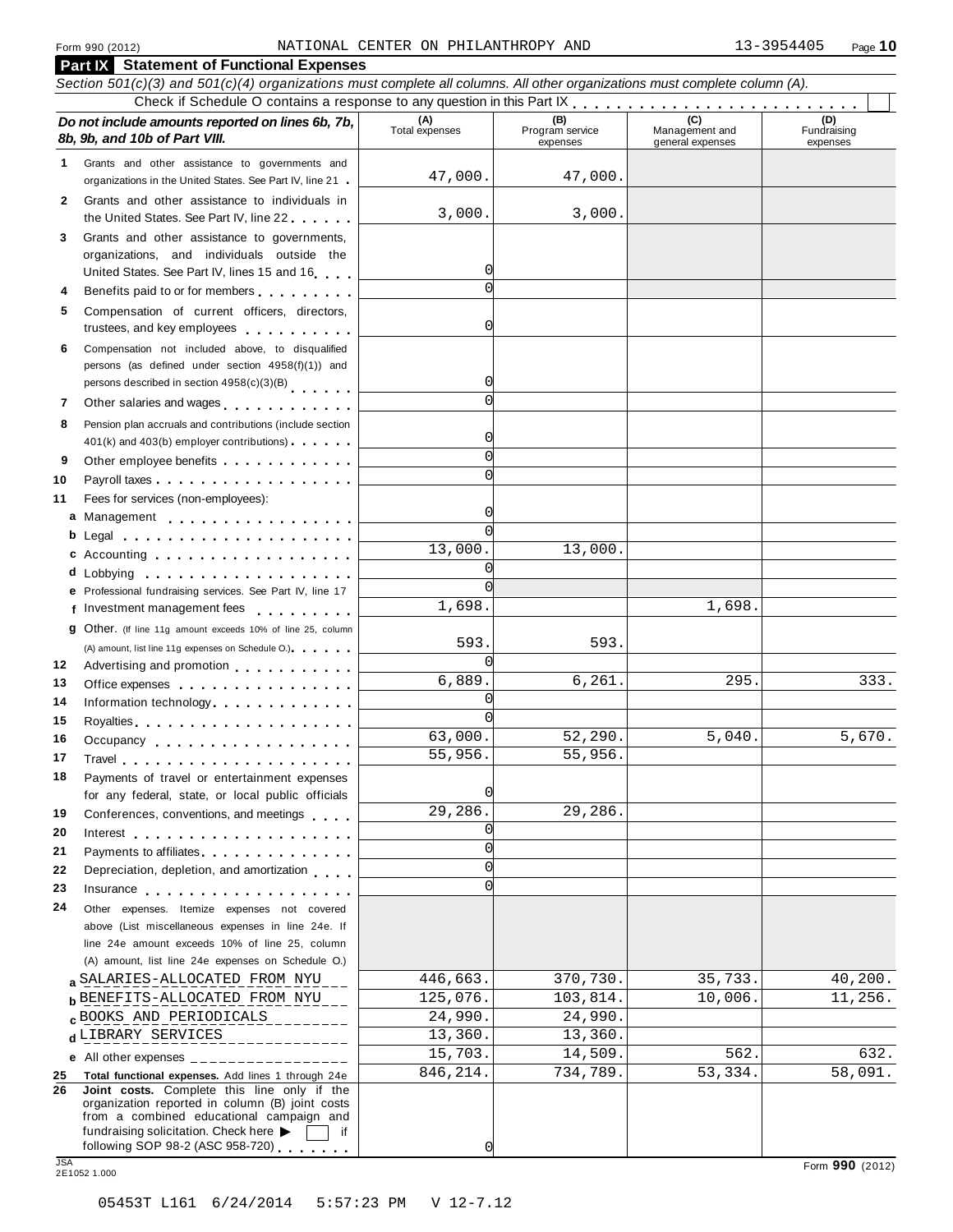#### **Part IX Statement of Functional Expenses** Section 501(c)(3) and 501(c)(4) organizations must complete all columns. All other organizations must complete column (A). Check if Schedule O contains a response to any question in this Part  $\begin{array}{c|c|c|c|c|c} \hline \textbf{Check if Schedule O contains a response to any question in this Part } \mathbf{R} & \textbf{Set } \mathbf{C} & \textbf{Set } \mathbf{C} & \textbf{Set } \mathbf{C} & \textbf{Set } \mathbf{C} \\ \hline \textbf{Check } \textbf{D} & \textbf{C} & \textbf{C} & \textbf{C} & \textbf{C} \\ \hline \textbf{C} &$ *Do no* **(A) (B) (C) (D)** *t include amounts reported on lines 6b, 7b,* **8b, 9b, and 10b of Part VIII.** The contract position of **Part VIII.** The contract Program services Program services expenses Management and general expenses Fundraising expenses Grants and other assistance to governments and Grants and other assistance to governments and<br>organizations in the United States. See Part IV, line 21 **1** Grants and other assistance to individuals in Grants and other assistance to individuals in<br>the United States. See Part IV, line 22 **2 3** Grants and other assistance to governments, organizations, and individuals outside the United States. See Part IV, lines <sup>15</sup> and <sup>16</sup><sup>m</sup> <sup>m</sup> <sup>m</sup> <sup>m</sup> **<sup>4</sup>** Benefits paid to or for members <sup>m</sup> <sup>m</sup> <sup>m</sup> <sup>m</sup> <sup>m</sup> <sup>m</sup> <sup>m</sup> <sup>m</sup> <sup>m</sup> **5** Compensation of current officers, directors, trustees, and key employees m m m m m m m m m m **6** Compensation not included above, to disqualified persons (as defined under section 4958(f)(1)) and persons described in section 4958(c)(3)(B) 7 Other salaries and wages **manual manual manual m**  $\overline{a}$ **8** Pension plan accruals and contributions (include section  $401(k)$  and  $403(b)$  employer contributions)  $\cdots$  m m m **9** Other employee benefits m m m m m m m m m m m m Payroll taxes.................. Fees for services (non-employees): Management **ab** m m m m m m m m m m m m m m m m m Legal Accounting **cd** m m m m m m m m m m m m m m m m m m Lobbying m m m m m m m m m m m m m m m m m m m **10 11** m m m m m m m m m m m m m m m m m m **12 13 14 15 16 17 18 19 20 21 22 23 24 e** Professional fundraising services. See Part IV, line 17 **F** Professional fundraising services. See Part IV, line 17<br>**f** Investment management fees **g** Other. (If line 11g amount exceeds 10% of line 25, column m m m m m m m m m m m m m m m m m m m m m (A) amount, list line 11g expenses on Schedule O.) (A) amount, list line 11g expenses on Schedule O.)<br>Advertising and promotion **maturity of motion metalliers** Office expenses **Example 20** is a set of the set of the set of the set of the set of the set of the set of the set of the set of the set of the set of the set of the set of the set of the set of the set of the set of the s Office expenses we went went went went to the control.<br>Information technology . . . . . . . . . . . . . . m m m m m m m m m m m m m m m m Royalties m m m m m m m m m m m m m m m m m m m m Royalties<br>Occupancy ................... Travel m m m m m m m m m m m m m m m m m m m m m Payments of travel or entertainment expenses for any federal, state, or local public officials for any federal, state, or local public officials<br>Conferences, conventions, and meetings Interest m m m m m m m m m m m m m m m m m m m m Interest<br>Payments to affiliates **m** m m m m m m m m m m m m m m m Depreciation, depletion, and amortization m m m m Insurance m m m m m m m m m m m m m m m m m m m Other expenses. Itemize expenses not covered above (List miscellaneous expenses in line 24e. If line 24e amount exceeds 10% of line 25, column (A) amount, list line 24e expenses on Schedule O.) **a** SALAKIES-ALLOCATED FROM NYU 125,076. 370,730. 35,733. 40,200.<br>**b** BENEFITS-ALLOCATED FROM NYU 125,076. 103,814. 10,006. 11,256. **c** BOOKS AND PERIODICALS<br>**d** LIBRARY SERVICES 14, 13,360. 13,360. **e** All other expenses \_\_\_\_\_\_\_\_\_\_\_\_\_ **25 Total functional expenses.** Add lines 1 through 24e **26 Joint costs.** Complete this line only if the organization reported in column (B) joint costs from a combined educational campaign and fundraising solicitation. Check here  $\triangleright$   $\Box$  if following SOP 98-2 (ASC 958-720) fundraising solicitation. Check here ▶ and if following SOP 98-2 (ASC 958-720)<br>
<br>
2E1052 1.000 Form **990** (2012) Form **990** (2012) 47,000. 47,000. 3,000. 3,000.  $\sqrt{ }$  $\cap$  $\Omega$  $\Omega$  $\overline{0}$  $\sqrt{ }$  $\Omega$  $\Omega$  $\sqrt{ }$ 0 13,000. 13,000.  $\sqrt{ }$  $\sqrt{ }$ 1,698. 1,698. 593. 593. 0  $6,889.$   $6,261.$   $295.$   $333.$  $\sqrt{2}$  $\sqrt{2}$ 63,000. 52,290. 5,040. 5,670. 55,956. 55,956. 0 29,286. 29,286.  $\mathcal{C}$  $\overline{C}$  $\Omega$  $\Omega$ SALARIES-ALLOCATED FROM NYU 446,663. 370,730. 35,733. 40,200.  $\texttt{c}$  BOOKS AND PERIODICALS 24,990. 24,990. 15,703. 14,509. 562. 632. 846,214. 734,789. 53,334. 58,091.

 $\Omega$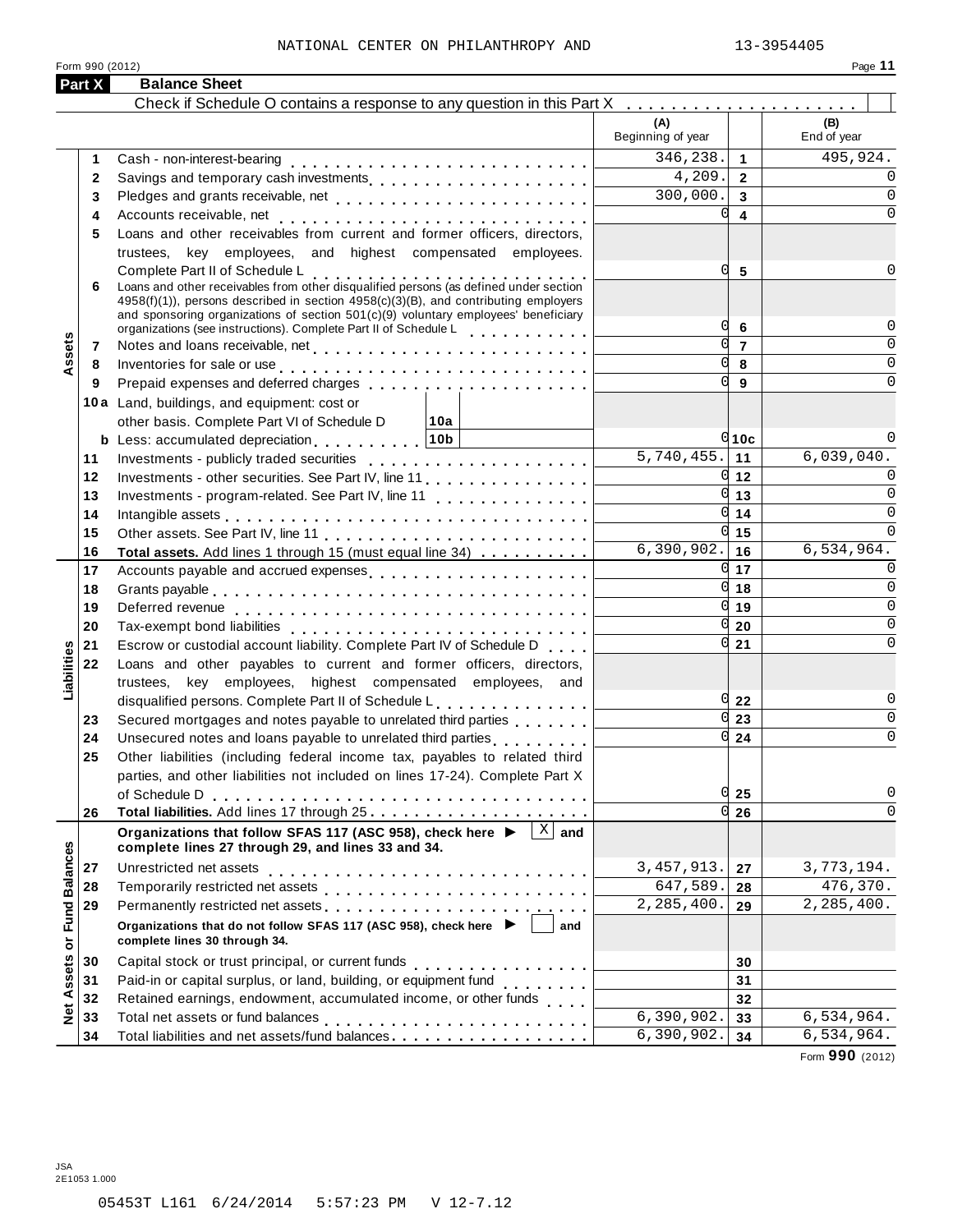| Form 990 (2012)            |                                                                                                                                                                                                                                                                                                                                                                                                                                                                  |                                            | Page 11                    |
|----------------------------|------------------------------------------------------------------------------------------------------------------------------------------------------------------------------------------------------------------------------------------------------------------------------------------------------------------------------------------------------------------------------------------------------------------------------------------------------------------|--------------------------------------------|----------------------------|
| Part X                     | <b>Balance Sheet</b>                                                                                                                                                                                                                                                                                                                                                                                                                                             |                                            |                            |
|                            | Check if Schedule O contains a response to any question in this Part X                                                                                                                                                                                                                                                                                                                                                                                           | (A)<br>Beginning of year                   | (B)<br>End of year         |
| 1                          |                                                                                                                                                                                                                                                                                                                                                                                                                                                                  | 346,238.<br>$\overline{1}$                 | 495,924.                   |
| $\mathbf{2}$               | Savings and temporary cash investments                                                                                                                                                                                                                                                                                                                                                                                                                           | 4,209.<br>$\overline{2}$                   |                            |
| 3                          | Pledges and grants receivable, net                                                                                                                                                                                                                                                                                                                                                                                                                               | 300,000.<br>$\overline{3}$                 | 0                          |
| 4                          |                                                                                                                                                                                                                                                                                                                                                                                                                                                                  | U<br>$\overline{\mathbf{4}}$               | $\Omega$                   |
| 5                          | Loans and other receivables from current and former officers, directors,                                                                                                                                                                                                                                                                                                                                                                                         |                                            |                            |
|                            | trustees, key employees, and highest compensated employees.                                                                                                                                                                                                                                                                                                                                                                                                      |                                            |                            |
|                            |                                                                                                                                                                                                                                                                                                                                                                                                                                                                  | Ω<br>5                                     |                            |
| 6                          | Complete Part II of Schedule L<br>Loans and other receivables from other disqualified persons (as defined under section                                                                                                                                                                                                                                                                                                                                          |                                            |                            |
|                            | $4958(f)(1)$ , persons described in section $4958(c)(3)(B)$ , and contributing employers                                                                                                                                                                                                                                                                                                                                                                         |                                            |                            |
|                            | and sponsoring organizations of section 501(c)(9) voluntary employees' beneficiary                                                                                                                                                                                                                                                                                                                                                                               | α<br>6                                     | $\Omega$                   |
| 7                          | organizations (see instructions). Complete Part II of Schedule L                                                                                                                                                                                                                                                                                                                                                                                                 | U<br>$\overline{7}$                        | 0                          |
| ssets                      |                                                                                                                                                                                                                                                                                                                                                                                                                                                                  | U<br>8                                     | 0                          |
| 8<br>9                     | Inventories for sale or use enterprise and and all the contracts of the contracts of the contracts of the contracts of the contracts of the contracts of the contracts of the contracts of the contracts of the contracts of t<br>Prepaid expenses and deferred charges entitled as a set of the set of the set of the set of the set of the set of the set of the set of the set of the set of the set of the set of the set of the set of the set of the set o | U<br>9                                     | U                          |
|                            |                                                                                                                                                                                                                                                                                                                                                                                                                                                                  |                                            |                            |
|                            | 10a Land, buildings, and equipment: cost or                                                                                                                                                                                                                                                                                                                                                                                                                      |                                            |                            |
|                            | other basis. Complete Part VI of Schedule D<br>10a                                                                                                                                                                                                                                                                                                                                                                                                               |                                            |                            |
|                            | <b>b</b> Less: accumulated depreciation 10b                                                                                                                                                                                                                                                                                                                                                                                                                      | $0$ 10c<br>$\overline{5,740}$ , 455.<br>11 | 6,039,040.                 |
| 11                         |                                                                                                                                                                                                                                                                                                                                                                                                                                                                  |                                            |                            |
| 12                         | Investments - other securities. See Part IV, line 11.                                                                                                                                                                                                                                                                                                                                                                                                            | 12                                         | $\Omega$                   |
| 13                         | Investments - program-related. See Part IV, line 11                                                                                                                                                                                                                                                                                                                                                                                                              | 13                                         | $\Omega$                   |
| 14                         |                                                                                                                                                                                                                                                                                                                                                                                                                                                                  | 14                                         | $\Omega$                   |
| 15                         |                                                                                                                                                                                                                                                                                                                                                                                                                                                                  | 15<br>$\overline{6,390,902}$ .             | $\overline{6}$ , 534, 964. |
| 16                         | Total assets. Add lines 1 through 15 (must equal line 34)                                                                                                                                                                                                                                                                                                                                                                                                        | 16                                         | $\Omega$                   |
| 17                         | Accounts payable and accrued expenses                                                                                                                                                                                                                                                                                                                                                                                                                            | 17                                         | $\Omega$                   |
| 18                         |                                                                                                                                                                                                                                                                                                                                                                                                                                                                  | 18                                         | $\Omega$                   |
| 19                         |                                                                                                                                                                                                                                                                                                                                                                                                                                                                  | 19                                         | $\Omega$                   |
| 20                         |                                                                                                                                                                                                                                                                                                                                                                                                                                                                  | 20                                         | $\Omega$                   |
| 21                         | Escrow or custodial account liability. Complete Part IV of Schedule D.                                                                                                                                                                                                                                                                                                                                                                                           | 21                                         |                            |
| Liabilities<br>22          | Loans and other payables to current and former officers, directors,                                                                                                                                                                                                                                                                                                                                                                                              |                                            |                            |
|                            | trustees, key employees, highest compensated employees, and                                                                                                                                                                                                                                                                                                                                                                                                      |                                            |                            |
|                            | disqualified persons. Complete Part II of Schedule L.                                                                                                                                                                                                                                                                                                                                                                                                            | 22                                         | $\Omega$                   |
| 23                         | Secured mortgages and notes payable to unrelated third parties                                                                                                                                                                                                                                                                                                                                                                                                   | 23<br>U                                    | O<br>$\Omega$              |
| 24                         |                                                                                                                                                                                                                                                                                                                                                                                                                                                                  | 24                                         |                            |
| 25                         | Other liabilities (including federal income tax, payables to related third                                                                                                                                                                                                                                                                                                                                                                                       |                                            |                            |
|                            | parties, and other liabilities not included on lines 17-24). Complete Part X                                                                                                                                                                                                                                                                                                                                                                                     |                                            |                            |
|                            |                                                                                                                                                                                                                                                                                                                                                                                                                                                                  | 25                                         | 0<br><sup>n</sup>          |
| 26                         | Total liabilities. Add lines 17 through 25                                                                                                                                                                                                                                                                                                                                                                                                                       | 26                                         |                            |
|                            | $\overline{X}$ and<br>Organizations that follow SFAS 117 (ASC 958), check here ▶<br>complete lines 27 through 29, and lines 33 and 34.                                                                                                                                                                                                                                                                                                                           |                                            |                            |
|                            |                                                                                                                                                                                                                                                                                                                                                                                                                                                                  |                                            |                            |
| 27                         |                                                                                                                                                                                                                                                                                                                                                                                                                                                                  | 3, 457, 913.<br>27<br>647,589.             | 3,773,194.<br>476,370.     |
| 28                         |                                                                                                                                                                                                                                                                                                                                                                                                                                                                  | 28                                         |                            |
| <b>Fund Balances</b><br>29 |                                                                                                                                                                                                                                                                                                                                                                                                                                                                  | 2,285,400.<br>29                           | 2, 285, 400.               |
| ŏ                          | Organizations that do not follow SFAS 117 (ASC 958), check here $\blacktriangleright$<br>and<br>complete lines 30 through 34.                                                                                                                                                                                                                                                                                                                                    |                                            |                            |
| 30                         |                                                                                                                                                                                                                                                                                                                                                                                                                                                                  | 30                                         |                            |
| Assets<br>31               | Paid-in or capital surplus, or land, building, or equipment fund<br>                                                                                                                                                                                                                                                                                                                                                                                             | 31                                         |                            |
| 32                         | Retained earnings, endowment, accumulated income, or other funds                                                                                                                                                                                                                                                                                                                                                                                                 | 32                                         |                            |
| Net<br>33                  |                                                                                                                                                                                                                                                                                                                                                                                                                                                                  | 6, 390, 902.<br>33                         | 6,534,964.                 |
| 34                         | Total liabilities and net assets/fund balances                                                                                                                                                                                                                                                                                                                                                                                                                   | 6,390,902.<br>34                           | 6,534,964.                 |

Form **990** (2012)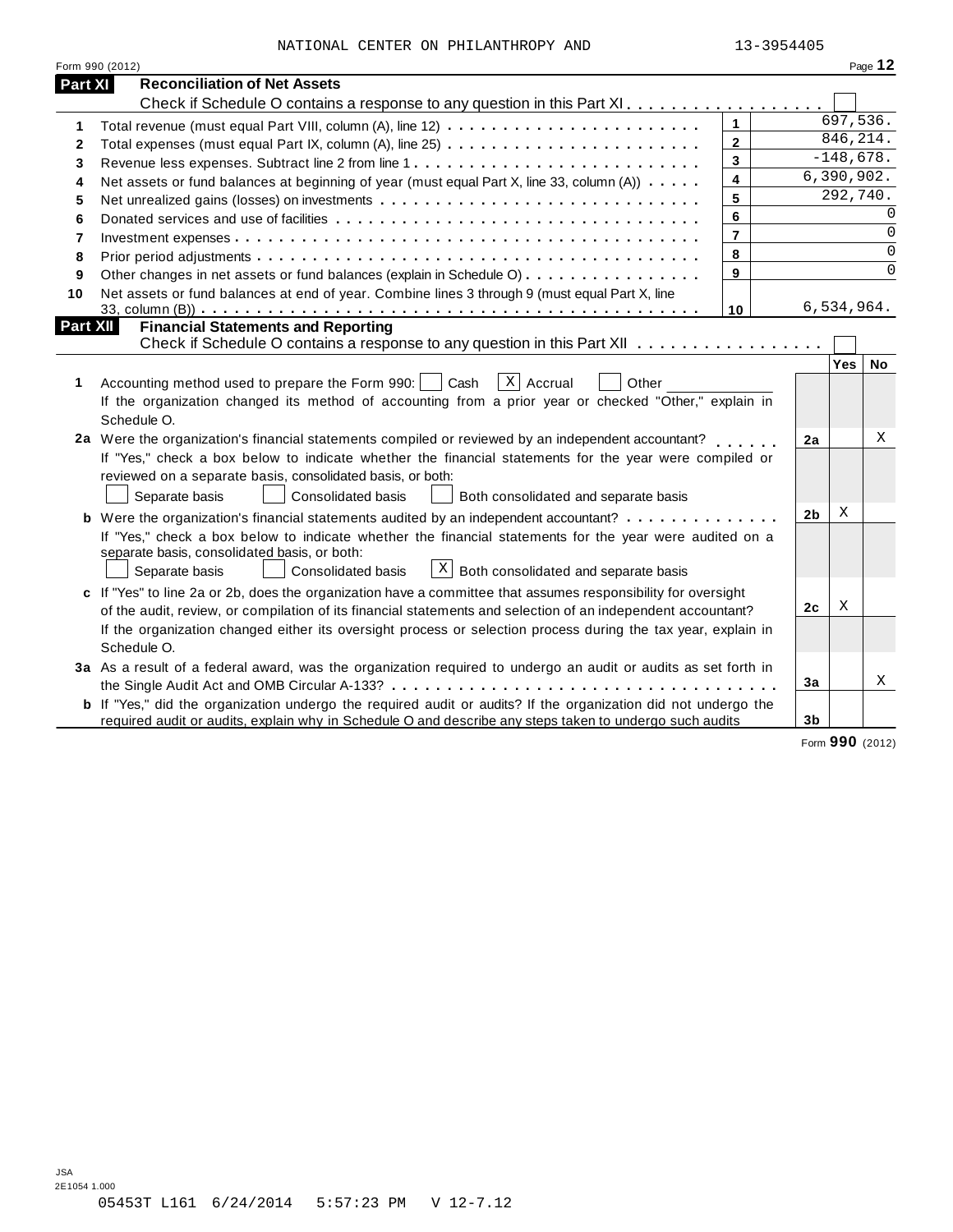|  |  | NATIONAL CENTER ON PHILANTHROPY AND | 13-3954405 |
|--|--|-------------------------------------|------------|

|                 | Form 990 (2012)                                                                                                       |                |                |                  | Page 12   |
|-----------------|-----------------------------------------------------------------------------------------------------------------------|----------------|----------------|------------------|-----------|
| <b>Part XI</b>  | <b>Reconciliation of Net Assets</b>                                                                                   |                |                |                  |           |
|                 | Check if Schedule O contains a response to any question in this Part XI                                               |                |                |                  |           |
| 1               |                                                                                                                       | $\mathbf{1}$   |                | 697,536.         |           |
| 2               |                                                                                                                       | $\mathbf{2}$   |                | 846, 214.        |           |
| 3               |                                                                                                                       | 3              |                | $-148,678.$      |           |
| 4               | Net assets or fund balances at beginning of year (must equal Part X, line 33, column (A))                             | 4              |                | 6,390,902.       |           |
| 5               |                                                                                                                       | 5              |                | 292,740.         |           |
| 6               |                                                                                                                       | 6              |                |                  | $\Omega$  |
| $\overline{7}$  |                                                                                                                       | $\overline{7}$ |                |                  | $\Omega$  |
| 8               |                                                                                                                       | 8              |                |                  | $\Omega$  |
| 9               | Other changes in net assets or fund balances (explain in Schedule O)                                                  | 9              |                |                  | $\Omega$  |
| 10              | Net assets or fund balances at end of year. Combine lines 3 through 9 (must equal Part X, line                        |                |                |                  |           |
|                 |                                                                                                                       | 10             |                | 6,534,964.       |           |
| <b>Part XII</b> | <b>Financial Statements and Reporting</b>                                                                             |                |                |                  |           |
|                 | Check if Schedule O contains a response to any question in this Part XII                                              |                |                |                  |           |
|                 |                                                                                                                       |                |                | Yes <sup>1</sup> | <b>No</b> |
| 1               | X Accrual<br>Accounting method used to prepare the Form 990:<br>Cash<br>Other                                         |                |                |                  |           |
|                 | If the organization changed its method of accounting from a prior year or checked "Other," explain in                 |                |                |                  |           |
|                 | Schedule O.                                                                                                           |                |                |                  |           |
|                 | 2a Were the organization's financial statements compiled or reviewed by an independent accountant?                    |                | 2a             |                  | X         |
|                 | If "Yes," check a box below to indicate whether the financial statements for the year were compiled or                |                |                |                  |           |
|                 | reviewed on a separate basis, consolidated basis, or both:                                                            |                |                |                  |           |
|                 | Separate basis<br><b>Consolidated basis</b><br>Both consolidated and separate basis                                   |                |                |                  |           |
|                 | <b>b</b> Were the organization's financial statements audited by an independent accountant?                           |                | 2 <sub>b</sub> | X                |           |
|                 | If "Yes," check a box below to indicate whether the financial statements for the year were audited on a               |                |                |                  |           |
|                 | separate basis, consolidated basis, or both:                                                                          |                |                |                  |           |
|                 | $\lfloor x \rfloor$ Both consolidated and separate basis<br>Separate basis<br>Consolidated basis                      |                |                |                  |           |
|                 | c If "Yes" to line 2a or 2b, does the organization have a committee that assumes responsibility for oversight         |                |                |                  |           |
|                 | of the audit, review, or compilation of its financial statements and selection of an independent accountant?          |                | 2c             | X                |           |
|                 | If the organization changed either its oversight process or selection process during the tax year, explain in         |                |                |                  |           |
|                 | Schedule O.                                                                                                           |                |                |                  |           |
|                 | 3a As a result of a federal award, was the organization required to undergo an audit or audits as set forth in        |                |                |                  |           |
|                 |                                                                                                                       |                | 3a             |                  | X         |
|                 | <b>b</b> If "Yes," did the organization undergo the required audit or audits? If the organization did not undergo the |                |                |                  |           |
|                 | required audit or audits, explain why in Schedule O and describe any steps taken to undergo such audits               |                | 3b             |                  |           |

Form **990** (2012)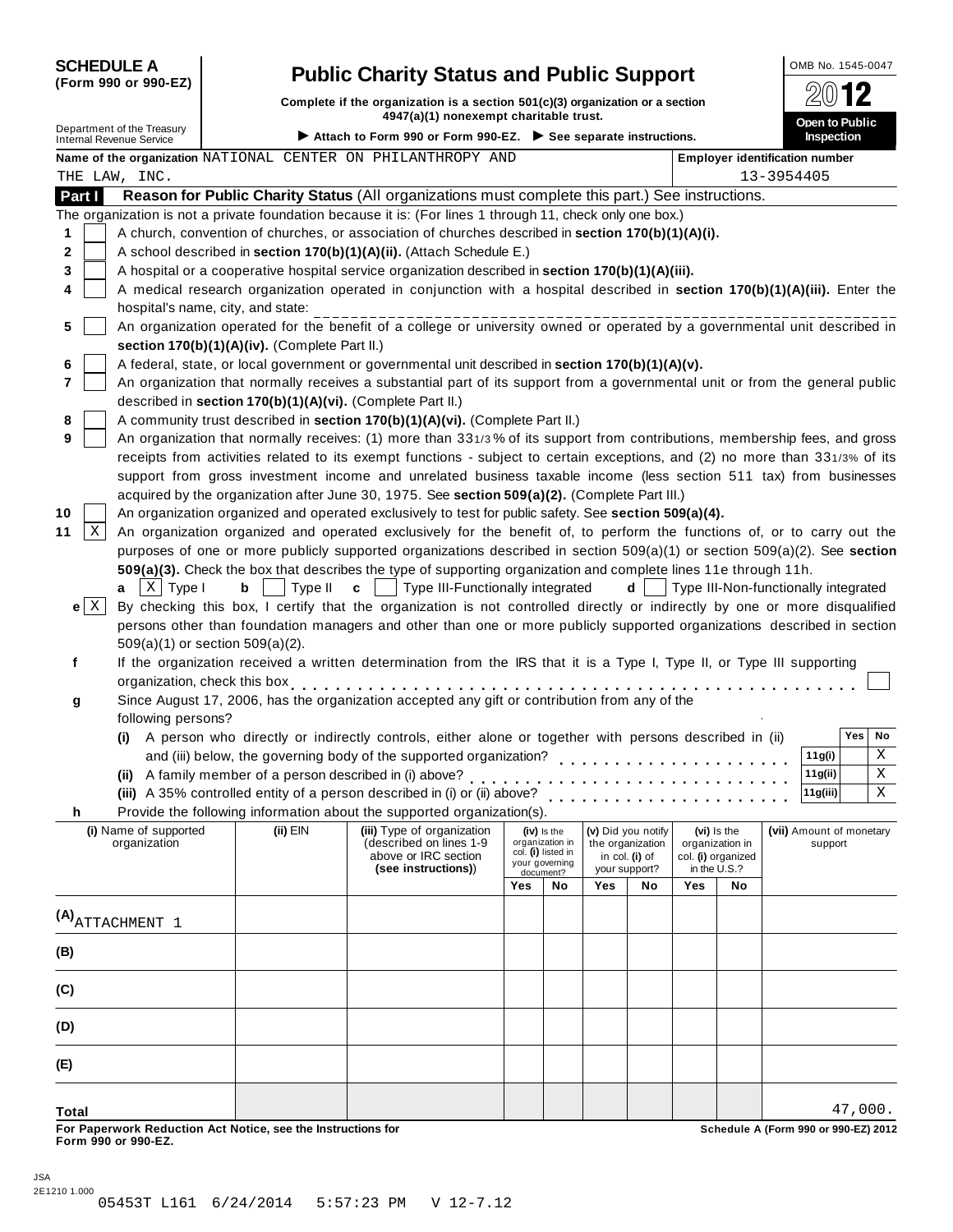| <b>SCHEDULE A</b> |  |                      |
|-------------------|--|----------------------|
|                   |  | (Form 990 or 990-EZ) |

# **Public Charity Status and Public Support**  $\frac{\text{OMB No. 1545-0047}}{2012}$

**Complete if the organization is a section 501(c)(3) organization or a section**  $\frac{1}{20}$  **12**<br> **4947(a)(1)** nonexempt charitable trust.

Department of the Treasury **Department of the Treasury and Department of the Treasury Department of the Treasury Department of the Treasury Department of the Treasury <b>Department Conduct of Attach to Form 990 or Form 990-**

|               | Name of the organization NATIONAL CENTER ON PHILANTHROPY AND |                                                                                                  |                                                                                                                              |                                                                             |                             |                                       | Employer identification number<br>13-3954405 |     |                                      |  |                          |         |    |
|---------------|--------------------------------------------------------------|--------------------------------------------------------------------------------------------------|------------------------------------------------------------------------------------------------------------------------------|-----------------------------------------------------------------------------|-----------------------------|---------------------------------------|----------------------------------------------|-----|--------------------------------------|--|--------------------------|---------|----|
| THE LAW, INC. |                                                              |                                                                                                  |                                                                                                                              |                                                                             |                             |                                       |                                              |     |                                      |  |                          |         |    |
| Part I        |                                                              |                                                                                                  | Reason for Public Charity Status (All organizations must complete this part.) See instructions.                              |                                                                             |                             |                                       |                                              |     |                                      |  |                          |         |    |
|               |                                                              |                                                                                                  | The organization is not a private foundation because it is: (For lines 1 through 11, check only one box.)                    |                                                                             |                             |                                       |                                              |     |                                      |  |                          |         |    |
| 1             |                                                              |                                                                                                  | A church, convention of churches, or association of churches described in section 170(b)(1)(A)(i).                           |                                                                             |                             |                                       |                                              |     |                                      |  |                          |         |    |
| 2             |                                                              |                                                                                                  | A school described in section 170(b)(1)(A)(ii). (Attach Schedule E.)                                                         |                                                                             |                             |                                       |                                              |     |                                      |  |                          |         |    |
| 3             |                                                              |                                                                                                  | A hospital or a cooperative hospital service organization described in section 170(b)(1)(A)(iii).                            |                                                                             |                             |                                       |                                              |     |                                      |  |                          |         |    |
|               |                                                              |                                                                                                  | A medical research organization operated in conjunction with a hospital described in section 170(b)(1)(A)(iii). Enter the    |                                                                             |                             |                                       |                                              |     |                                      |  |                          |         |    |
| 5             | hospital's name, city, and state:                            |                                                                                                  |                                                                                                                              |                                                                             |                             |                                       |                                              |     |                                      |  |                          |         |    |
|               |                                                              | section 170(b)(1)(A)(iv). (Complete Part II.)                                                    | An organization operated for the benefit of a college or university owned or operated by a governmental unit described in    |                                                                             |                             |                                       |                                              |     |                                      |  |                          |         |    |
|               |                                                              | A federal, state, or local government or governmental unit described in section 170(b)(1)(A)(v). |                                                                                                                              |                                                                             |                             |                                       |                                              |     |                                      |  |                          |         |    |
| 7             |                                                              |                                                                                                  | An organization that normally receives a substantial part of its support from a governmental unit or from the general public |                                                                             |                             |                                       |                                              |     |                                      |  |                          |         |    |
|               |                                                              |                                                                                                  | described in section 170(b)(1)(A)(vi). (Complete Part II.)                                                                   |                                                                             |                             |                                       |                                              |     |                                      |  |                          |         |    |
|               |                                                              |                                                                                                  | A community trust described in section 170(b)(1)(A)(vi). (Complete Part II.)                                                 |                                                                             |                             |                                       |                                              |     |                                      |  |                          |         |    |
|               |                                                              |                                                                                                  | An organization that normally receives: (1) more than 331/3% of its support from contributions, membership fees, and gross   |                                                                             |                             |                                       |                                              |     |                                      |  |                          |         |    |
|               |                                                              |                                                                                                  | receipts from activities related to its exempt functions - subject to certain exceptions, and (2) no more than 331/3% of its |                                                                             |                             |                                       |                                              |     |                                      |  |                          |         |    |
|               |                                                              |                                                                                                  | support from gross investment income and unrelated business taxable income (less section 511 tax) from businesses            |                                                                             |                             |                                       |                                              |     |                                      |  |                          |         |    |
|               |                                                              |                                                                                                  | acquired by the organization after June 30, 1975. See section 509(a)(2). (Complete Part III.)                                |                                                                             |                             |                                       |                                              |     |                                      |  |                          |         |    |
|               |                                                              |                                                                                                  | An organization organized and operated exclusively to test for public safety. See section 509(a)(4).                         |                                                                             |                             |                                       |                                              |     |                                      |  |                          |         |    |
| Χ             |                                                              |                                                                                                  | An organization organized and operated exclusively for the benefit of, to perform the functions of, or to carry out the      |                                                                             |                             |                                       |                                              |     |                                      |  |                          |         |    |
|               |                                                              |                                                                                                  | purposes of one or more publicly supported organizations described in section 509(a)(1) or section 509(a)(2). See section    |                                                                             |                             |                                       |                                              |     |                                      |  |                          |         |    |
|               |                                                              |                                                                                                  | 509(a)(3). Check the box that describes the type of supporting organization and complete lines 11e through 11h.              |                                                                             |                             |                                       |                                              |     |                                      |  |                          |         |    |
| a             | $X$ Type I                                                   | Type II<br>b                                                                                     | Type III-Functionally integrated<br>$\mathbf c$                                                                              |                                                                             |                             |                                       | d                                            |     | Type III-Non-functionally integrated |  |                          |         |    |
| $e \mid X$    |                                                              |                                                                                                  | By checking this box, I certify that the organization is not controlled directly or indirectly by one or more disqualified   |                                                                             |                             |                                       |                                              |     |                                      |  |                          |         |    |
|               |                                                              |                                                                                                  | persons other than foundation managers and other than one or more publicly supported organizations described in section      |                                                                             |                             |                                       |                                              |     |                                      |  |                          |         |    |
|               | 509(a)(1) or section 509(a)(2).                              |                                                                                                  |                                                                                                                              |                                                                             |                             |                                       |                                              |     |                                      |  |                          |         |    |
| f             |                                                              |                                                                                                  | If the organization received a written determination from the IRS that it is a Type I, Type II, or Type III supporting       |                                                                             |                             |                                       |                                              |     |                                      |  |                          |         |    |
|               | organization, check this box                                 |                                                                                                  |                                                                                                                              |                                                                             |                             |                                       |                                              |     |                                      |  |                          |         |    |
| g             |                                                              |                                                                                                  | Since August 17, 2006, has the organization accepted any gift or contribution from any of the                                |                                                                             |                             |                                       |                                              |     |                                      |  |                          |         |    |
|               | following persons?                                           |                                                                                                  |                                                                                                                              |                                                                             |                             |                                       |                                              |     |                                      |  |                          |         |    |
|               |                                                              |                                                                                                  | (i) A person who directly or indirectly controls, either alone or together with persons described in (ii)                    |                                                                             |                             |                                       |                                              |     |                                      |  |                          | Yes     | No |
|               |                                                              |                                                                                                  | and (iii) below, the governing body of the supported organization?                                                           |                                                                             |                             |                                       |                                              |     |                                      |  | 11g(i)                   |         | Χ  |
|               |                                                              |                                                                                                  | (ii) A family member of a person described in (i) above?                                                                     |                                                                             |                             |                                       |                                              |     |                                      |  | 11g(ii)                  |         | Χ  |
|               |                                                              |                                                                                                  | (iii) A 35% controlled entity of a person described in (i) or (ii) above?                                                    |                                                                             |                             |                                       |                                              |     |                                      |  | 11g(iii)                 |         | X  |
| h.            |                                                              |                                                                                                  | Provide the following information about the supported organization(s).                                                       |                                                                             |                             |                                       |                                              |     |                                      |  |                          |         |    |
|               | (i) Name of supported                                        | (ii) $EIN$                                                                                       | (iii) Type of organization                                                                                                   |                                                                             | (iv) is the                 |                                       | (v) Did you notify                           |     | (vi) Is the                          |  | (vii) Amount of monetary |         |    |
|               | organization                                                 |                                                                                                  | (described on lines 1-9<br>above or IRC section                                                                              | organization in<br>the organization<br>col. (I) listed in<br>in col. (i) of |                             | organization in<br>col. (i) organized |                                              |     | support                              |  |                          |         |    |
|               |                                                              |                                                                                                  | (see instructions))                                                                                                          |                                                                             | your governing<br>document? |                                       | your support?                                |     | in the U.S.?                         |  |                          |         |    |
|               |                                                              |                                                                                                  |                                                                                                                              | Yes                                                                         | No                          | <b>Yes</b>                            | No                                           | Yes | No                                   |  |                          |         |    |
|               |                                                              |                                                                                                  |                                                                                                                              |                                                                             |                             |                                       |                                              |     |                                      |  |                          |         |    |
|               | $(A)$ ATTACHMENT $1$                                         |                                                                                                  |                                                                                                                              |                                                                             |                             |                                       |                                              |     |                                      |  |                          |         |    |
| (B)           |                                                              |                                                                                                  |                                                                                                                              |                                                                             |                             |                                       |                                              |     |                                      |  |                          |         |    |
|               |                                                              |                                                                                                  |                                                                                                                              |                                                                             |                             |                                       |                                              |     |                                      |  |                          |         |    |
| (C)           |                                                              |                                                                                                  |                                                                                                                              |                                                                             |                             |                                       |                                              |     |                                      |  |                          |         |    |
|               |                                                              |                                                                                                  |                                                                                                                              |                                                                             |                             |                                       |                                              |     |                                      |  |                          |         |    |
| (D)           |                                                              |                                                                                                  |                                                                                                                              |                                                                             |                             |                                       |                                              |     |                                      |  |                          |         |    |
| (E)           |                                                              |                                                                                                  |                                                                                                                              |                                                                             |                             |                                       |                                              |     |                                      |  |                          |         |    |
| <b>Total</b>  |                                                              |                                                                                                  |                                                                                                                              |                                                                             |                             |                                       |                                              |     |                                      |  |                          | 47,000. |    |

For Paperwork Reduction Act Notice, see the Instructions for the controll of the control of the Schedule A (Form 990 or 990-EZ) 2012<br>Form 990 or 990-EZ.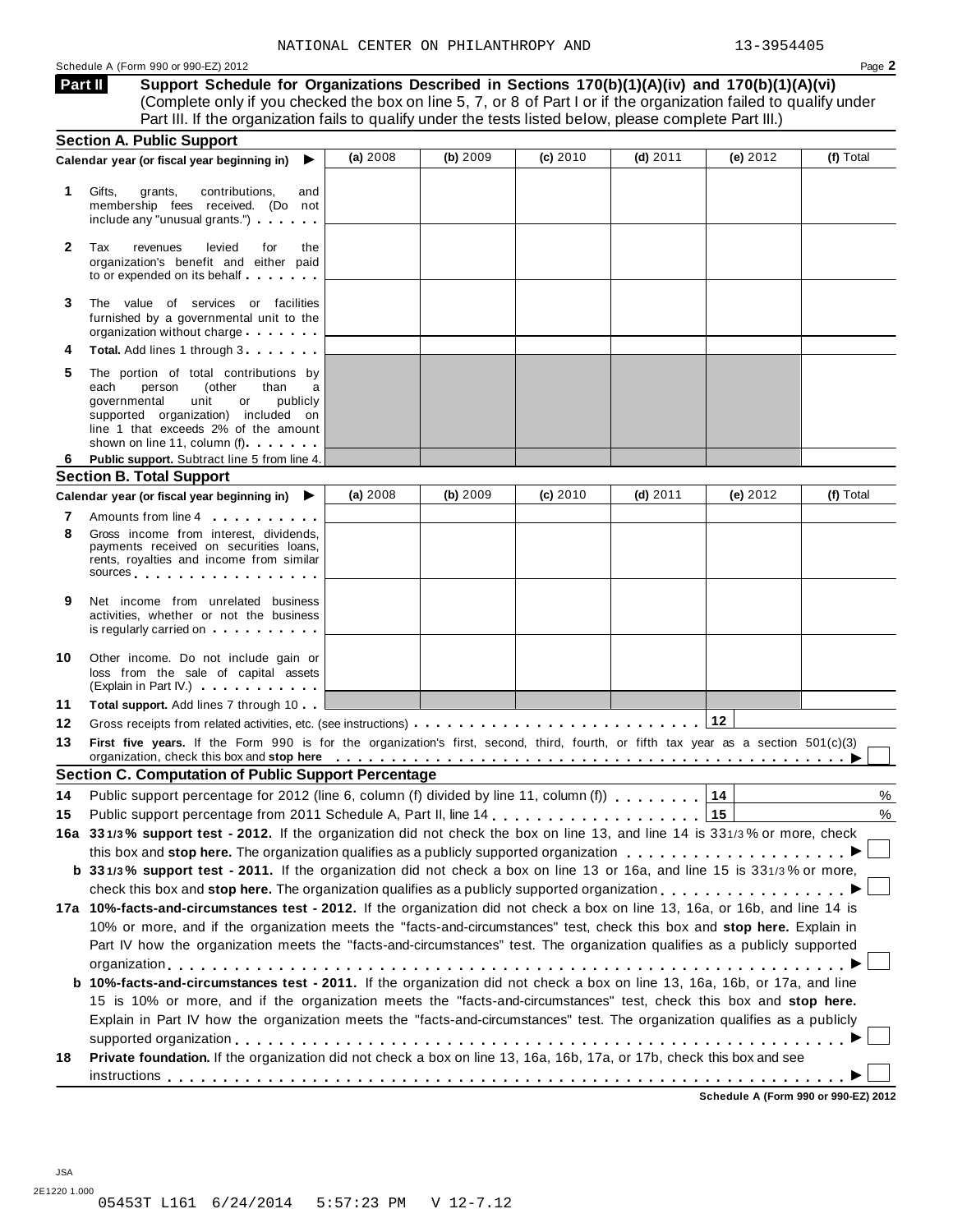#### Schedule A (Form 990 or 990-EZ) 2012 Page **2**

**Support Schedule for Organizations Described in Sections 170(b)(1)(A)(iv) and 170(b)(1)(A)(vi)** (Complete only if you checked the box on line 5, 7, or 8 of Part I or if the organization failed to qualify under Part III. If the organization fails to qualify under the tests listed below, please complete Part III.) **Part II**

|              | <b>Section A. Public Support</b>                                                                                                                                                                                                                                                                                                                                              |          |          |          |            |                                     |           |
|--------------|-------------------------------------------------------------------------------------------------------------------------------------------------------------------------------------------------------------------------------------------------------------------------------------------------------------------------------------------------------------------------------|----------|----------|----------|------------|-------------------------------------|-----------|
|              | Calendar year (or fiscal year beginning in)<br>▶                                                                                                                                                                                                                                                                                                                              | (a) 2008 | (b) 2009 | (c) 2010 | $(d)$ 2011 | (e) $2012$                          | (f) Total |
| 1.           | Gifts,<br>contributions,<br>grants,<br>and<br>membership fees received. (Do not<br>include any "unusual grants.")                                                                                                                                                                                                                                                             |          |          |          |            |                                     |           |
| $\mathbf{2}$ | Tax<br>revenues<br>levied<br>for<br>the<br>organization's benefit and either paid                                                                                                                                                                                                                                                                                             |          |          |          |            |                                     |           |
| 3            | The value of services or facilities<br>furnished by a governmental unit to the<br>organization without charge expansion or the set of the set of the set of the set of the set of the set of the                                                                                                                                                                              |          |          |          |            |                                     |           |
| 4            | Total. Add lines 1 through 3                                                                                                                                                                                                                                                                                                                                                  |          |          |          |            |                                     |           |
| 5            | The portion of total contributions by<br>(other<br>each<br>person<br>than<br>a<br>governmental<br>unit<br>or<br>publicly<br>supported organization) included on<br>line 1 that exceeds 2% of the amount<br>shown on line 11, column (f)                                                                                                                                       |          |          |          |            |                                     |           |
| 6            | Public support. Subtract line 5 from line 4.                                                                                                                                                                                                                                                                                                                                  |          |          |          |            |                                     |           |
|              | <b>Section B. Total Support</b>                                                                                                                                                                                                                                                                                                                                               |          |          |          |            |                                     |           |
|              | Calendar year (or fiscal year beginning in)<br>▸                                                                                                                                                                                                                                                                                                                              | (a) 2008 | (b) 2009 | (c) 2010 | $(d)$ 2011 | (e) 2012                            | (f) Total |
| 7            | Amounts from line 4                                                                                                                                                                                                                                                                                                                                                           |          |          |          |            |                                     |           |
| 8            | Gross income from interest, dividends,<br>payments received on securities loans,<br>rents, royalties and income from similar<br>sources experiences and the set of the set of the set of the set of the set of the set of the set of the set of the set of the set of the set of the set of the set of the set of the set of the set of the set of the set of                 |          |          |          |            |                                     |           |
| 9            | Net income from unrelated business<br>activities, whether or not the business<br>is regularly carried on extension of the set of the set of the set of the set of the set of the set of the set of the set of the set of the set of the set of the set of the set of the set of the set of the set of the set o                                                               |          |          |          |            |                                     |           |
| 10           | Other income. Do not include gain or<br>loss from the sale of capital assets<br>(Explain in Part IV.) <b>CONTAINGLET</b>                                                                                                                                                                                                                                                      |          |          |          |            |                                     |           |
| 11           | <b>Total support.</b> Add lines 7 through 10                                                                                                                                                                                                                                                                                                                                  |          |          |          |            |                                     |           |
| 12           |                                                                                                                                                                                                                                                                                                                                                                               |          |          |          |            | 12                                  |           |
| 13           | First five years. If the Form 990 is for the organization's first, second, third, fourth, or fifth tax year as a section 501(c)(3)<br>organization, check this box and stop here enterpretation of the state of the state of the state of the state of the state of the state of the state of the state of the state of the state of the state of the state of the s          |          |          |          |            |                                     |           |
|              | <b>Section C. Computation of Public Support Percentage</b>                                                                                                                                                                                                                                                                                                                    |          |          |          |            |                                     |           |
| 14           | Public support percentage for 2012 (line 6, column (f) divided by line 11, column (f)                                                                                                                                                                                                                                                                                         |          |          |          |            | 14                                  | %         |
| 15           |                                                                                                                                                                                                                                                                                                                                                                               |          |          |          |            | 15                                  | %         |
|              | 16a 331/3% support test - 2012. If the organization did not check the box on line 13, and line 14 is 331/3% or more, check                                                                                                                                                                                                                                                    |          |          |          |            |                                     |           |
|              | this box and stop here. The organization qualifies as a publicly supported organization                                                                                                                                                                                                                                                                                       |          |          |          |            |                                     |           |
|              | b 331/3% support test - 2011. If the organization did not check a box on line 13 or 16a, and line 15 is 331/3% or more,                                                                                                                                                                                                                                                       |          |          |          |            |                                     |           |
|              |                                                                                                                                                                                                                                                                                                                                                                               |          |          |          |            |                                     |           |
|              | 17a 10%-facts-and-circumstances test - 2012. If the organization did not check a box on line 13, 16a, or 16b, and line 14 is                                                                                                                                                                                                                                                  |          |          |          |            |                                     |           |
|              | 10% or more, and if the organization meets the "facts-and-circumstances" test, check this box and stop here. Explain in                                                                                                                                                                                                                                                       |          |          |          |            |                                     |           |
|              | Part IV how the organization meets the "facts-and-circumstances" test. The organization qualifies as a publicly supported                                                                                                                                                                                                                                                     |          |          |          |            |                                     |           |
|              |                                                                                                                                                                                                                                                                                                                                                                               |          |          |          |            |                                     |           |
|              | b 10%-facts-and-circumstances test - 2011. If the organization did not check a box on line 13, 16a, 16b, or 17a, and line<br>15 is 10% or more, and if the organization meets the "facts-and-circumstances" test, check this box and stop here.<br>Explain in Part IV how the organization meets the "facts-and-circumstances" test. The organization qualifies as a publicly |          |          |          |            |                                     |           |
| 18           | Private foundation. If the organization did not check a box on line 13, 16a, 16b, 17a, or 17b, check this box and see                                                                                                                                                                                                                                                         |          |          |          |            |                                     |           |
|              |                                                                                                                                                                                                                                                                                                                                                                               |          |          |          |            | Sebedule A (Ferm 000 er 000 F7) 201 |           |

**Schedule A (Form 990 or 990-EZ) 2012**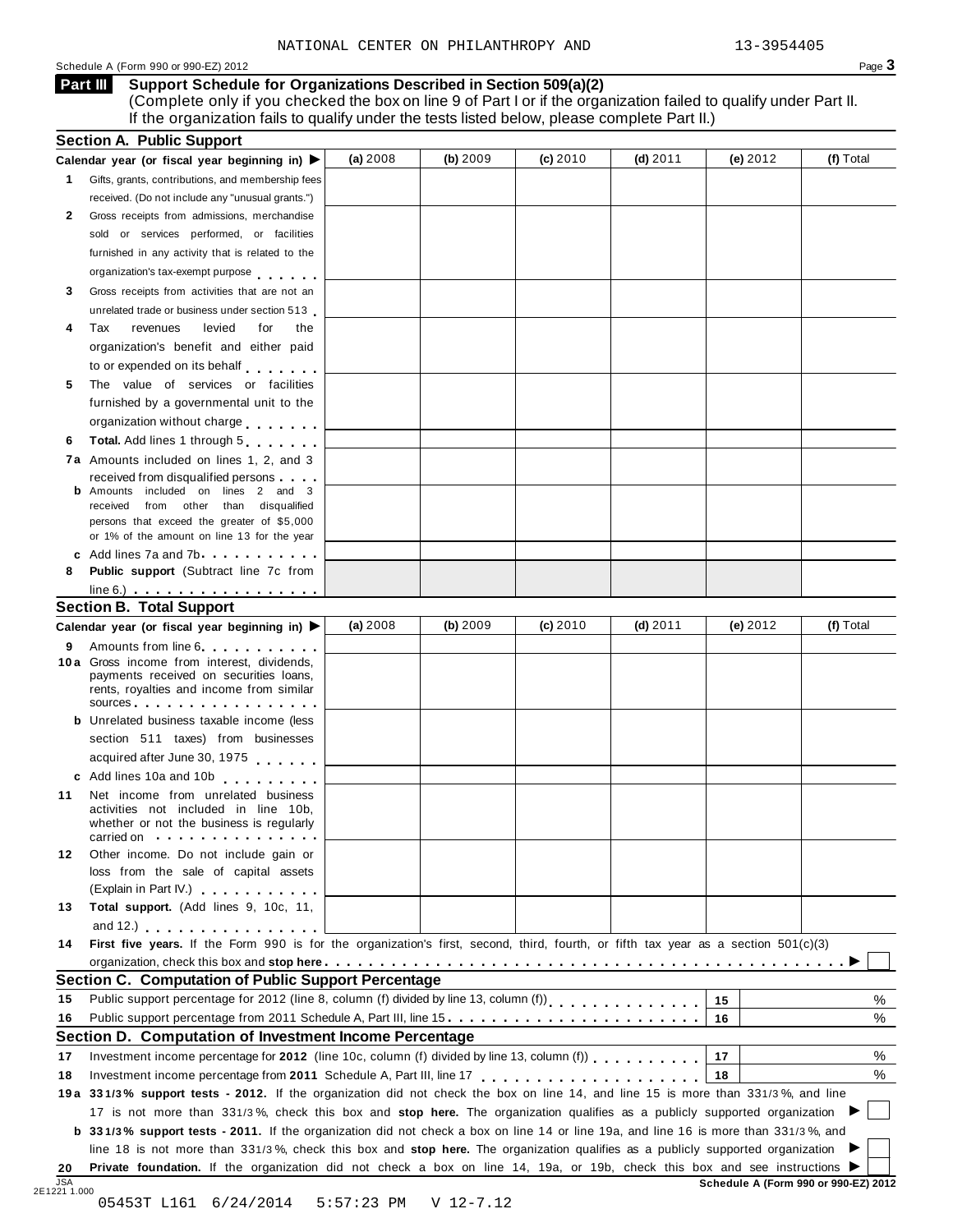Schedule <sup>A</sup> (Form <sup>990</sup> or 990-EZ) <sup>2012</sup> Page **3**

## **Support Schedule for Organizations Described in Section 509(a)(2) Part III**

(Complete only if you checked the box on line 9 of Part I or if the organization failed to qualify under Part II. If the organization fails to qualify under the tests listed below, please complete Part II.)

|    | Calendar year (or fiscal year beginning in) ▶                                                                                                                                                                                  | (a) 2008 | (b) 2009 | (c) 2010 | $(d)$ 2011 | (e) $2012$ | (f) Total |
|----|--------------------------------------------------------------------------------------------------------------------------------------------------------------------------------------------------------------------------------|----------|----------|----------|------------|------------|-----------|
|    | 1 Gifts, grants, contributions, and membership fees                                                                                                                                                                            |          |          |          |            |            |           |
|    | received. (Do not include any "unusual grants.")                                                                                                                                                                               |          |          |          |            |            |           |
| 2  | Gross receipts from admissions, merchandise                                                                                                                                                                                    |          |          |          |            |            |           |
|    | sold or services performed, or facilities                                                                                                                                                                                      |          |          |          |            |            |           |
|    | furnished in any activity that is related to the                                                                                                                                                                               |          |          |          |            |            |           |
|    | organization's tax-exempt purpose                                                                                                                                                                                              |          |          |          |            |            |           |
| 3  | Gross receipts from activities that are not an                                                                                                                                                                                 |          |          |          |            |            |           |
|    | unrelated trade or business under section 513                                                                                                                                                                                  |          |          |          |            |            |           |
| 4  | Tax<br>revenues<br>levied<br>for<br>the                                                                                                                                                                                        |          |          |          |            |            |           |
|    | organization's benefit and either paid                                                                                                                                                                                         |          |          |          |            |            |           |
|    | to or expended on its behalf                                                                                                                                                                                                   |          |          |          |            |            |           |
| 5  | The value of services or facilities                                                                                                                                                                                            |          |          |          |            |            |           |
|    | furnished by a governmental unit to the                                                                                                                                                                                        |          |          |          |            |            |           |
|    | organization without charge                                                                                                                                                                                                    |          |          |          |            |            |           |
| 6  | Total. Add lines 1 through 5                                                                                                                                                                                                   |          |          |          |            |            |           |
|    | 7a Amounts included on lines 1, 2, and 3                                                                                                                                                                                       |          |          |          |            |            |           |
|    | received from disqualified persons                                                                                                                                                                                             |          |          |          |            |            |           |
|    | <b>b</b> Amounts included on lines 2 and 3                                                                                                                                                                                     |          |          |          |            |            |           |
|    | received from other than disqualified<br>persons that exceed the greater of \$5,000                                                                                                                                            |          |          |          |            |            |           |
|    | or 1% of the amount on line 13 for the year                                                                                                                                                                                    |          |          |          |            |            |           |
|    | c Add lines 7a and 7b.                                                                                                                                                                                                         |          |          |          |            |            |           |
| 8  | Public support (Subtract line 7c from                                                                                                                                                                                          |          |          |          |            |            |           |
|    | $line 6.)$                                                                                                                                                                                                                     |          |          |          |            |            |           |
|    | <b>Section B. Total Support</b>                                                                                                                                                                                                |          |          |          |            |            |           |
|    | Calendar year (or fiscal year beginning in) $\blacktriangleright$                                                                                                                                                              | (a) 2008 | (b) 2009 | (c) 2010 | $(d)$ 2011 | (e) $2012$ | (f) Total |
| 9  | Amounts from line 6                                                                                                                                                                                                            |          |          |          |            |            |           |
|    | 10a Gross income from interest, dividends,                                                                                                                                                                                     |          |          |          |            |            |           |
|    | payments received on securities loans,<br>rents, royalties and income from similar                                                                                                                                             |          |          |          |            |            |           |
|    | sources entering the set of the set of the set of the set of the set of the set of the set of the set of the set of the set of the set of the set of the set of the set of the set of the set of the set of the set of the set |          |          |          |            |            |           |
|    | <b>b</b> Unrelated business taxable income (less                                                                                                                                                                               |          |          |          |            |            |           |
|    | section 511 taxes) from businesses                                                                                                                                                                                             |          |          |          |            |            |           |
|    | acquired after June 30, 1975                                                                                                                                                                                                   |          |          |          |            |            |           |
|    | c Add lines 10a and 10b                                                                                                                                                                                                        |          |          |          |            |            |           |
| 11 | Net income from unrelated business                                                                                                                                                                                             |          |          |          |            |            |           |
|    | activities not included in line 10b,<br>whether or not the business is regularly                                                                                                                                               |          |          |          |            |            |           |
|    | carried on the carried on the contract of the contract of the contract of the contract of the contract of the contract of the contract of the contract of the contract of the contract of the contract of the contract of the  |          |          |          |            |            |           |
| 12 | Other income. Do not include gain or                                                                                                                                                                                           |          |          |          |            |            |           |
|    | loss from the sale of capital assets                                                                                                                                                                                           |          |          |          |            |            |           |
|    | (Explain in Part IV.) <b>CONTAINS</b>                                                                                                                                                                                          |          |          |          |            |            |           |
| 13 | Total support. (Add lines 9, 10c, 11,                                                                                                                                                                                          |          |          |          |            |            |           |
|    | and 12.) $\ldots$ $\ldots$ $\ldots$ $\ldots$ $\ldots$ .                                                                                                                                                                        |          |          |          |            |            |           |
| 14 | First five years. If the Form 990 is for the organization's first, second, third, fourth, or fifth tax year as a section 501(c)(3)                                                                                             |          |          |          |            |            |           |
|    |                                                                                                                                                                                                                                |          |          |          |            |            |           |
|    | Section C. Computation of Public Support Percentage                                                                                                                                                                            |          |          |          |            |            |           |
| 15 |                                                                                                                                                                                                                                |          |          |          |            | 15         | %         |
| 16 | Public support percentage from 2011 Schedule A, Part III, line 15.                                                                                                                                                             |          |          |          |            | 16         | %         |
|    | Section D. Computation of Investment Income Percentage                                                                                                                                                                         |          |          |          |            |            |           |
| 17 | Investment income percentage for 2012 (line 10c, column (f) divided by line 13, column (f)                                                                                                                                     |          |          |          |            | 17         | %         |
| 18 |                                                                                                                                                                                                                                |          |          |          |            | 18         | %         |
|    | 19a 331/3% support tests - 2012. If the organization did not check the box on line 14, and line 15 is more than 331/3%, and line                                                                                               |          |          |          |            |            |           |
|    | 17 is not more than 331/3%, check this box and stop here. The organization qualifies as a publicly supported organization                                                                                                      |          |          |          |            |            |           |
|    | <b>b</b> 331/3% support tests - 2011. If the organization did not check a box on line 14 or line 19a, and line 16 is more than 331/3%, and                                                                                     |          |          |          |            |            |           |
|    | line 18 is not more than 331/3%, check this box and stop here. The organization qualifies as a publicly supported organization                                                                                                 |          |          |          |            |            |           |
| 20 | Private foundation. If the organization did not check a box on line 14, 19a, or 19b, check this box and see instructions ▶                                                                                                     |          |          |          |            |            |           |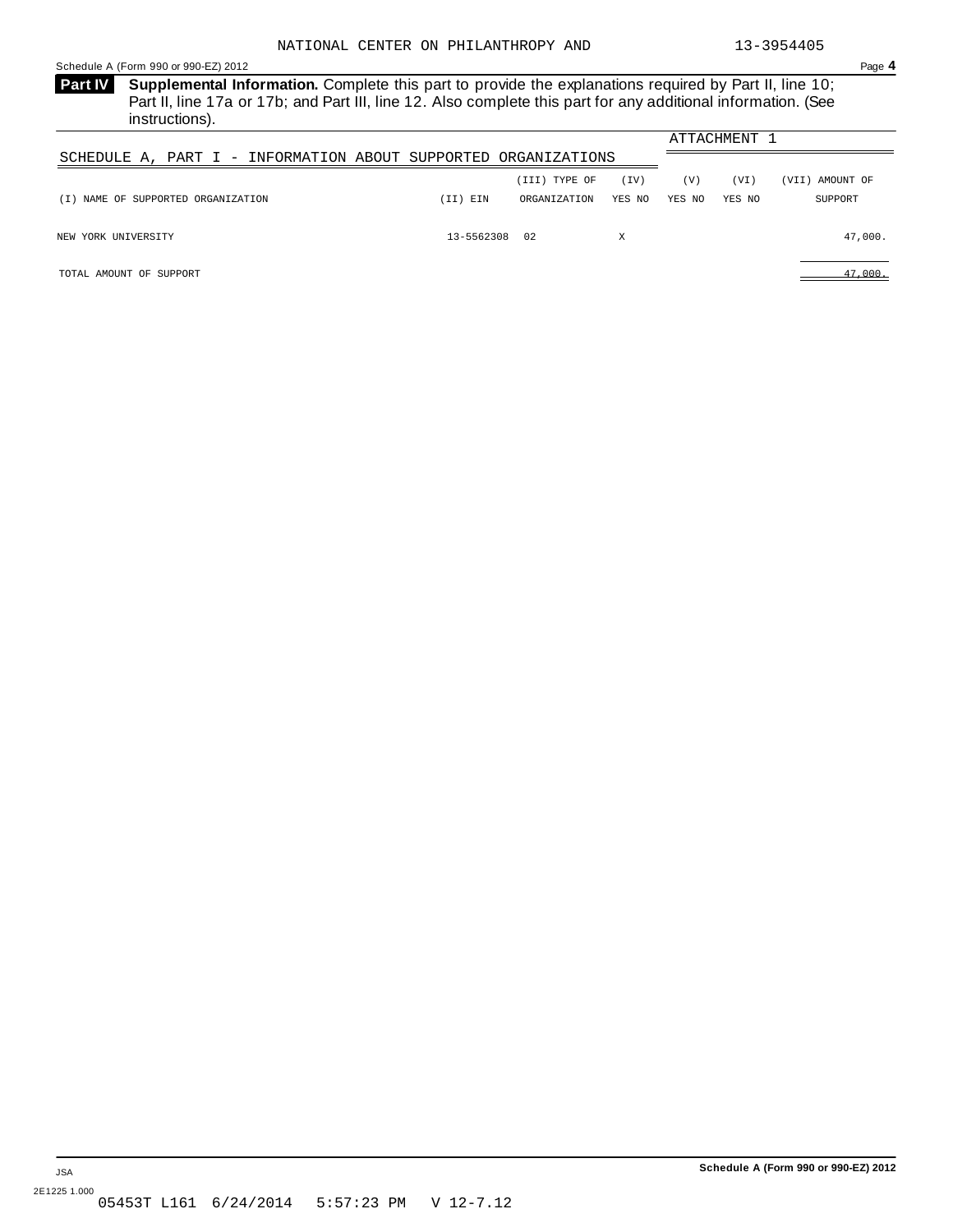<span id="page-17-0"></span>Schedule A (Form 990 or 990-EZ) 2012 Page **4**

**Supplemental Information.** Complete this part to provide the explanations required by Part II, line 10; **Part IV** Part II, line 17a or 17b; and Part III, line 12. Also complete this part for any additional information. (See instructions).

|                                                                |               |               |        |        | ATTACHMENT 1 |                 |
|----------------------------------------------------------------|---------------|---------------|--------|--------|--------------|-----------------|
| SCHEDULE A, PART I - INFORMATION ABOUT SUPPORTED ORGANIZATIONS |               |               |        |        |              |                 |
|                                                                |               | (III) TYPE OF | (TV)   | (V)    | (VI)         | (VII) AMOUNT OF |
| (I) NAME OF SUPPORTED ORGANIZATION                             | ) EIN<br>II)  | ORGANIZATION  | YES NO | YES NO | YES NO       | SUPPORT         |
| NEW YORK UNIVERSITY                                            | 13-5562308 02 |               | Χ      |        |              | 47,000.         |

TOTAL AMOUNT OF SUPPORT 47,000.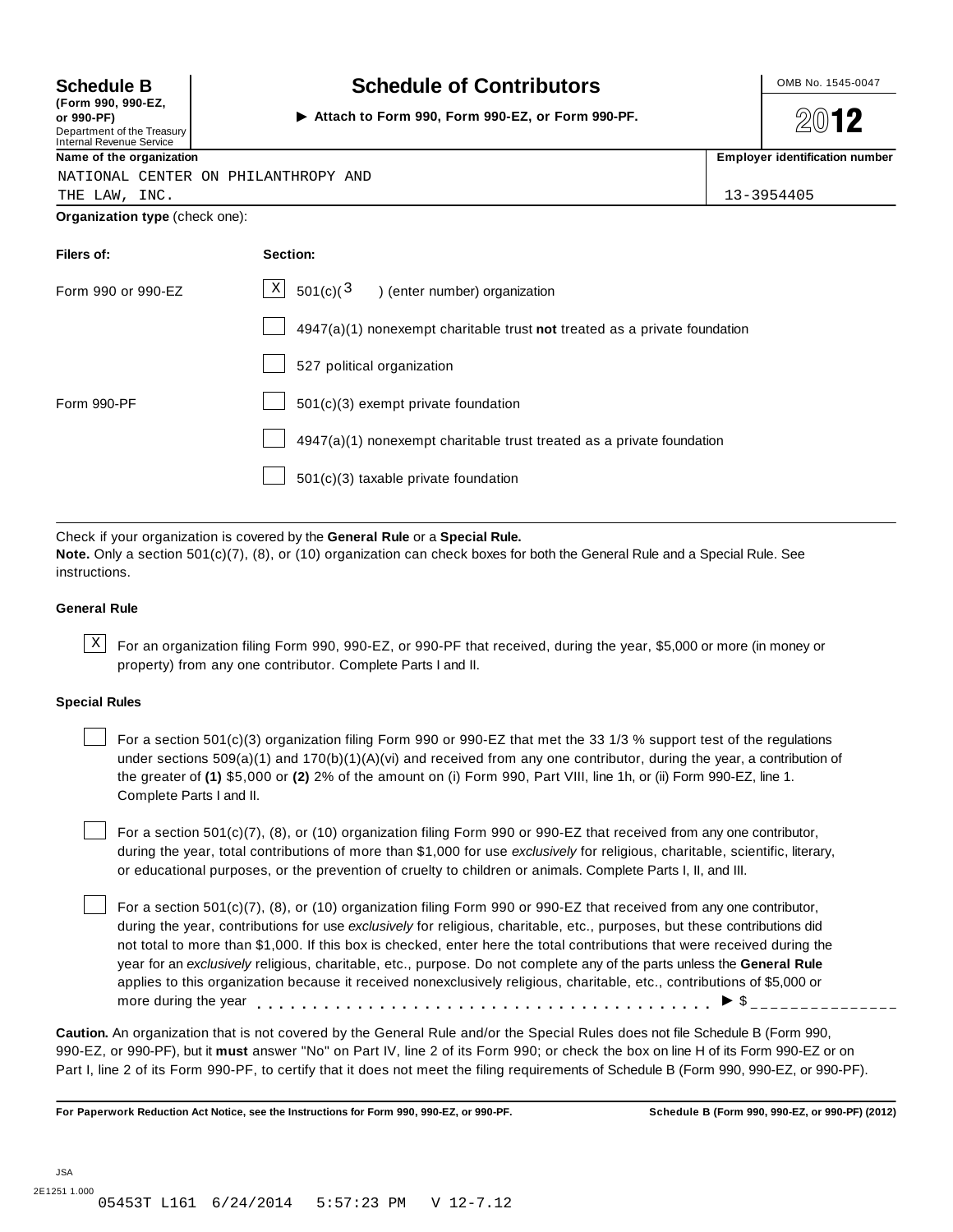**(Form 990, 990-EZ, or 990-PF)** I Department of the Treasury Internal Revenue Service

### **Schedule B**  $\begin{array}{|c|c|c|c|c|c|}\n\hline\n\textbf{S} & \textbf{S} & \textbf{C} & \textbf{C} & \textbf{C} & \textbf{D} & \textbf{C} & \textbf{S} & \textbf{D} & \textbf{D} & \textbf{D} & \textbf{D} & \textbf{D} & \textbf{D} & \textbf{D} & \textbf{D} & \textbf{D} & \textbf{D} & \textbf{D} & \textbf{D} & \textbf{D} & \textbf{D} & \textbf{D} & \textbf{D} & \textbf{D} & \textbf{D} & \text$

**Attach to Form 990, Form 990-EZ, or Form 990-PF.**

**2012** 

**name of** the organization **is a structure of the organization in the organization is a structure of the organization is a structure of the organization is a structure of the organization is a structure of the or** 

| <b>Hanne OF the Organization</b>    | Linpioyer identifi |
|-------------------------------------|--------------------|
| NATIONAL CENTER ON PHILANTHROPY AND |                    |
| THE LAW, INC.                       | 13-3954405         |

**Organization type** (check one):

| Filers of:         | Section:                                                                    |
|--------------------|-----------------------------------------------------------------------------|
| Form 990 or 990-EZ | $X$ 501(c)( <sup>3</sup> ) (enter number) organization                      |
|                    | $4947(a)(1)$ nonexempt charitable trust not treated as a private foundation |
|                    | 527 political organization                                                  |
| Form 990-PF        | 501(c)(3) exempt private foundation                                         |
|                    | 4947(a)(1) nonexempt charitable trust treated as a private foundation       |
|                    | 501(c)(3) taxable private foundation                                        |

Check if your organization is covered by the **General Rule** or a **Special Rule. Note.** Only a section 501(c)(7), (8), or (10) organization can check boxes for both the General Rule and a Special Rule. See

## instructions.

#### **General Rule**

 $\text{X}$  For an organization filing Form 990, 990-EZ, or 990-PF that received, during the year, \$5,000 or more (in money or property) from any one contributor. Complete Parts I and II.

#### **Special Rules**

For a section 501(c)(3) organization filing Form 990 or 990-EZ that met the 33 1/3 % support test of the regulations under sections 509(a)(1) and 170(b)(1)(A)(vi) and received from any one contributor, during the year, a contribution of the greater of **(1)** \$5,000 or **(2)** 2% of the amount on (i) Form 990, Part VIII, line 1h, or (ii) Form 990-EZ, line 1. Complete Parts I and II.

For a section 501(c)(7), (8), or (10) organization filing Form 990 or 990-EZ that received from any one contributor, during the year, total contributions of more than \$1,000 for use *exclusively* for religious, charitable, scientific, literary, or educational purposes, or the prevention of cruelty to children or animals. Complete Parts I, II, and III.

For a section 501(c)(7), (8), or (10) organization filing Form 990 or 990-EZ that received from any one contributor, during the year, contributions for use *exclusively* for religious, charitable, etc., purposes, but these contributions did not total to more than \$1,000. If this box is checked, enter here the total contributions that were received during the year for an *exclusively* religious, charitable, etc., purpose. Do not complete any of the parts unless the **General Rule** applies to this organization because it received nonexclusively religious, charitable, etc., contributions of \$5,000 or applies to this organization because it received nonexclusively religious, charitable, etc., contributions of  $\phi$ <br>more during the year<br> $\phi$ 

**Caution.** An organization that is not covered by the General Rule and/or the Special Rules does not file Schedule B (Form 990, 990-EZ, or 990-PF), but it **must** answer "No" on Part IV, line 2 of its Form 990; or check the box on line H of its Form 990-EZ or on Part I, line 2 of its Form 990-PF, to certify that it does not meet the filing requirements of Schedule B (Form 990, 990-EZ, or 990-PF).

For Paperwork Reduction Act Notice, see the Instructions for Form 990, 990-EZ, or 990-PF. Schedule B (Form 990, 990-EZ, or 990-PF) (2012)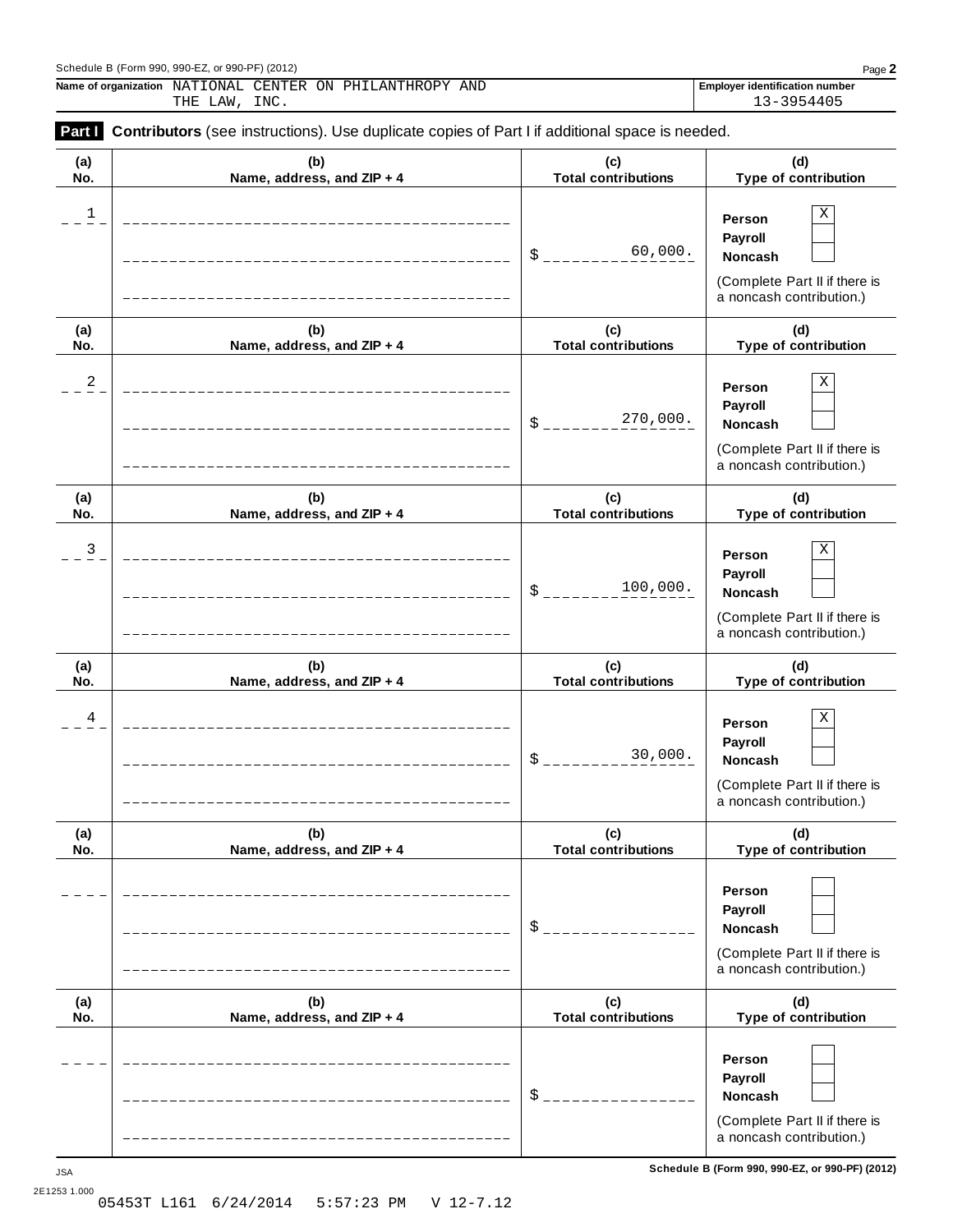#### Schedule B (Form 990, 990-EZ, or 990-PF) (2012) Page **2**

**Name of organization** NATIONAL CENTER ON PHILANTHROPY AND **FROM Employer identification** number THE LAW, INC. 13-3954405

| (a) | (b)                        | (c)                        | (d)                                                                                            |
|-----|----------------------------|----------------------------|------------------------------------------------------------------------------------------------|
| No. | Name, address, and ZIP + 4 | <b>Total contributions</b> | Type of contribution                                                                           |
| 1   |                            | 60,000.<br>\$              | Χ<br>Person<br>Payroll<br>Noncash<br>(Complete Part II if there is<br>a noncash contribution.) |
| (a) | (b)                        | (c)                        | (d)                                                                                            |
| No. | Name, address, and ZIP + 4 | <b>Total contributions</b> | Type of contribution                                                                           |
| 2   |                            | 270,000.<br>\$             | Χ<br>Person<br>Payroll<br>Noncash<br>(Complete Part II if there is<br>a noncash contribution.) |
| (a) | (b)                        | (c)                        | (d)                                                                                            |
| No. | Name, address, and ZIP + 4 | <b>Total contributions</b> | Type of contribution                                                                           |
| 3   |                            | 100,000.<br>\$             | Χ<br>Person<br>Payroll<br>Noncash<br>(Complete Part II if there is<br>a noncash contribution.) |
| (a) | (b)                        | (c)                        | (d)                                                                                            |
| No. | Name, address, and ZIP + 4 | <b>Total contributions</b> | Type of contribution                                                                           |
| 4   |                            | 30,000.<br>\$              | Χ<br>Person<br>Payroll<br>Noncash<br>(Complete Part II if there is<br>a noncash contribution.) |
| (a) | (b)                        | (c)                        | (d)                                                                                            |
| No. | Name, address, and ZIP + 4 | <b>Total contributions</b> | Type of contribution                                                                           |
|     |                            | \$                         | Person<br>Payroll<br>Noncash<br>(Complete Part II if there is<br>a noncash contribution.)      |
| (a) | (b)                        | (c)                        | (d)                                                                                            |
| No. | Name, address, and ZIP + 4 | <b>Total contributions</b> | Type of contribution                                                                           |
|     |                            | \$                         | Person<br>Payroll<br>Noncash<br>(Complete Part II if there is<br>a noncash contribution.)      |

**Schedule B (Form 990, 990-EZ, or 990-PF) (2012)** JSA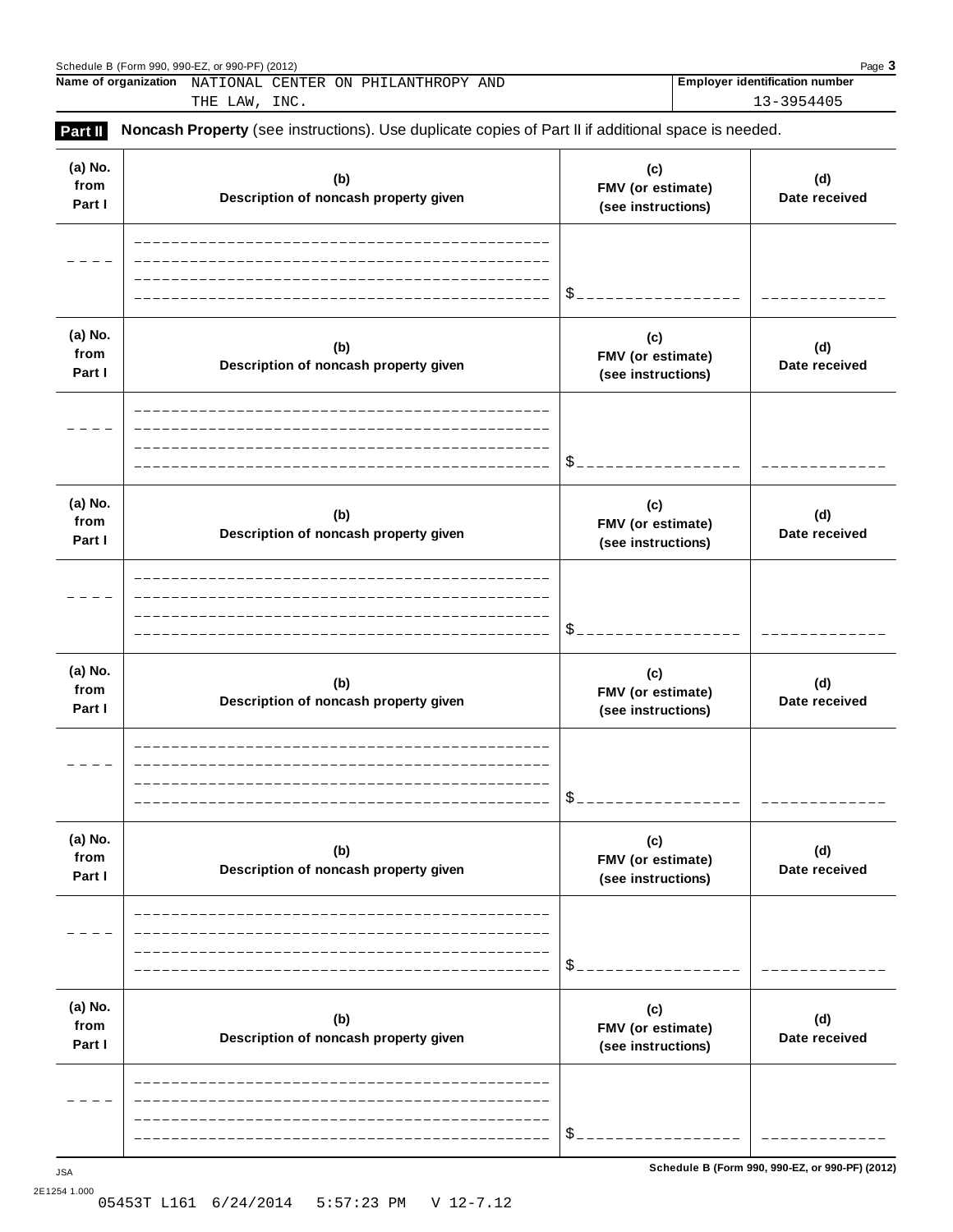| Page 3<br>Schedule B (Form 990, 990-EZ, or 990-PF) (2012) |                                                                                                            |                                       |  |  |  |
|-----------------------------------------------------------|------------------------------------------------------------------------------------------------------------|---------------------------------------|--|--|--|
|                                                           | Name of organization NATIONAL CENTER ON PHILANTHROPY AND                                                   | <b>Employer identification number</b> |  |  |  |
|                                                           | THE LAW, INC.                                                                                              | 13-3954405                            |  |  |  |
| Part II                                                   | <b>Noncash Property</b> (see instructions). Use duplicate copies of Part II if additional space is needed. |                                       |  |  |  |

| (a) No.<br>from<br>Part I | (b)<br>Description of noncash property given | (c)<br>FMV (or estimate)<br>(see instructions) | (d)<br>Date received                            |
|---------------------------|----------------------------------------------|------------------------------------------------|-------------------------------------------------|
|                           |                                              | \$                                             |                                                 |
| (a) No.<br>from<br>Part I | (b)<br>Description of noncash property given | (c)<br>FMV (or estimate)<br>(see instructions) | (d)<br>Date received                            |
|                           |                                              | \$                                             |                                                 |
| (a) No.<br>from<br>Part I | (b)<br>Description of noncash property given | (c)<br>FMV (or estimate)<br>(see instructions) | (d)<br>Date received                            |
|                           |                                              | \$                                             |                                                 |
| (a) No.<br>from<br>Part I | (b)<br>Description of noncash property given | (c)<br>FMV (or estimate)<br>(see instructions) | (d)<br>Date received                            |
|                           |                                              |                                                |                                                 |
| (a) No.<br>from<br>Part I | (b)<br>Description of noncash property given | (c)<br>FMV (or estimate)<br>(see instructions) | (d)<br>Date received                            |
|                           |                                              | \$                                             |                                                 |
| (a) No.<br>from<br>Part I | (b)<br>Description of noncash property given | (c)<br>FMV (or estimate)<br>(see instructions) | (d)<br>Date received                            |
|                           |                                              | \$                                             |                                                 |
| ${\sf JSA}$               |                                              |                                                | Schedule B (Form 990, 990-EZ, or 990-PF) (2012) |

2E1254 1.000 05453T L161 6/24/2014 5:57:23 PM V 12-7.12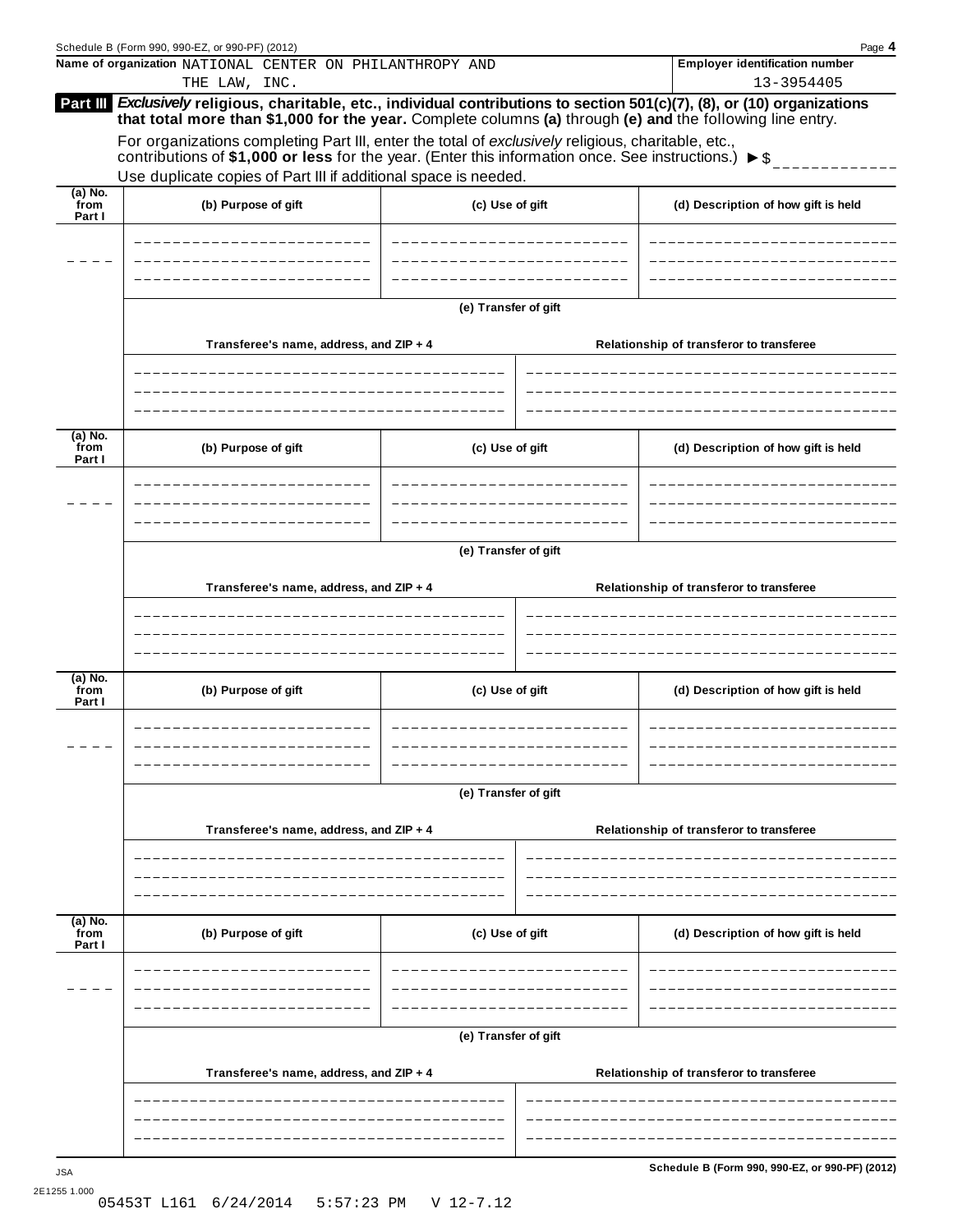|                             | Schedule B (Form 990, 990-EZ, or 990-PF) (2012)                                                                                                                                                                                                                                                                                                                                                                                                                                                                                          |                      |                                          | Page 4                                              |  |  |  |  |
|-----------------------------|------------------------------------------------------------------------------------------------------------------------------------------------------------------------------------------------------------------------------------------------------------------------------------------------------------------------------------------------------------------------------------------------------------------------------------------------------------------------------------------------------------------------------------------|----------------------|------------------------------------------|-----------------------------------------------------|--|--|--|--|
|                             | Name of organization NATIONAL CENTER ON PHILANTHROPY AND<br>THE LAW, INC.                                                                                                                                                                                                                                                                                                                                                                                                                                                                |                      |                                          | <b>Employer identification number</b><br>13-3954405 |  |  |  |  |
|                             | Part III Exclusively religious, charitable, etc., individual contributions to section 501(c)(7), (8), or (10) organizations<br>that total more than \$1,000 for the year. Complete columns (a) through (e) and the following line entry.<br>For organizations completing Part III, enter the total of exclusively religious, charitable, etc.,<br>contributions of \$1,000 or less for the year. (Enter this information once. See instructions.) $\triangleright$ \$<br>Use duplicate copies of Part III if additional space is needed. |                      |                                          |                                                     |  |  |  |  |
|                             |                                                                                                                                                                                                                                                                                                                                                                                                                                                                                                                                          |                      |                                          |                                                     |  |  |  |  |
| $(a)$ No.<br>from<br>Part I | (b) Purpose of gift                                                                                                                                                                                                                                                                                                                                                                                                                                                                                                                      | (c) Use of gift      |                                          | (d) Description of how gift is held                 |  |  |  |  |
|                             |                                                                                                                                                                                                                                                                                                                                                                                                                                                                                                                                          |                      |                                          |                                                     |  |  |  |  |
|                             | (e) Transfer of gift                                                                                                                                                                                                                                                                                                                                                                                                                                                                                                                     |                      |                                          |                                                     |  |  |  |  |
|                             | Transferee's name, address, and ZIP + 4                                                                                                                                                                                                                                                                                                                                                                                                                                                                                                  |                      | Relationship of transferor to transferee |                                                     |  |  |  |  |
|                             |                                                                                                                                                                                                                                                                                                                                                                                                                                                                                                                                          |                      |                                          |                                                     |  |  |  |  |
| (a) No.<br>`from<br>Part I  | (b) Purpose of gift                                                                                                                                                                                                                                                                                                                                                                                                                                                                                                                      | (c) Use of gift      |                                          | (d) Description of how gift is held                 |  |  |  |  |
|                             |                                                                                                                                                                                                                                                                                                                                                                                                                                                                                                                                          |                      |                                          |                                                     |  |  |  |  |
|                             | (e) Transfer of gift                                                                                                                                                                                                                                                                                                                                                                                                                                                                                                                     |                      |                                          |                                                     |  |  |  |  |
|                             | Transferee's name, address, and ZIP + 4                                                                                                                                                                                                                                                                                                                                                                                                                                                                                                  |                      | Relationship of transferor to transferee |                                                     |  |  |  |  |
|                             |                                                                                                                                                                                                                                                                                                                                                                                                                                                                                                                                          |                      |                                          |                                                     |  |  |  |  |
| (a) No.<br>from<br>Part I   | (b) Purpose of gift                                                                                                                                                                                                                                                                                                                                                                                                                                                                                                                      | (c) Use of gift      |                                          | (d) Description of how gift is held                 |  |  |  |  |
|                             |                                                                                                                                                                                                                                                                                                                                                                                                                                                                                                                                          |                      |                                          |                                                     |  |  |  |  |
|                             | (e) Transfer of gift                                                                                                                                                                                                                                                                                                                                                                                                                                                                                                                     |                      |                                          |                                                     |  |  |  |  |
|                             | Transferee's name, address, and ZIP + 4                                                                                                                                                                                                                                                                                                                                                                                                                                                                                                  |                      | Relationship of transferor to transferee |                                                     |  |  |  |  |
|                             |                                                                                                                                                                                                                                                                                                                                                                                                                                                                                                                                          |                      |                                          |                                                     |  |  |  |  |
| (a) No.<br>from<br>Part I   | (b) Purpose of gift                                                                                                                                                                                                                                                                                                                                                                                                                                                                                                                      | (c) Use of gift      |                                          | (d) Description of how gift is held                 |  |  |  |  |
|                             |                                                                                                                                                                                                                                                                                                                                                                                                                                                                                                                                          |                      |                                          |                                                     |  |  |  |  |
|                             |                                                                                                                                                                                                                                                                                                                                                                                                                                                                                                                                          | (e) Transfer of gift |                                          |                                                     |  |  |  |  |
|                             | Transferee's name, address, and ZIP + 4                                                                                                                                                                                                                                                                                                                                                                                                                                                                                                  |                      |                                          | Relationship of transferor to transferee            |  |  |  |  |
|                             |                                                                                                                                                                                                                                                                                                                                                                                                                                                                                                                                          |                      |                                          |                                                     |  |  |  |  |
|                             |                                                                                                                                                                                                                                                                                                                                                                                                                                                                                                                                          |                      |                                          | Schedule B (Form 990, 990-EZ, or 990-PF) (2012)     |  |  |  |  |
|                             |                                                                                                                                                                                                                                                                                                                                                                                                                                                                                                                                          |                      |                                          |                                                     |  |  |  |  |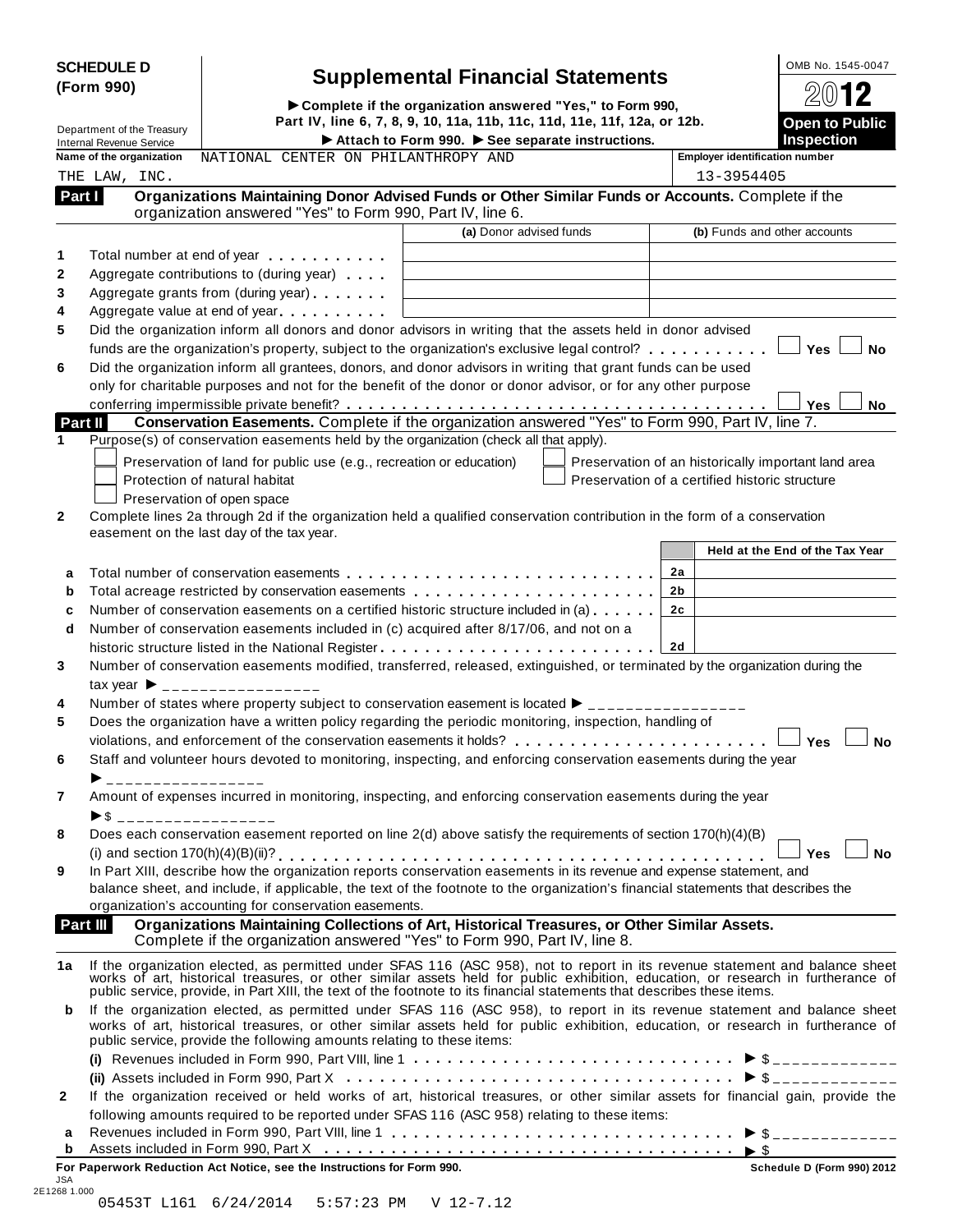| <b>SCHEDULE D</b> |  |
|-------------------|--|
| (Form 990)        |  |

# **SCHEDULE <sup>D</sup>** OMB No. 1545-0047 **Supplemental Financial Statements (Form 990)**

(Form 990)<br>  $\triangleright$  Complete if the organization answered "Yes," to Form 990,<br>
Department of the Treasury<br>
Department of the Treasury<br>
Part IV, line 6, 7, 8, 9, 10, 11a, 11b, 11c, 11d, 11e, 11f, 12a, or 12b. Internal Revenue Service I**Attach to Form 990.** I**See separate instructions. Inspection**

| 2012                                       |
|--------------------------------------------|
| <b>Open to Public</b><br><b>Inspection</b> |

|        | Internal Revenue Service<br>Name of the organization<br>NATIONAL CENTER ON PHILANTHROPY AND                                                                                                                                                                                                                                                               | Attach to Form 990. $\blacktriangleright$ See separate instructions. | преспол<br><b>Employer identification number</b>    |
|--------|-----------------------------------------------------------------------------------------------------------------------------------------------------------------------------------------------------------------------------------------------------------------------------------------------------------------------------------------------------------|----------------------------------------------------------------------|-----------------------------------------------------|
|        | THE LAW, INC.                                                                                                                                                                                                                                                                                                                                             |                                                                      | 13-3954405                                          |
| Part I | Organizations Maintaining Donor Advised Funds or Other Similar Funds or Accounts. Complete if the<br>organization answered "Yes" to Form 990, Part IV, line 6.                                                                                                                                                                                            |                                                                      |                                                     |
|        |                                                                                                                                                                                                                                                                                                                                                           | (a) Donor advised funds                                              | (b) Funds and other accounts                        |
|        | Total number at end of year example.                                                                                                                                                                                                                                                                                                                      |                                                                      |                                                     |
|        | Aggregate contributions to (during year)                                                                                                                                                                                                                                                                                                                  |                                                                      |                                                     |
|        | Aggregate grants from (during year) <b>Aggregate</b> grants from (during year)                                                                                                                                                                                                                                                                            |                                                                      |                                                     |
|        | Aggregate value at end of year                                                                                                                                                                                                                                                                                                                            |                                                                      |                                                     |
|        | Did the organization inform all donors and donor advisors in writing that the assets held in donor advised                                                                                                                                                                                                                                                |                                                                      |                                                     |
|        | funds are the organization's property, subject to the organization's exclusive legal control? $\ldots \ldots \ldots$                                                                                                                                                                                                                                      |                                                                      | <b>Yes</b><br><b>No</b>                             |
|        | Did the organization inform all grantees, donors, and donor advisors in writing that grant funds can be used                                                                                                                                                                                                                                              |                                                                      |                                                     |
|        | only for charitable purposes and not for the benefit of the donor or donor advisor, or for any other purpose                                                                                                                                                                                                                                              |                                                                      |                                                     |
|        | Conservation Easements. Complete if the organization answered "Yes" to Form 990, Part IV, line 7.                                                                                                                                                                                                                                                         |                                                                      | <b>Yes</b><br>No                                    |
|        | Part II<br>Purpose(s) of conservation easements held by the organization (check all that apply).                                                                                                                                                                                                                                                          |                                                                      |                                                     |
|        |                                                                                                                                                                                                                                                                                                                                                           |                                                                      |                                                     |
|        | Preservation of land for public use (e.g., recreation or education)                                                                                                                                                                                                                                                                                       |                                                                      | Preservation of an historically important land area |
|        | Protection of natural habitat                                                                                                                                                                                                                                                                                                                             |                                                                      | Preservation of a certified historic structure      |
|        | Preservation of open space                                                                                                                                                                                                                                                                                                                                |                                                                      |                                                     |
|        | Complete lines 2a through 2d if the organization held a qualified conservation contribution in the form of a conservation                                                                                                                                                                                                                                 |                                                                      |                                                     |
|        | easement on the last day of the tax year.                                                                                                                                                                                                                                                                                                                 |                                                                      | Held at the End of the Tax Year                     |
|        |                                                                                                                                                                                                                                                                                                                                                           |                                                                      |                                                     |
| a      |                                                                                                                                                                                                                                                                                                                                                           |                                                                      | 2a                                                  |
| b      | Total acreage restricted by conservation easements                                                                                                                                                                                                                                                                                                        |                                                                      | 2b                                                  |
|        | Number of conservation easements on a certified historic structure included in (a)                                                                                                                                                                                                                                                                        |                                                                      | 2c                                                  |
| d      | Number of conservation easements included in (c) acquired after 8/17/06, and not on a                                                                                                                                                                                                                                                                     |                                                                      |                                                     |
|        | historic structure listed in the National Register                                                                                                                                                                                                                                                                                                        |                                                                      | <b>2d</b>                                           |
|        | Number of conservation easements modified, transferred, released, extinguished, or terminated by the organization during the                                                                                                                                                                                                                              |                                                                      |                                                     |
|        | $\text{tax year}$ $\rightarrow$ _________________                                                                                                                                                                                                                                                                                                         |                                                                      |                                                     |
|        | Number of states where property subject to conservation easement is located $\blacktriangleright$ ________________                                                                                                                                                                                                                                        |                                                                      |                                                     |
|        | Does the organization have a written policy regarding the periodic monitoring, inspection, handling of                                                                                                                                                                                                                                                    |                                                                      |                                                     |
|        | violations, and enforcement of the conservation easements it holds?                                                                                                                                                                                                                                                                                       |                                                                      | Yes<br><b>No</b>                                    |
|        | Staff and volunteer hours devoted to monitoring, inspecting, and enforcing conservation easements during the year                                                                                                                                                                                                                                         |                                                                      |                                                     |
|        | ▶ ___________________                                                                                                                                                                                                                                                                                                                                     |                                                                      |                                                     |
|        | Amount of expenses incurred in monitoring, inspecting, and enforcing conservation easements during the year                                                                                                                                                                                                                                               |                                                                      |                                                     |
|        | ▶\$ __________________                                                                                                                                                                                                                                                                                                                                    |                                                                      |                                                     |
|        | Does each conservation easement reported on line $2(d)$ above satisfy the requirements of section 170(h)(4)(B)                                                                                                                                                                                                                                            |                                                                      |                                                     |
|        |                                                                                                                                                                                                                                                                                                                                                           |                                                                      | J Yes ⊺<br>No                                       |
|        | In Part XIII, describe how the organization reports conservation easements in its revenue and expense statement, and                                                                                                                                                                                                                                      |                                                                      |                                                     |
|        | balance sheet, and include, if applicable, the text of the footnote to the organization's financial statements that describes the                                                                                                                                                                                                                         |                                                                      |                                                     |
|        | organization's accounting for conservation easements.                                                                                                                                                                                                                                                                                                     |                                                                      |                                                     |
|        | Organizations Maintaining Collections of Art, Historical Treasures, or Other Similar Assets.<br>Part III<br>Complete if the organization answered "Yes" to Form 990, Part IV, line 8.                                                                                                                                                                     |                                                                      |                                                     |
| 1a     | If the organization elected, as permitted under SFAS 116 (ASC 958), not to report in its revenue statement and balance sheet works of art, historical treasures, or other similar assets held for public exhibition, education<br>public service, provide, in Part XIII, the text of the footnote to its financial statements that describes these items. |                                                                      |                                                     |
| b      | If the organization elected, as permitted under SFAS 116 (ASC 958), to report in its revenue statement and balance sheet<br>works of art, historical treasures, or other similar assets held for public exhibition, education, or research in furtherance of<br>public service, provide the following amounts relating to these items:                    |                                                                      |                                                     |
|        |                                                                                                                                                                                                                                                                                                                                                           |                                                                      |                                                     |
|        |                                                                                                                                                                                                                                                                                                                                                           |                                                                      |                                                     |
|        | If the organization received or held works of art, historical treasures, or other similar assets for financial gain, provide the                                                                                                                                                                                                                          |                                                                      |                                                     |
|        | following amounts required to be reported under SFAS 116 (ASC 958) relating to these items:                                                                                                                                                                                                                                                               |                                                                      |                                                     |
| a      | Revenues included in Form 990, Part VIII, line 1 $\dots$ , , , , , , , $\triangleright$ \$                                                                                                                                                                                                                                                                |                                                                      |                                                     |
| b      | Assets included in Form 990, Part X $\dots \dots \dots \dots \dots \dots \dots \dots \dots \dots \dots \dots \dots \dots$                                                                                                                                                                                                                                 |                                                                      |                                                     |
|        | For Paperwork Reduction Act Notice, see the Instructions for Form 990.                                                                                                                                                                                                                                                                                    |                                                                      | Schedule D (Form 990) 2012                          |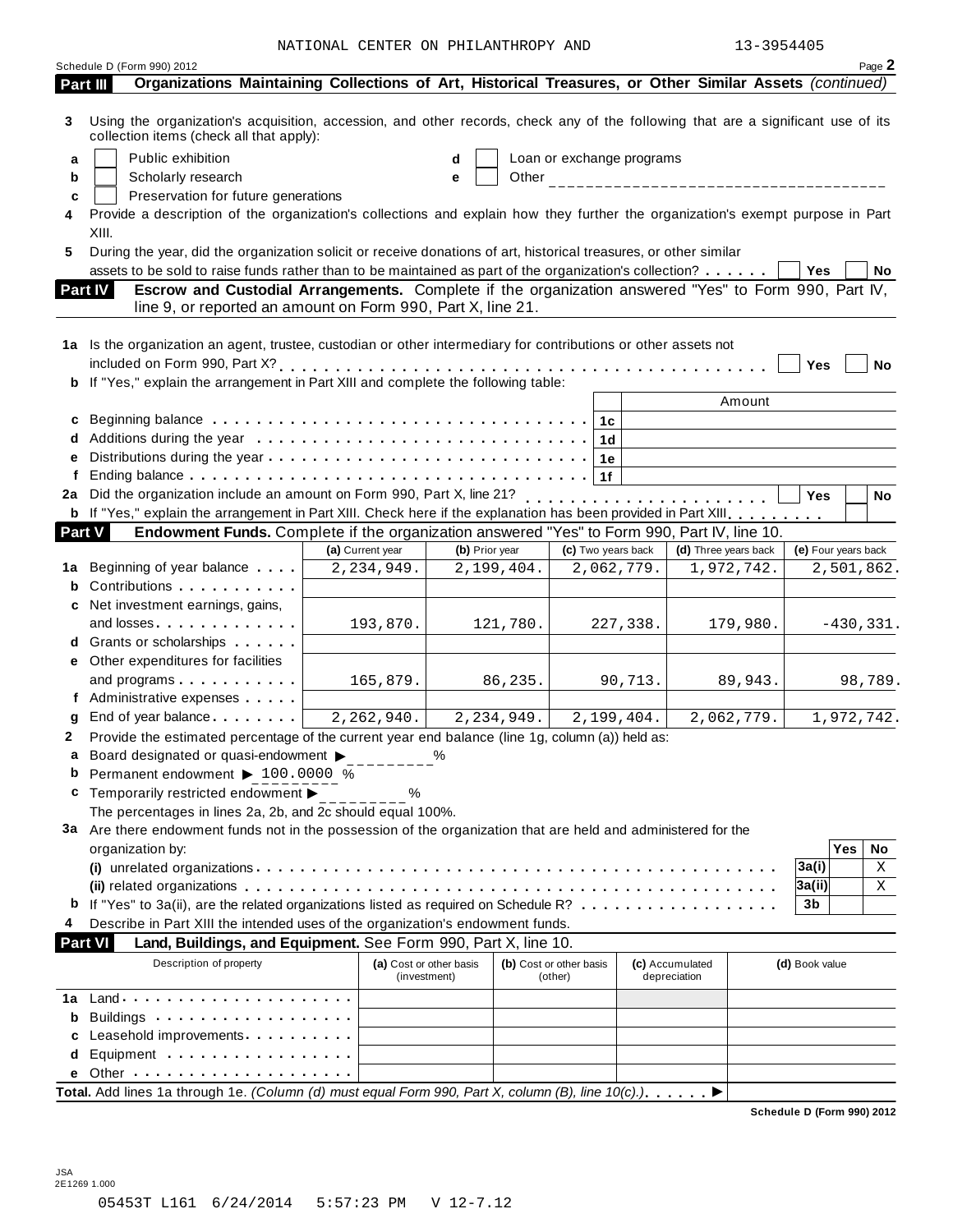|        |                                                                                                                                                                              | NATIONAL CENTER ON PHILANTHROPY AND     |                            |                                    |                                 | 13-3954405 |                            |           |
|--------|------------------------------------------------------------------------------------------------------------------------------------------------------------------------------|-----------------------------------------|----------------------------|------------------------------------|---------------------------------|------------|----------------------------|-----------|
|        | Schedule D (Form 990) 2012                                                                                                                                                   |                                         |                            |                                    |                                 |            |                            | Page 2    |
|        | Organizations Maintaining Collections of Art, Historical Treasures, or Other Similar Assets (continued)<br>Part III                                                          |                                         |                            |                                    |                                 |            |                            |           |
| 3      | Using the organization's acquisition, accession, and other records, check any of the following that are a significant use of its<br>collection items (check all that apply): |                                         |                            |                                    |                                 |            |                            |           |
| a      | Public exhibition                                                                                                                                                            |                                         | d                          | Loan or exchange programs          |                                 |            |                            |           |
| b      | Scholarly research                                                                                                                                                           |                                         | е                          |                                    |                                 |            |                            |           |
| c      | Preservation for future generations                                                                                                                                          |                                         |                            |                                    |                                 |            |                            |           |
| 4      | Provide a description of the organization's collections and explain how they further the organization's exempt purpose in Part<br>XIII.                                      |                                         |                            |                                    |                                 |            |                            |           |
| 5      | During the year, did the organization solicit or receive donations of art, historical treasures, or other similar                                                            |                                         |                            |                                    |                                 |            |                            |           |
|        | assets to be sold to raise funds rather than to be maintained as part of the organization's collection?                                                                      |                                         |                            |                                    |                                 |            | Yes                        | <b>No</b> |
|        | Escrow and Custodial Arrangements. Complete if the organization answered "Yes" to Form 990, Part IV,<br><b>Part IV</b>                                                       |                                         |                            |                                    |                                 |            |                            |           |
|        | line 9, or reported an amount on Form 990, Part X, line 21.                                                                                                                  |                                         |                            |                                    |                                 |            |                            |           |
|        |                                                                                                                                                                              |                                         |                            |                                    |                                 |            |                            |           |
|        | 1a Is the organization an agent, trustee, custodian or other intermediary for contributions or other assets not                                                              |                                         |                            |                                    |                                 |            |                            |           |
|        |                                                                                                                                                                              |                                         |                            |                                    |                                 |            | <b>Yes</b>                 | No        |
|        | b If "Yes," explain the arrangement in Part XIII and complete the following table:                                                                                           |                                         |                            |                                    |                                 |            |                            |           |
|        |                                                                                                                                                                              |                                         |                            |                                    |                                 | Amount     |                            |           |
| c      |                                                                                                                                                                              |                                         |                            | 1c                                 |                                 |            |                            |           |
|        |                                                                                                                                                                              |                                         |                            | 1 <sub>d</sub>                     |                                 |            |                            |           |
| е      |                                                                                                                                                                              |                                         |                            | 1e                                 |                                 |            |                            |           |
| f      |                                                                                                                                                                              |                                         |                            | 1f                                 |                                 |            |                            |           |
| 2a     | Did the organization include an amount on Form 990, Part X, line 21? [1] was reserved to serve the served of the served of the 21?                                           |                                         |                            |                                    |                                 |            | <b>Yes</b>                 | No        |
|        | b If "Yes," explain the arrangement in Part XIII. Check here if the explanation has been provided in Part XIII.                                                              |                                         |                            |                                    |                                 |            |                            |           |
| Part V | Endowment Funds. Complete if the organization answered "Yes" to Form 990, Part IV, line 10.                                                                                  |                                         |                            |                                    |                                 |            |                            |           |
|        |                                                                                                                                                                              | (a) Current year                        | (b) Prior year             | (c) Two years back                 | (d) Three years back            |            | (e) Four years back        |           |
| 1а     | Beginning of year balance                                                                                                                                                    | 2,234,949.                              | 2,199,404.                 | 2,062,779.                         |                                 | 1,972,742. | 2,501,862.                 |           |
| b      | Contributions                                                                                                                                                                |                                         |                            |                                    |                                 |            |                            |           |
| c      | Net investment earnings, gains,                                                                                                                                              |                                         |                            |                                    |                                 |            |                            |           |
|        | and losses                                                                                                                                                                   | 193,870.                                | 121,780.                   | 227,338.                           |                                 | 179,980.   | $-430, 331.$               |           |
|        | d Grants or scholarships                                                                                                                                                     |                                         |                            |                                    |                                 |            |                            |           |
|        | e Other expenditures for facilities                                                                                                                                          |                                         |                            |                                    |                                 |            |                            |           |
|        | and programs                                                                                                                                                                 | 165,879.                                | 86,235.                    |                                    | 90,713.                         | 89,943.    |                            | 98,789.   |
|        | f Administrative expenses                                                                                                                                                    |                                         |                            |                                    |                                 |            |                            |           |
|        | <b>g</b> End of year balance                                                                                                                                                 | 2, 262, 940.                            | $2, 23\overline{4, 949}$ . | 2,199,404.                         |                                 | 2,062,779. | 1,972,742.                 |           |
| 2      | Provide the estimated percentage of the current year end balance (line 1g, column (a)) held as:                                                                              |                                         |                            |                                    |                                 |            |                            |           |
| а      | Board designated or quasi-endowment $\blacktriangleright$                                                                                                                    |                                         | %                          |                                    |                                 |            |                            |           |
| b      | Permanent endowment > 100.0000 %                                                                                                                                             |                                         |                            |                                    |                                 |            |                            |           |
| c      | Temporarily restricted endowment ▶                                                                                                                                           | ℅                                       |                            |                                    |                                 |            |                            |           |
|        | The percentages in lines 2a, 2b, and 2c should equal 100%.                                                                                                                   |                                         |                            |                                    |                                 |            |                            |           |
|        | 3a Are there endowment funds not in the possession of the organization that are held and administered for the                                                                |                                         |                            |                                    |                                 |            |                            |           |
|        | organization by:                                                                                                                                                             |                                         |                            |                                    |                                 |            | <b>Yes</b>                 | No        |
|        |                                                                                                                                                                              |                                         |                            |                                    |                                 |            | 3a(i)                      | X<br>Χ    |
|        | If "Yes" to 3a(ii), are the related organizations listed as required on Schedule R?                                                                                          |                                         |                            |                                    |                                 |            | 3a(ii)<br>3b               |           |
| b      |                                                                                                                                                                              |                                         |                            |                                    |                                 |            |                            |           |
| 4      | Describe in Part XIII the intended uses of the organization's endowment funds.                                                                                               |                                         |                            |                                    |                                 |            |                            |           |
|        | <b>Part VI</b><br>Land, Buildings, and Equipment. See Form 990, Part X, line 10.                                                                                             |                                         |                            |                                    |                                 |            |                            |           |
|        | Description of property                                                                                                                                                      | (a) Cost or other basis<br>(investment) |                            | (b) Cost or other basis<br>(other) | (c) Accumulated<br>depreciation |            | (d) Book value             |           |
|        |                                                                                                                                                                              |                                         |                            |                                    |                                 |            |                            |           |
| b      | Buildings                                                                                                                                                                    |                                         |                            |                                    |                                 |            |                            |           |
|        | Leasehold improvements                                                                                                                                                       |                                         |                            |                                    |                                 |            |                            |           |
| d      | Equipment                                                                                                                                                                    |                                         |                            |                                    |                                 |            |                            |           |
|        |                                                                                                                                                                              |                                         |                            |                                    |                                 |            |                            |           |
|        | Total. Add lines 1a through 1e. (Column (d) must equal Form 990, Part X, column (B), line $10(c)$ .).                                                                        |                                         |                            |                                    |                                 |            |                            |           |
|        |                                                                                                                                                                              |                                         |                            |                                    |                                 |            | Schedule D (Form 990) 2012 |           |

JSA 2E1269 1.000 05453T L161 6/24/2014 5:57:23 PM V 12-7.12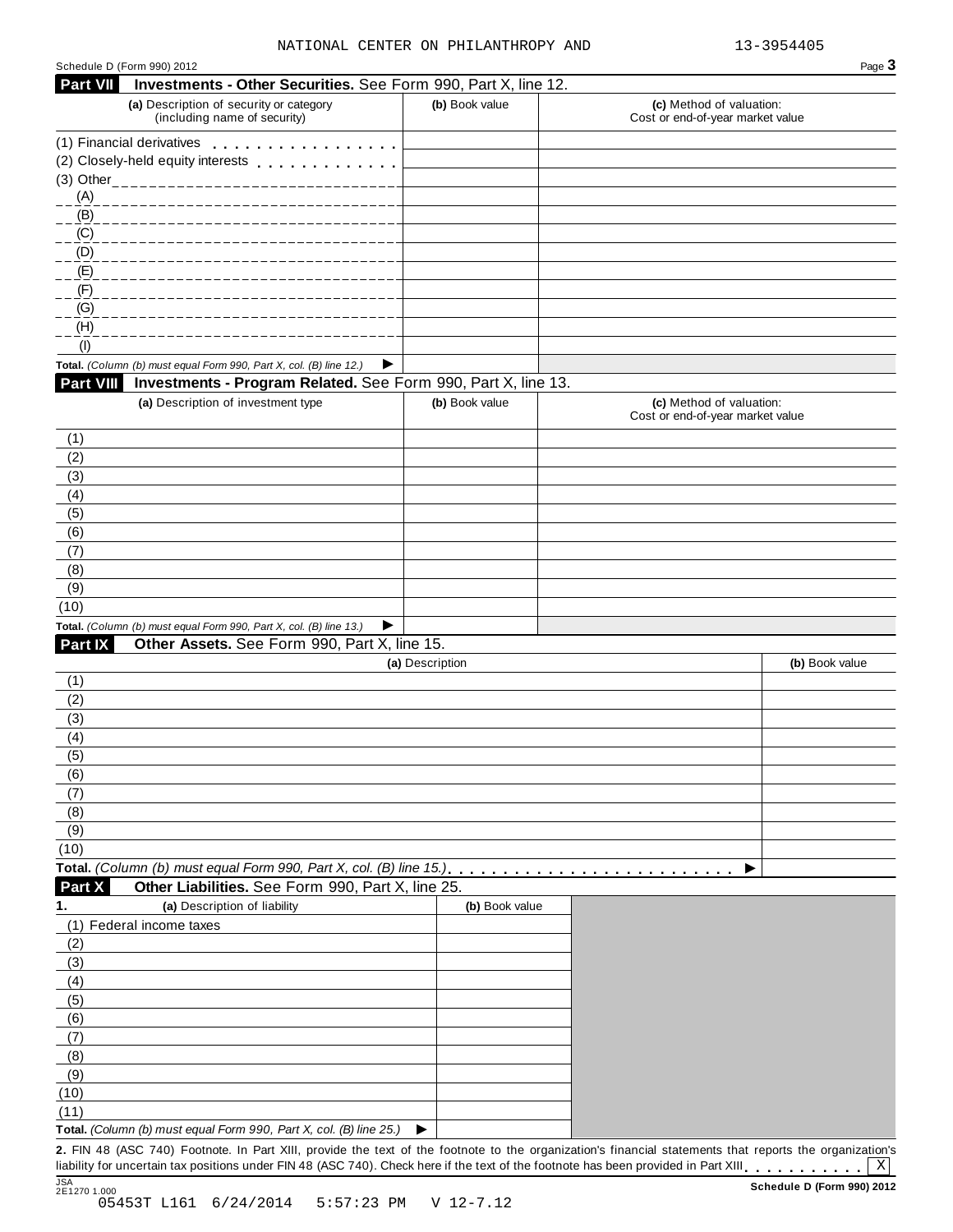| Schedule D (Form 990) 2012 |                                                                                                                                                         |                 |                                                              | Page 3         |
|----------------------------|---------------------------------------------------------------------------------------------------------------------------------------------------------|-----------------|--------------------------------------------------------------|----------------|
| Part VII                   | Investments - Other Securities. See Form 990, Part X, line 12.                                                                                          |                 |                                                              |                |
|                            | (a) Description of security or category<br>(including name of security)                                                                                 | (b) Book value  | (c) Method of valuation:<br>Cost or end-of-year market value |                |
|                            | (1) Financial derivatives                                                                                                                               |                 |                                                              |                |
|                            | (2) Closely-held equity interests                                                                                                                       |                 |                                                              |                |
|                            | (3) Other_____________________________                                                                                                                  |                 |                                                              |                |
| (A)                        |                                                                                                                                                         |                 |                                                              |                |
| (B)                        |                                                                                                                                                         |                 |                                                              |                |
| (C)                        |                                                                                                                                                         |                 |                                                              |                |
| (D)<br>(E)                 |                                                                                                                                                         |                 |                                                              |                |
| (F)                        |                                                                                                                                                         |                 |                                                              |                |
| (G)                        |                                                                                                                                                         |                 |                                                              |                |
| (H)                        |                                                                                                                                                         |                 |                                                              |                |
| (1)                        |                                                                                                                                                         |                 |                                                              |                |
|                            | Total. (Column (b) must equal Form 990, Part X, col. (B) line 12.)<br>▶                                                                                 |                 |                                                              |                |
| <b>Part VIII</b>           | Investments - Program Related. See Form 990, Part X, line 13.                                                                                           |                 |                                                              |                |
|                            | (a) Description of investment type                                                                                                                      | (b) Book value  | (c) Method of valuation:<br>Cost or end-of-year market value |                |
| (1)                        |                                                                                                                                                         |                 |                                                              |                |
| (2)                        |                                                                                                                                                         |                 |                                                              |                |
| (3)                        |                                                                                                                                                         |                 |                                                              |                |
| (4)                        |                                                                                                                                                         |                 |                                                              |                |
| (5)                        |                                                                                                                                                         |                 |                                                              |                |
| (6)                        |                                                                                                                                                         |                 |                                                              |                |
| (7)                        |                                                                                                                                                         |                 |                                                              |                |
| (8)                        |                                                                                                                                                         |                 |                                                              |                |
| (9)                        |                                                                                                                                                         |                 |                                                              |                |
| (10)                       |                                                                                                                                                         |                 |                                                              |                |
|                            | Total. (Column (b) must equal Form 990, Part X, col. (B) line 13.)<br>▶                                                                                 |                 |                                                              |                |
| Part IX                    | Other Assets. See Form 990, Part X, line 15.                                                                                                            |                 |                                                              |                |
|                            |                                                                                                                                                         | (a) Description |                                                              | (b) Book value |
| (1)                        |                                                                                                                                                         |                 |                                                              |                |
| (2)                        |                                                                                                                                                         |                 |                                                              |                |
| (3)<br>(4)                 |                                                                                                                                                         |                 |                                                              |                |
| (5)                        |                                                                                                                                                         |                 |                                                              |                |
| (6)                        |                                                                                                                                                         |                 |                                                              |                |
| (7)                        |                                                                                                                                                         |                 |                                                              |                |
| (8)                        |                                                                                                                                                         |                 |                                                              |                |
| (9)                        |                                                                                                                                                         |                 |                                                              |                |
| (10)                       |                                                                                                                                                         |                 |                                                              |                |
|                            | Total. (Column (b) must equal Form 990, Part X, col. (B) line 15.).                                                                                     |                 | ▶                                                            |                |
| Part X                     | Other Liabilities. See Form 990, Part X, line 25.                                                                                                       |                 |                                                              |                |
| 1.                         | (a) Description of liability                                                                                                                            | (b) Book value  |                                                              |                |
|                            | (1) Federal income taxes                                                                                                                                |                 |                                                              |                |
| (2)                        |                                                                                                                                                         |                 |                                                              |                |
| (3)                        |                                                                                                                                                         |                 |                                                              |                |
| (4)                        |                                                                                                                                                         |                 |                                                              |                |
| (5)                        |                                                                                                                                                         |                 |                                                              |                |
| (6)                        |                                                                                                                                                         |                 |                                                              |                |
| (7)                        |                                                                                                                                                         |                 |                                                              |                |
| (8)                        |                                                                                                                                                         |                 |                                                              |                |
| (9)                        |                                                                                                                                                         |                 |                                                              |                |
| (10)                       |                                                                                                                                                         |                 |                                                              |                |
| (11)                       |                                                                                                                                                         |                 |                                                              |                |
|                            | Total. (Column (b) must equal Form 990, Part X, col. (B) line 25.)                                                                                      | ▶               |                                                              |                |
|                            | 2. FIN 48 (ASC 740) Footnote. In Part XIII, provide the text of the footnote to the organization's financial statements that reports the organization's |                 |                                                              |                |

2. FIN 48 (ASC 740) Footnote. In Part XIII, provide the text of the footnote to the organization's financial statements that reports the organization's liability for uncertain tax positions under FIN 48 (ASC 740). Check h

X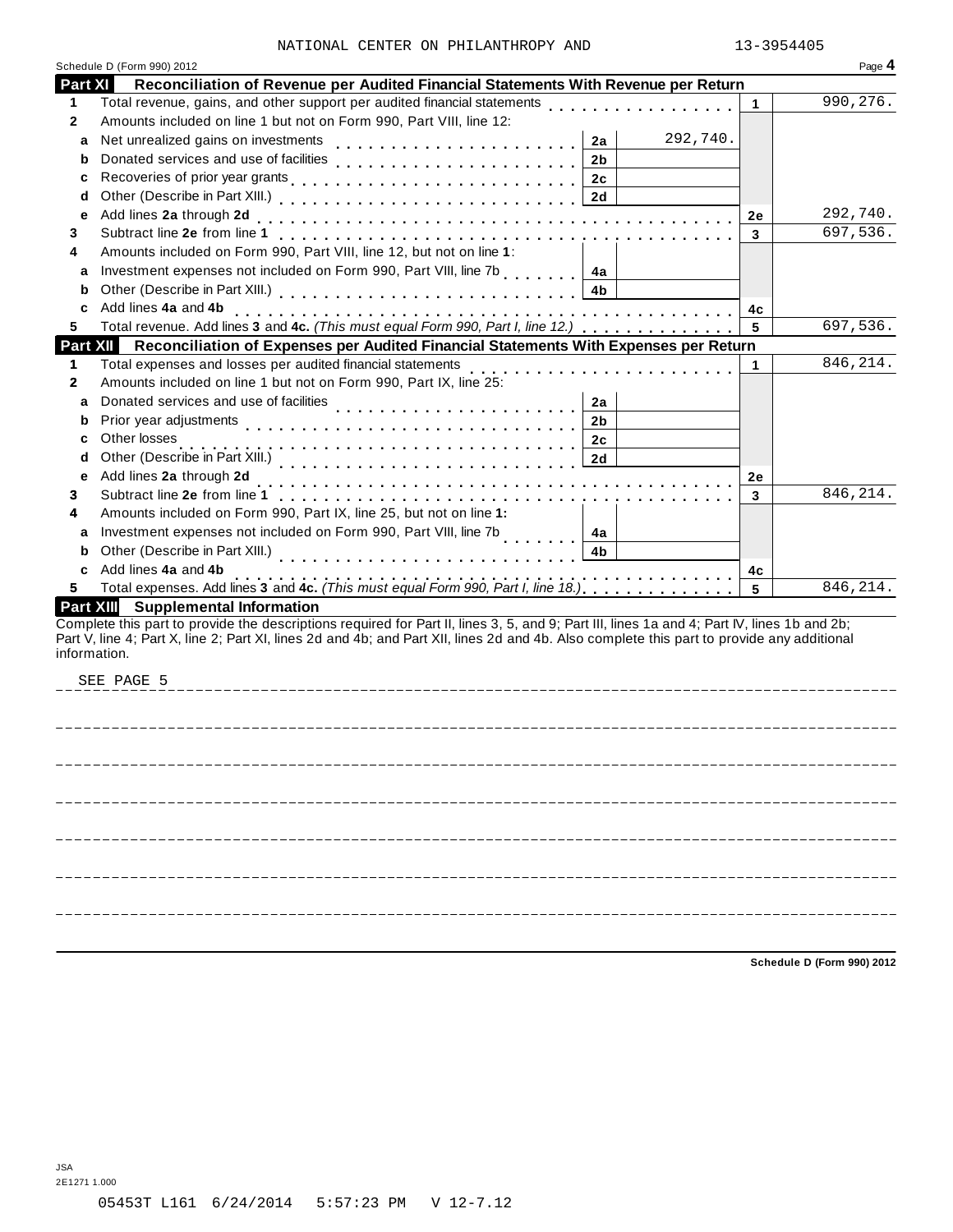|  |  | NATIONAL CENTER ON PHILANTHROPY AND | 13-3954405 |
|--|--|-------------------------------------|------------|
|  |  |                                     |            |

|                  | Schedule D (Form 990) 2012                                                                                                                                                     |    | Page 4    |
|------------------|--------------------------------------------------------------------------------------------------------------------------------------------------------------------------------|----|-----------|
| Part XI          | Reconciliation of Revenue per Audited Financial Statements With Revenue per Return                                                                                             |    |           |
| 1.               | Total revenue, gains, and other support per audited financial statements                                                                                                       | 1  | 990,276.  |
| 2                | Amounts included on line 1 but not on Form 990, Part VIII, line 12:                                                                                                            |    |           |
| a                | 292,740.<br>Net unrealized gains on investments<br>2a                                                                                                                          |    |           |
| b                | 2b                                                                                                                                                                             |    |           |
| c                | 2c                                                                                                                                                                             |    |           |
| d                | 2d                                                                                                                                                                             |    |           |
| e                | Add lines 2a through 2d                                                                                                                                                        | 2e | 292,740.  |
| 3                |                                                                                                                                                                                | 3  | 697,536.  |
| 4                | Amounts included on Form 990, Part VIII, line 12, but not on line 1:                                                                                                           |    |           |
| a                | Investment expenses not included on Form 990, Part VIII, line 7b<br>4a                                                                                                         |    |           |
| b                | 4b                                                                                                                                                                             |    |           |
| c                | Add lines 4a and 4b                                                                                                                                                            | 4c |           |
| 5                | Total revenue. Add lines 3 and 4c. (This must equal Form 990, Part I, line 12.)                                                                                                | 5  | 697,536.  |
|                  | Part XII Reconciliation of Expenses per Audited Financial Statements With Expenses per Return                                                                                  |    |           |
| 1                | Total expenses and losses per audited financial statements                                                                                                                     | 1  | 846, 214. |
| 2                | Amounts included on line 1 but not on Form 990, Part IX, line 25:                                                                                                              |    |           |
| a                | Donated services and use of facilities<br>2a                                                                                                                                   |    |           |
| b                | Prior year adjustments<br>2 <sub>b</sub>                                                                                                                                       |    |           |
| с                | Other losses<br>2c                                                                                                                                                             |    |           |
| d                | 2d                                                                                                                                                                             |    |           |
| e                | Add lines 2a through 2d                                                                                                                                                        | 2e |           |
| 3                |                                                                                                                                                                                | 3  | 846, 214. |
| 4                | Amounts included on Form 990, Part IX, line 25, but not on line 1:                                                                                                             |    |           |
| a                | Investment expenses not included on Form 990, Part VIII, line 7b<br>4a                                                                                                         |    |           |
| b                | Other (Describe in Part XIII.)<br>4b                                                                                                                                           |    |           |
|                  | Add lines 4a and 4b                                                                                                                                                            |    |           |
|                  | Total expenses. Add lines 3 and 4c. (This must equal Form 990, Part I, line 18.)                                                                                               | 4с | 846, 214. |
| 5                |                                                                                                                                                                                | 5  |           |
| <b>Part XIII</b> | <b>Supplemental Information</b><br>Complete this part to provide the descriptions required for Part II, lines 3, 5, and 9; Part III, lines 1a and 4; Part IV, lines 1b and 2b; |    |           |
|                  | Part V, line 4; Part X, line 2; Part XI, lines 2d and 4b; and Part XII, lines 2d and 4b. Also complete this part to provide any additional                                     |    |           |
|                  | information.                                                                                                                                                                   |    |           |
|                  |                                                                                                                                                                                |    |           |
|                  | SEE PAGE 5                                                                                                                                                                     |    |           |
|                  |                                                                                                                                                                                |    |           |
|                  |                                                                                                                                                                                |    |           |
|                  |                                                                                                                                                                                |    |           |
|                  |                                                                                                                                                                                |    |           |
|                  |                                                                                                                                                                                |    |           |
|                  |                                                                                                                                                                                |    |           |
|                  |                                                                                                                                                                                |    |           |
|                  |                                                                                                                                                                                |    |           |
|                  |                                                                                                                                                                                |    |           |
|                  |                                                                                                                                                                                |    |           |
|                  |                                                                                                                                                                                |    |           |
|                  |                                                                                                                                                                                |    |           |
|                  |                                                                                                                                                                                |    |           |
|                  |                                                                                                                                                                                |    |           |

**Schedule D (Form 990) 2012**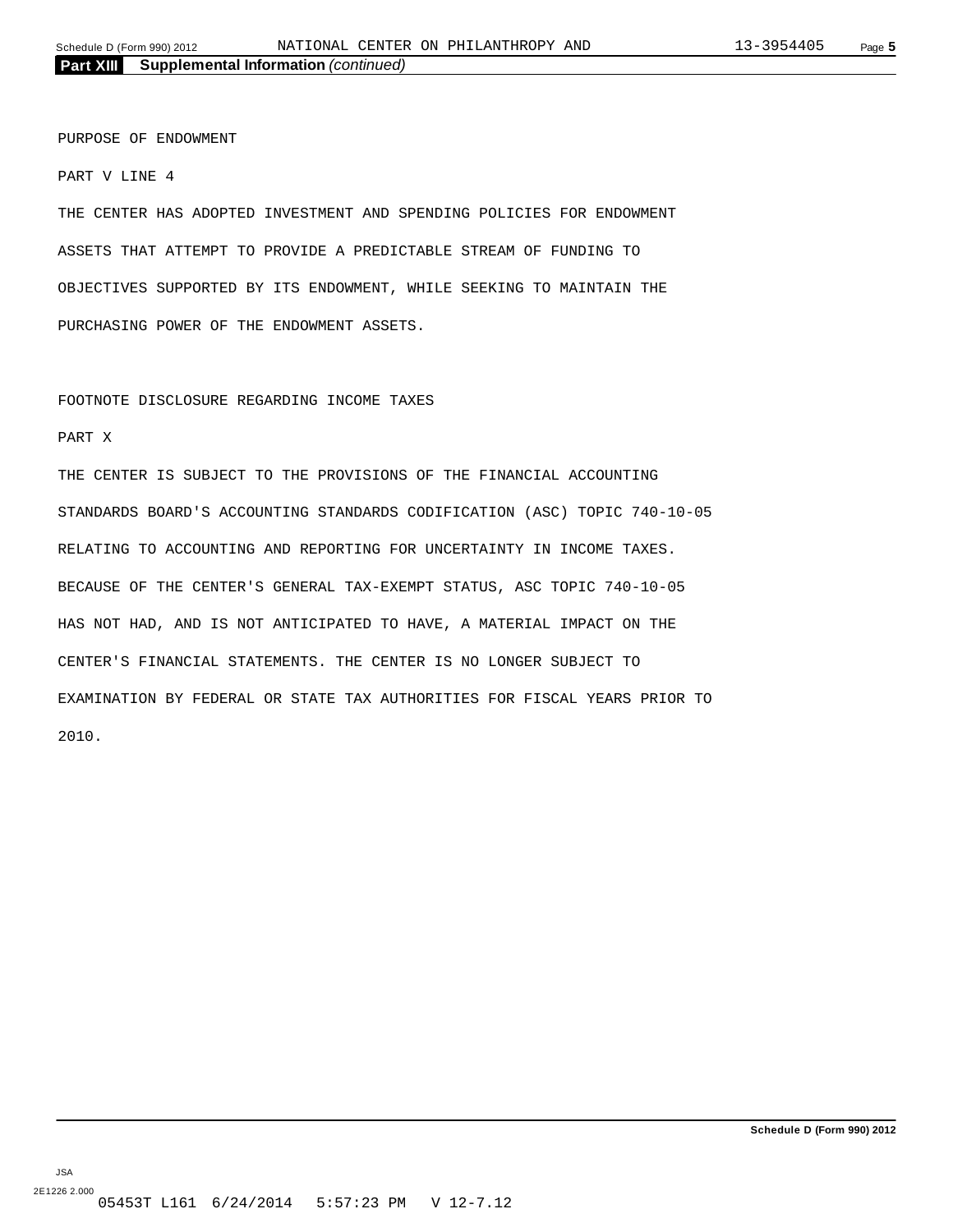PURPOSE OF ENDOWMENT

PART V LINE 4

THE CENTER HAS ADOPTED INVESTMENT AND SPENDING POLICIES FOR ENDOWMENT ASSETS THAT ATTEMPT TO PROVIDE A PREDICTABLE STREAM OF FUNDING TO OBJECTIVES SUPPORTED BY ITS ENDOWMENT, WHILE SEEKING TO MAINTAIN THE PURCHASING POWER OF THE ENDOWMENT ASSETS.

#### FOOTNOTE DISCLOSURE REGARDING INCOME TAXES

#### PART X

THE CENTER IS SUBJECT TO THE PROVISIONS OF THE FINANCIAL ACCOUNTING STANDARDS BOARD'S ACCOUNTING STANDARDS CODIFICATION (ASC) TOPIC 740-10-05 RELATING TO ACCOUNTING AND REPORTING FOR UNCERTAINTY IN INCOME TAXES. BECAUSE OF THE CENTER'S GENERAL TAX-EXEMPT STATUS, ASC TOPIC 740-10-05 HAS NOT HAD, AND IS NOT ANTICIPATED TO HAVE, A MATERIAL IMPACT ON THE CENTER'S FINANCIAL STATEMENTS. THE CENTER IS NO LONGER SUBJECT TO EXAMINATION BY FEDERAL OR STATE TAX AUTHORITIES FOR FISCAL YEARS PRIOR TO 2010.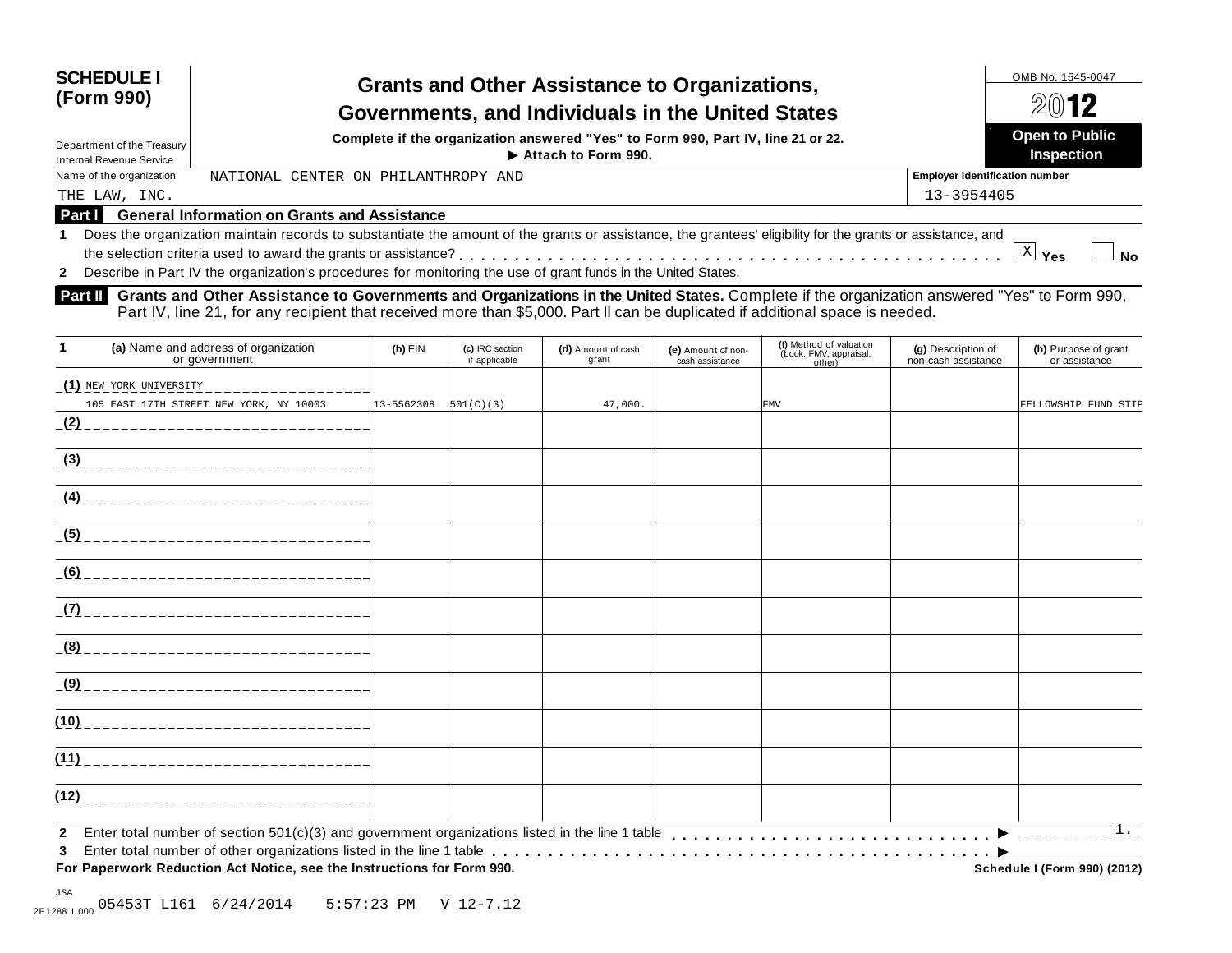| <b>SCHEDULE I</b><br>(Form 990)<br>Department of the Treasury | <b>Grants and Other Assistance to Organizations,</b><br>Governments, and Individuals in the United States<br>Complete if the organization answered "Yes" to Form 990, Part IV, line 21 or 22. | OMB No. 1545-0047<br>2012<br><b>Open to Public</b> |                                       |
|---------------------------------------------------------------|-----------------------------------------------------------------------------------------------------------------------------------------------------------------------------------------------|----------------------------------------------------|---------------------------------------|
| <b>Internal Revenue Service</b>                               | $\blacktriangleright$ Attach to Form 990.                                                                                                                                                     |                                                    | <b>Inspection</b>                     |
| Name of the organization                                      | NATIONAL CENTER ON PHILANTHROPY AND                                                                                                                                                           |                                                    | <b>Employer identification number</b> |
| THE LAW, INC.                                                 |                                                                                                                                                                                               | 13-3954405                                         |                                       |
| Part I                                                        | <b>General Information on Grants and Assistance</b>                                                                                                                                           |                                                    |                                       |

#### **1** Does the organization maintain records to substantiate the amount of the grants or assistance, the grantees' eligibility for the grants or assistance, and the selection criteria used to award the grants or assistance? Does the organization maintain records to substantiate the amount of the grants or assistance, the grantees' eligibility for the grants or assistance, and<br>the selection criteria used to award the grants or assistance?<br>Des

**2**

**Grants and Other Assistance to Governments and Organizations in the United States.** Complete ifthe organization answered "Yes" to Form 990, Part IV, line 21, for any recipient that received more than \$5,000. Part II can be duplicated if additional space is needed. **Part II**

| 1            | (a) Name and address of organization<br>or government                  | $(b)$ EIN  | (c) IRC section<br>if applicable | (d) Amount of cash<br>grant | (e) Amount of non-<br>cash assistance | (f) Method of valuation<br>(book, FMV, appraisal,<br>other) | (g) Description of<br>non-cash assistance | (h) Purpose of grant<br>or assistance |
|--------------|------------------------------------------------------------------------|------------|----------------------------------|-----------------------------|---------------------------------------|-------------------------------------------------------------|-------------------------------------------|---------------------------------------|
|              | (1) NEW YORK UNIVERSITY                                                |            |                                  |                             |                                       |                                                             |                                           |                                       |
|              | 105 EAST 17TH STREET NEW YORK, NY 10003                                | 13-5562308 | 501(C)(3)                        | 47,000.                     |                                       | <b>FMV</b>                                                  |                                           | FELLOWSHIP FUND STIP                  |
|              |                                                                        |            |                                  |                             |                                       |                                                             |                                           |                                       |
|              |                                                                        |            |                                  |                             |                                       |                                                             |                                           |                                       |
|              |                                                                        |            |                                  |                             |                                       |                                                             |                                           |                                       |
|              |                                                                        |            |                                  |                             |                                       |                                                             |                                           |                                       |
|              |                                                                        |            |                                  |                             |                                       |                                                             |                                           |                                       |
|              |                                                                        |            |                                  |                             |                                       |                                                             |                                           |                                       |
|              |                                                                        |            |                                  |                             |                                       |                                                             |                                           |                                       |
|              |                                                                        |            |                                  |                             |                                       |                                                             |                                           |                                       |
|              |                                                                        |            |                                  |                             |                                       |                                                             |                                           |                                       |
|              |                                                                        |            |                                  |                             |                                       |                                                             |                                           |                                       |
| (12)         | ________________________________                                       |            |                                  |                             |                                       |                                                             |                                           |                                       |
| $\mathbf{2}$ |                                                                        |            |                                  |                             |                                       |                                                             |                                           | 1 <sup>1</sup>                        |
| 3            |                                                                        |            |                                  |                             |                                       |                                                             |                                           |                                       |
|              | For Paperwork Reduction Act Notice, see the Instructions for Form 990. |            |                                  |                             |                                       |                                                             |                                           | <b>Schedule I (Form 990) (2012)</b>   |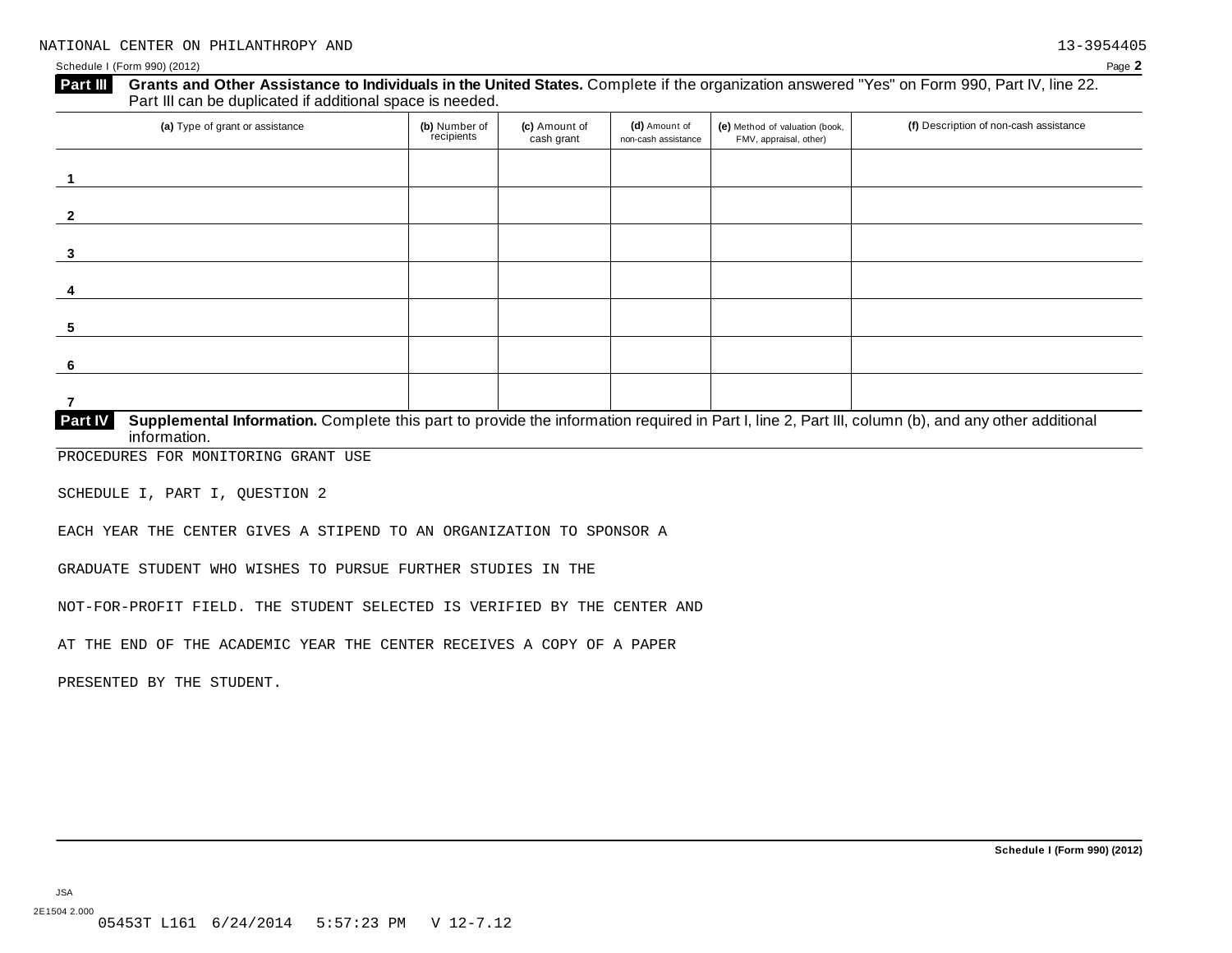#### Schedule I (Form 990) (2012) Page **2**

| (a) Type of grant or assistance | (b) Number of<br>recipients | (c) Amount of<br>cash grant | (d) Amount of<br>non-cash assistance | (e) Method of valuation (book,<br>FMV, appraisal, other) | (f) Description of non-cash assistance |
|---------------------------------|-----------------------------|-----------------------------|--------------------------------------|----------------------------------------------------------|----------------------------------------|
|                                 |                             |                             |                                      |                                                          |                                        |
|                                 |                             |                             |                                      |                                                          |                                        |
|                                 |                             |                             |                                      |                                                          |                                        |
|                                 |                             |                             |                                      |                                                          |                                        |
|                                 |                             |                             |                                      |                                                          |                                        |
|                                 |                             |                             |                                      |                                                          |                                        |
|                                 |                             |                             |                                      |                                                          |                                        |

PROCEDURES FOR MONITORING GRANT USE

SCHEDULE I, PART I, QUESTION 2

EACH YEAR THE CENTER GIVES A STIPEND TO AN ORGANIZATION TO SPONSOR A

GRADUATE STUDENT WHO WISHES TO PURSUE FURTHER STUDIES IN THE

NOT-FOR-PROFIT FIELD. THE STUDENT SELECTED IS VERIFIED BY THE CENTER AND

AT THE END OF THE ACADEMIC YEAR THE CENTER RECEIVES A COPY OF A PAPER

PRESENTED BY THE STUDENT.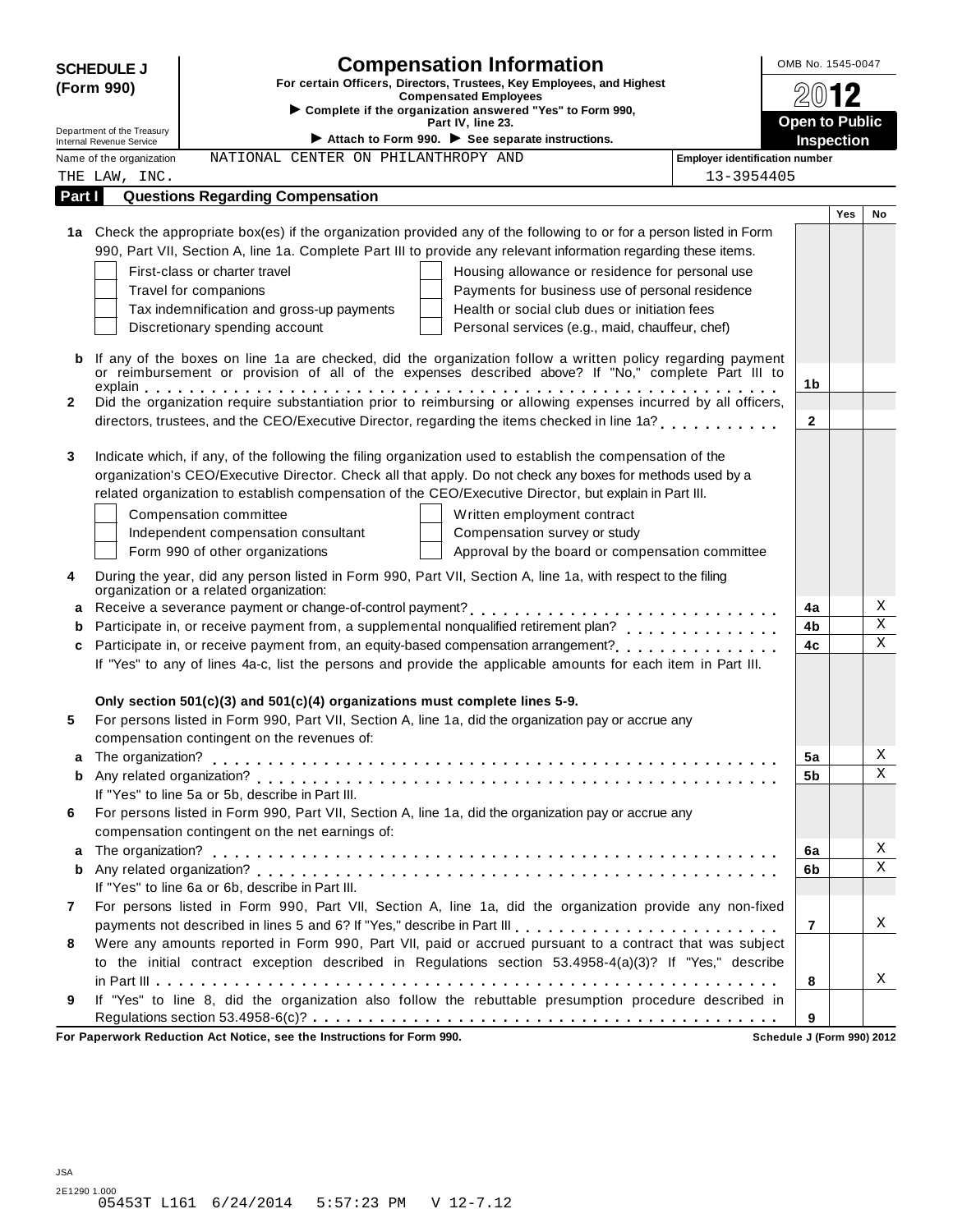| <b>Compensation Information</b><br><b>SCHEDULE J</b>                                                                                                                                                                   | OMB No. 1545-0047                               |
|------------------------------------------------------------------------------------------------------------------------------------------------------------------------------------------------------------------------|-------------------------------------------------|
| For certain Officers, Directors, Trustees, Key Employees, and Highest<br>(Form 990)<br><b>Compensated Employees</b>                                                                                                    |                                                 |
| Complete if the organization answered "Yes" to Form 990,                                                                                                                                                               |                                                 |
| Part IV, line 23.<br>Department of the Treasury<br>Attach to Form 990. $\blacktriangleright$ See separate instructions.                                                                                                | <b>Open to Public</b><br>Inspection             |
| Internal Revenue Service<br>NATIONAL CENTER ON PHILANTHROPY AND<br>Name of the organization                                                                                                                            | <b>Employer identification number</b>           |
| THE LAW, INC.                                                                                                                                                                                                          | 13-3954405                                      |
| Part I<br><b>Questions Regarding Compensation</b>                                                                                                                                                                      |                                                 |
|                                                                                                                                                                                                                        | <b>Yes</b><br>No                                |
| 1a Check the appropriate box(es) if the organization provided any of the following to or for a person listed in Form                                                                                                   |                                                 |
| 990, Part VII, Section A, line 1a. Complete Part III to provide any relevant information regarding these items.                                                                                                        |                                                 |
| First-class or charter travel                                                                                                                                                                                          | Housing allowance or residence for personal use |
| Travel for companions                                                                                                                                                                                                  | Payments for business use of personal residence |
| Tax indemnification and gross-up payments                                                                                                                                                                              | Health or social club dues or initiation fees   |
| Discretionary spending account                                                                                                                                                                                         | Personal services (e.g., maid, chauffeur, chef) |
| If any of the boxes on line 1a are checked, did the organization follow a written policy regarding payment<br>b<br>or reimbursement or provision of all of the expenses described above? If "No," complete Part III to |                                                 |
|                                                                                                                                                                                                                        | 1b                                              |
| Did the organization require substantiation prior to reimbursing or allowing expenses incurred by all officers,<br>$\mathbf{2}$                                                                                        |                                                 |
| directors, trustees, and the CEO/Executive Director, regarding the items checked in line 1a?                                                                                                                           | $\mathbf{2}$                                    |
| Indicate which, if any, of the following the filing organization used to establish the compensation of the<br>3                                                                                                        |                                                 |
| organization's CEO/Executive Director. Check all that apply. Do not check any boxes for methods used by a                                                                                                              |                                                 |
| related organization to establish compensation of the CEO/Executive Director, but explain in Part III.                                                                                                                 |                                                 |
| Compensation committee                                                                                                                                                                                                 | Written employment contract                     |
| Independent compensation consultant                                                                                                                                                                                    | Compensation survey or study                    |
| Form 990 of other organizations                                                                                                                                                                                        | Approval by the board or compensation committee |
| During the year, did any person listed in Form 990, Part VII, Section A, line 1a, with respect to the filing<br>4                                                                                                      |                                                 |
| organization or a related organization:                                                                                                                                                                                |                                                 |
|                                                                                                                                                                                                                        | Χ<br>4a                                         |
| b                                                                                                                                                                                                                      | $\mathbf X$<br>4b                               |
| c                                                                                                                                                                                                                      | $\mathbf X$<br>4c                               |
| If "Yes" to any of lines 4a-c, list the persons and provide the applicable amounts for each item in Part III.                                                                                                          |                                                 |
|                                                                                                                                                                                                                        |                                                 |
| Only section $501(c)(3)$ and $501(c)(4)$ organizations must complete lines 5-9.                                                                                                                                        |                                                 |
| For persons listed in Form 990, Part VII, Section A, line 1a, did the organization pay or accrue any<br>5                                                                                                              |                                                 |
| compensation contingent on the revenues of:<br>a                                                                                                                                                                       | Χ<br>5a                                         |
| b                                                                                                                                                                                                                      | X<br>5 <sub>b</sub>                             |
| If "Yes" to line 5a or 5b, describe in Part III.                                                                                                                                                                       |                                                 |
| For persons listed in Form 990, Part VII, Section A, line 1a, did the organization pay or accrue any<br>6                                                                                                              |                                                 |
| compensation contingent on the net earnings of:                                                                                                                                                                        |                                                 |
| a                                                                                                                                                                                                                      | Χ<br>6a                                         |
| b                                                                                                                                                                                                                      | $\mathbf X$<br>6b                               |
| If "Yes" to line 6a or 6b, describe in Part III.                                                                                                                                                                       |                                                 |
| For persons listed in Form 990, Part VII, Section A, line 1a, did the organization provide any non-fixed<br>7                                                                                                          |                                                 |
|                                                                                                                                                                                                                        | Χ<br>$\overline{7}$                             |
| Were any amounts reported in Form 990, Part VII, paid or accrued pursuant to a contract that was subject<br>8                                                                                                          |                                                 |
| to the initial contract exception described in Regulations section 53.4958-4(a)(3)? If "Yes," describe                                                                                                                 |                                                 |
|                                                                                                                                                                                                                        | Χ<br>8                                          |
| If "Yes" to line 8, did the organization also follow the rebuttable presumption procedure described in<br>9                                                                                                            | 9                                               |
| For Paperwork Reduction Act Notice, see the Instructions for Form 990.                                                                                                                                                 | Schedule J (Form 990) 2012                      |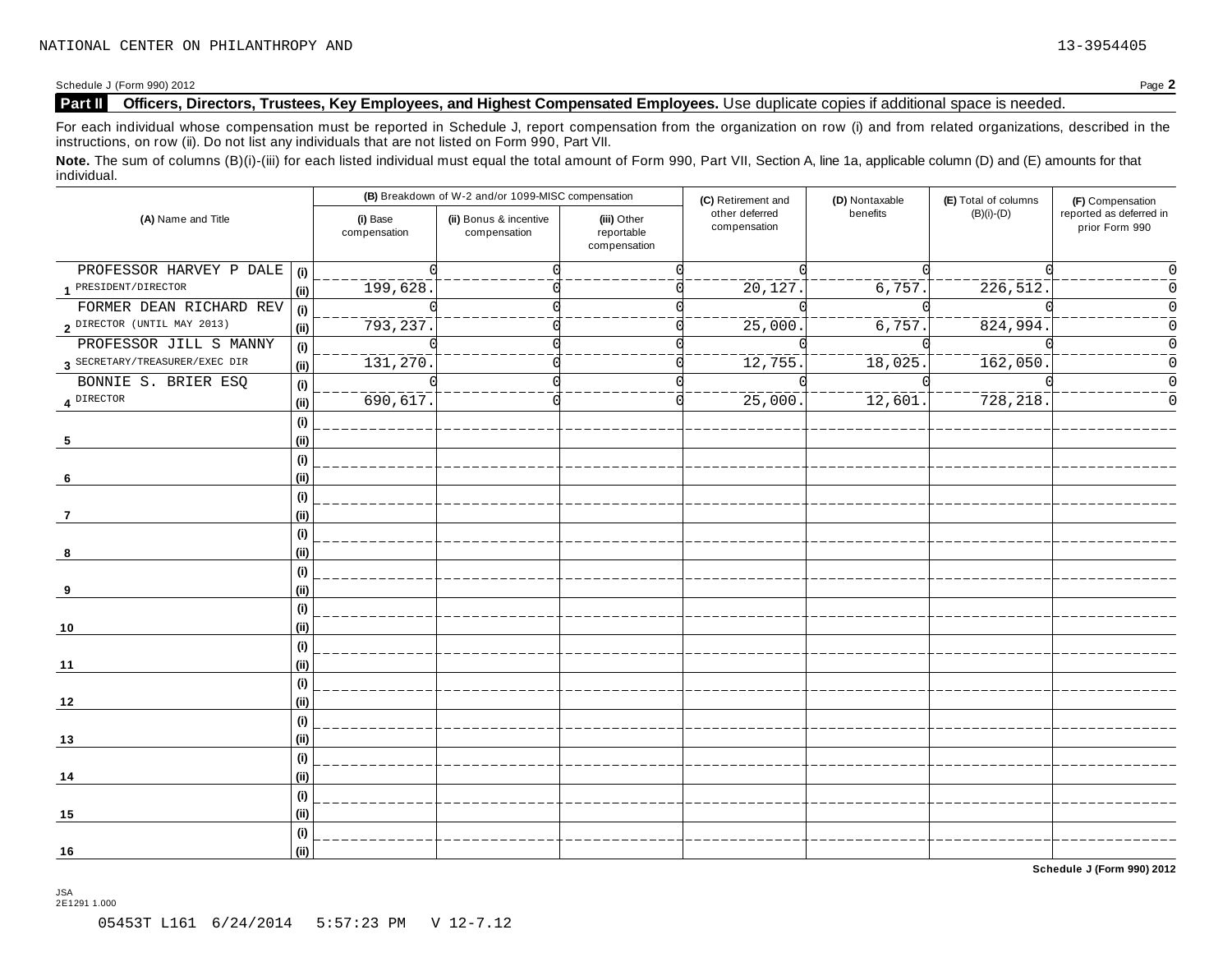Schedule J (Form 990) 2012 Page **2**

#### **Part II Officers, Directors, Trustees, Key Employees, and Highest Compensated Employees.** Use duplicate copies ifadditional space is needed.

For each individual whose compensation must be reported in Schedule J, report compensation from the organization on row (i) and from related organizations, described in the instructions, on row (ii). Do not list any individuals that are not listed on Form 990, Part VII.

Note. The sum of columns (B)(i)-(iii) for each listed individual must equal the total amount of Form 990, Part VII, Section A, line 1a, applicable column (D) and (E) amounts for that individual.

| (A) Name and Title             |                                     | (B) Breakdown of W-2 and/or 1099-MISC compensation |                                        |                                           | (C) Retirement and             | (D) Nontaxable        | (E) Total of columns   | (F) Compensation                          |  |
|--------------------------------|-------------------------------------|----------------------------------------------------|----------------------------------------|-------------------------------------------|--------------------------------|-----------------------|------------------------|-------------------------------------------|--|
|                                |                                     | (i) Base<br>compensation                           | (ii) Bonus & incentive<br>compensation | (iii) Other<br>reportable<br>compensation | other deferred<br>compensation | benefits              | $(B)(i)-(D)$           | reported as deferred in<br>prior Form 990 |  |
| PROFESSOR HARVEY P DALE        | (i)                                 |                                                    |                                        |                                           |                                |                       |                        |                                           |  |
| 1 PRESIDENT/DIRECTOR           | (ii)                                | 199,628.                                           |                                        |                                           | 20,127                         | 6,757.                | $\frac{226}{512}$ .    |                                           |  |
| FORMER DEAN RICHARD REV        | (i)                                 |                                                    |                                        |                                           |                                |                       |                        |                                           |  |
| 2 DIRECTOR (UNTIL MAY 2013)    | (ii)                                | 793,237.                                           |                                        |                                           | ________<br>25,000             | $\frac{1}{6}$ , 757.  | $\frac{1}{824}$ , 994. | Ω                                         |  |
| PROFESSOR JILL S MANNY         | $\qquad \qquad \textbf{(i)}$        |                                                    |                                        |                                           |                                |                       |                        | $\Omega$                                  |  |
| 3 SECRETARY/TREASURER/EXEC DIR | (i)                                 | 131,270.                                           |                                        |                                           | <sup>12,755</sup>              | 18,025.               | $\overline{162,050}$   | O                                         |  |
| BONNIE S. BRIER ESQ            | $\qquad \qquad \textbf{(i)}$        |                                                    |                                        |                                           |                                |                       |                        |                                           |  |
| 4 DIRECTOR                     | (ii)                                | $\frac{2}{690}$ , 617.                             |                                        |                                           | ________<br>25,000.            | $\overline{12,601}$ . | 728, 218.              |                                           |  |
|                                | (i)                                 |                                                    |                                        |                                           |                                |                       |                        |                                           |  |
| 5                              | (i)                                 |                                                    |                                        |                                           |                                |                       |                        |                                           |  |
| -6                             | $\qquad \qquad \textbf{(i)}$<br>(i) |                                                    |                                        |                                           |                                |                       |                        |                                           |  |
|                                | (i)                                 |                                                    |                                        |                                           |                                |                       |                        |                                           |  |
| 7                              | (ii)                                |                                                    |                                        |                                           |                                |                       |                        |                                           |  |
|                                | (i)                                 |                                                    |                                        |                                           |                                |                       |                        |                                           |  |
| 8                              | (ii)                                |                                                    |                                        |                                           |                                |                       |                        |                                           |  |
|                                | (i)                                 |                                                    |                                        |                                           |                                |                       |                        |                                           |  |
| 9                              | (i)                                 |                                                    |                                        |                                           |                                |                       |                        |                                           |  |
|                                | (i)                                 |                                                    |                                        |                                           |                                |                       |                        |                                           |  |
| 10                             | (ii)                                |                                                    |                                        |                                           |                                |                       |                        |                                           |  |
|                                | (i)                                 |                                                    |                                        |                                           |                                |                       |                        |                                           |  |
| 11                             | (ii)                                |                                                    |                                        |                                           |                                |                       |                        |                                           |  |
|                                | (i)                                 |                                                    |                                        |                                           |                                |                       |                        |                                           |  |
| 12                             | (ii)                                |                                                    |                                        |                                           |                                |                       |                        |                                           |  |
|                                | (i)                                 |                                                    |                                        |                                           |                                |                       |                        |                                           |  |
| 13                             | (i)                                 |                                                    |                                        |                                           |                                |                       |                        |                                           |  |
|                                | (i)                                 |                                                    |                                        |                                           |                                |                       |                        |                                           |  |
| 14                             | (ii)                                |                                                    |                                        |                                           |                                |                       |                        |                                           |  |
|                                | (i)                                 |                                                    |                                        |                                           |                                |                       |                        |                                           |  |
| 15                             | (ii)                                |                                                    |                                        |                                           |                                |                       |                        |                                           |  |
|                                | (i)                                 |                                                    |                                        |                                           |                                |                       |                        |                                           |  |
| 16                             | (ii)                                |                                                    |                                        |                                           |                                |                       |                        |                                           |  |

**Schedule J (Form 990) 2012**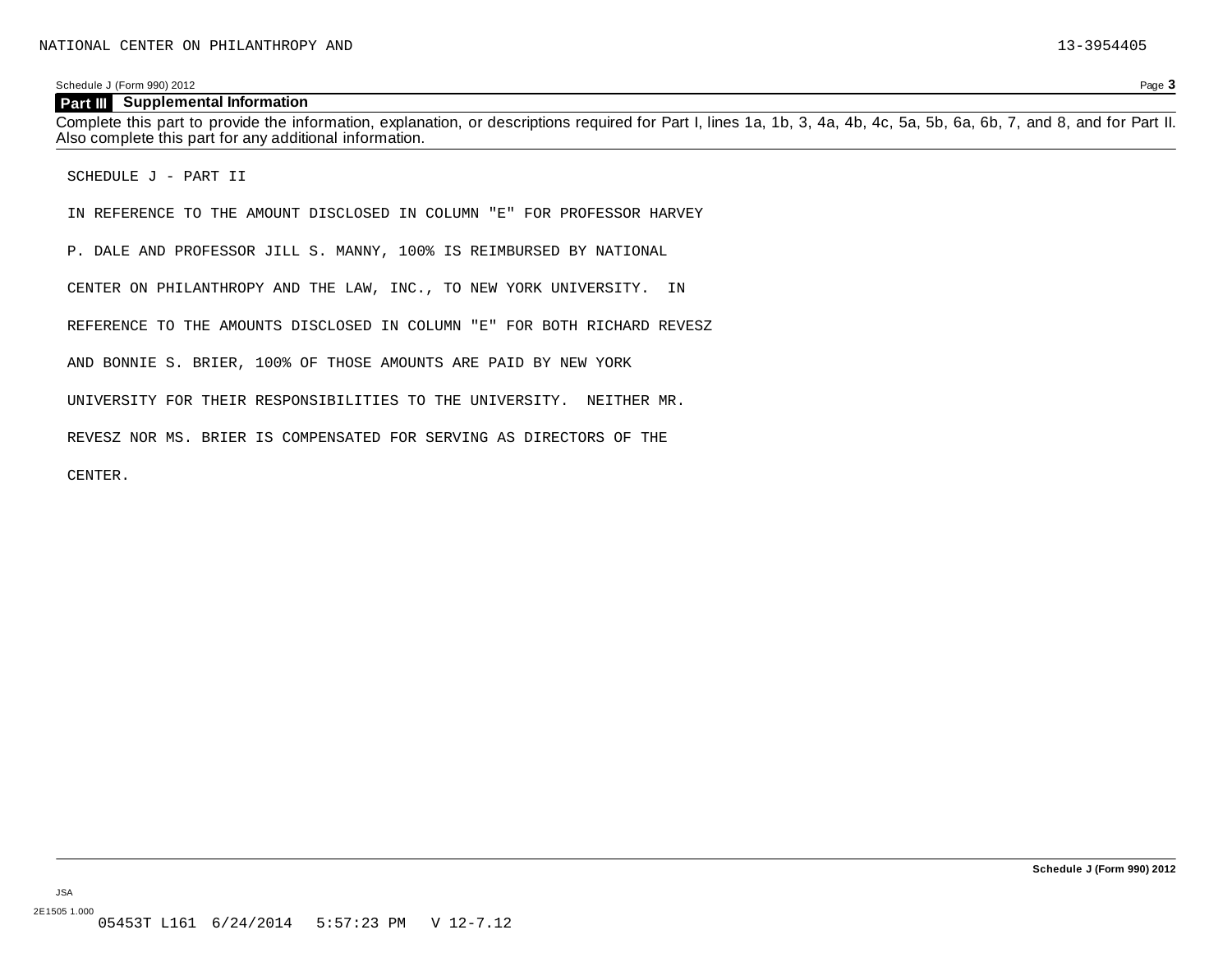Schedule J (Form 990) 2012 Page **3**

#### **Part III Supplemental Information**

Complete this part to provide the information, explanation, or descriptions required for Part I, lines 1a, 1b, 3, 4a, 4b, 4c, 5a, 5b, 6a, 6b, 7, and 8, and for Part II. Also complete this part for any additional information.

SCHEDULE J - PART II

IN REFERENCE TO THE AMOUNT DISCLOSED IN COLUMN "E" FOR PROFESSOR HARVEY

P. DALE AND PROFESSOR JILL S. MANNY, 100% IS REIMBURSED BY NATIONAL

CENTER ON PHILANTHROPY AND THE LAW, INC., TO NEW YORK UNIVERSITY. IN

REFERENCE TO THE AMOUNTS DISCLOSED IN COLUMN "E" FOR BOTH RICHARD REVESZ

AND BONNIE S. BRIER, 100% OF THOSE AMOUNTS ARE PAID BY NEW YORK

UNIVERSITY FOR THEIR RESPONSIBILITIES TO THE UNIVERSITY. NEITHER MR.

REVESZ NOR MS. BRIER IS COMPENSATED FOR SERVING AS DIRECTORS OF THE

CENTER.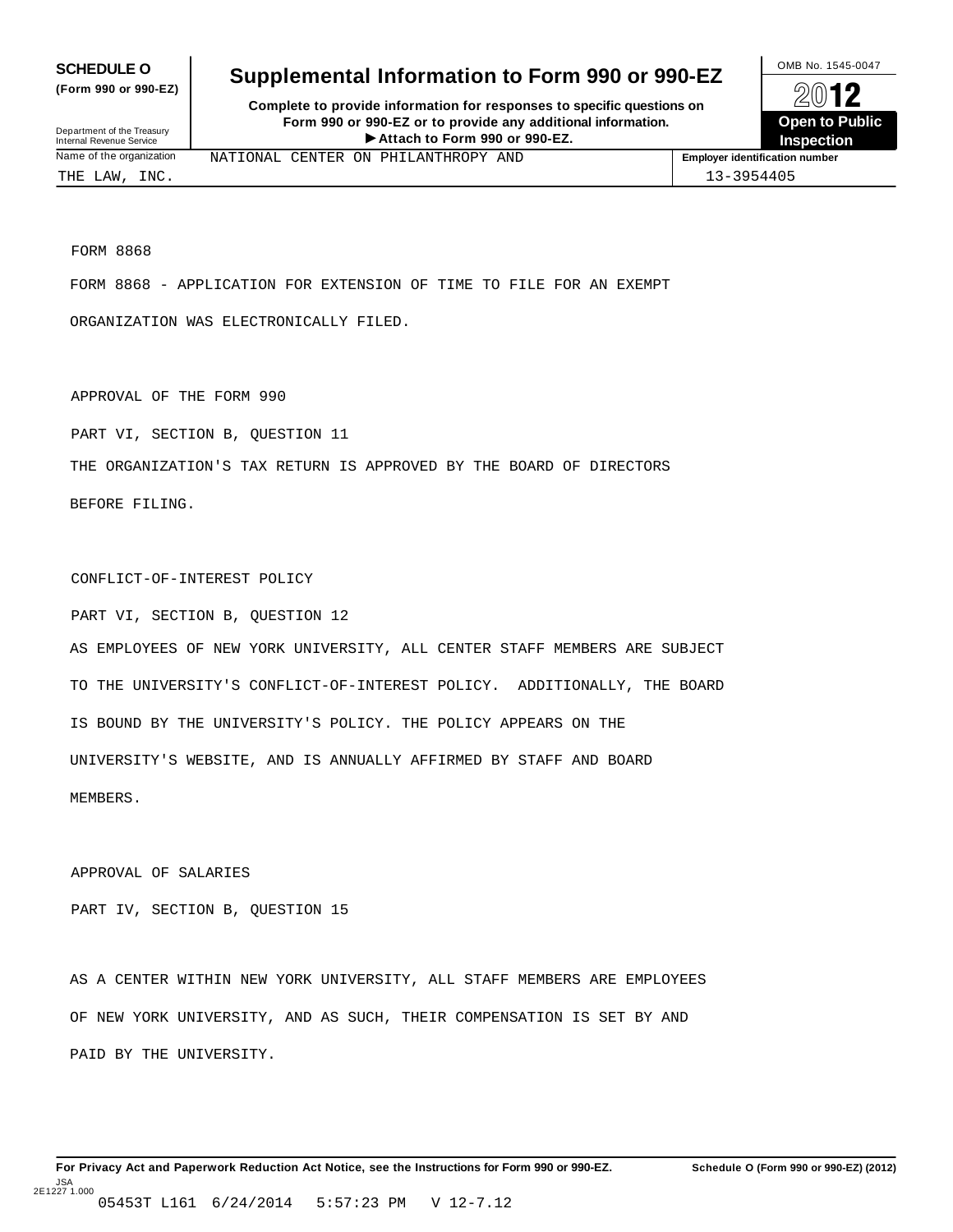**(Form 990 or 990-EZ)**

## **SCHEDULE O** Supplemental Information to Form 990 or 990-EZ  $\frac{100\text{dB No. }1545-0047}{\text{O}}$

**Complete to provide information for responses to specific questions on Form 990 or 990-EZ or to provide any additional information.** Fraction of the **Formation of the COVID COVID-**<br> **Attach** to Form 990 or 990-EZ.<br>
Attach to Form 990 or 990-EZ.<br> **Attach** to Form 990 or 990-EZ. Department of the Treasury<br>Internal Revenue Service **Contract Contract Property Contract Property Contract Property**<br> **Internal Revenue Service Contract Property Contract Property Contract Property Contract Property** 



FORM 8868

FORM 8868 - APPLICATION FOR EXTENSION OF TIME TO FILE FOR AN EXEMPT

ORGANIZATION WAS ELECTRONICALLY FILED.

APPROVAL OF THE FORM 990

PART VI, SECTION B, QUESTION 11

THE ORGANIZATION'S TAX RETURN IS APPROVED BY THE BOARD OF DIRECTORS

BEFORE FILING.

CONFLICT-OF-INTEREST POLICY

PART VI, SECTION B, QUESTION 12 AS EMPLOYEES OF NEW YORK UNIVERSITY, ALL CENTER STAFF MEMBERS ARE SUBJECT TO THE UNIVERSITY'S CONFLICT-OF-INTEREST POLICY. ADDITIONALLY, THE BOARD IS BOUND BY THE UNIVERSITY'S POLICY. THE POLICY APPEARS ON THE UNIVERSITY'S WEBSITE, AND IS ANNUALLY AFFIRMED BY STAFF AND BOARD MEMBERS.

APPROVAL OF SALARIES

PART IV, SECTION B, QUESTION 15

AS A CENTER WITHIN NEW YORK UNIVERSITY, ALL STAFF MEMBERS ARE EMPLOYEES OF NEW YORK UNIVERSITY, AND AS SUCH, THEIR COMPENSATION IS SET BY AND PAID BY THE UNIVERSITY.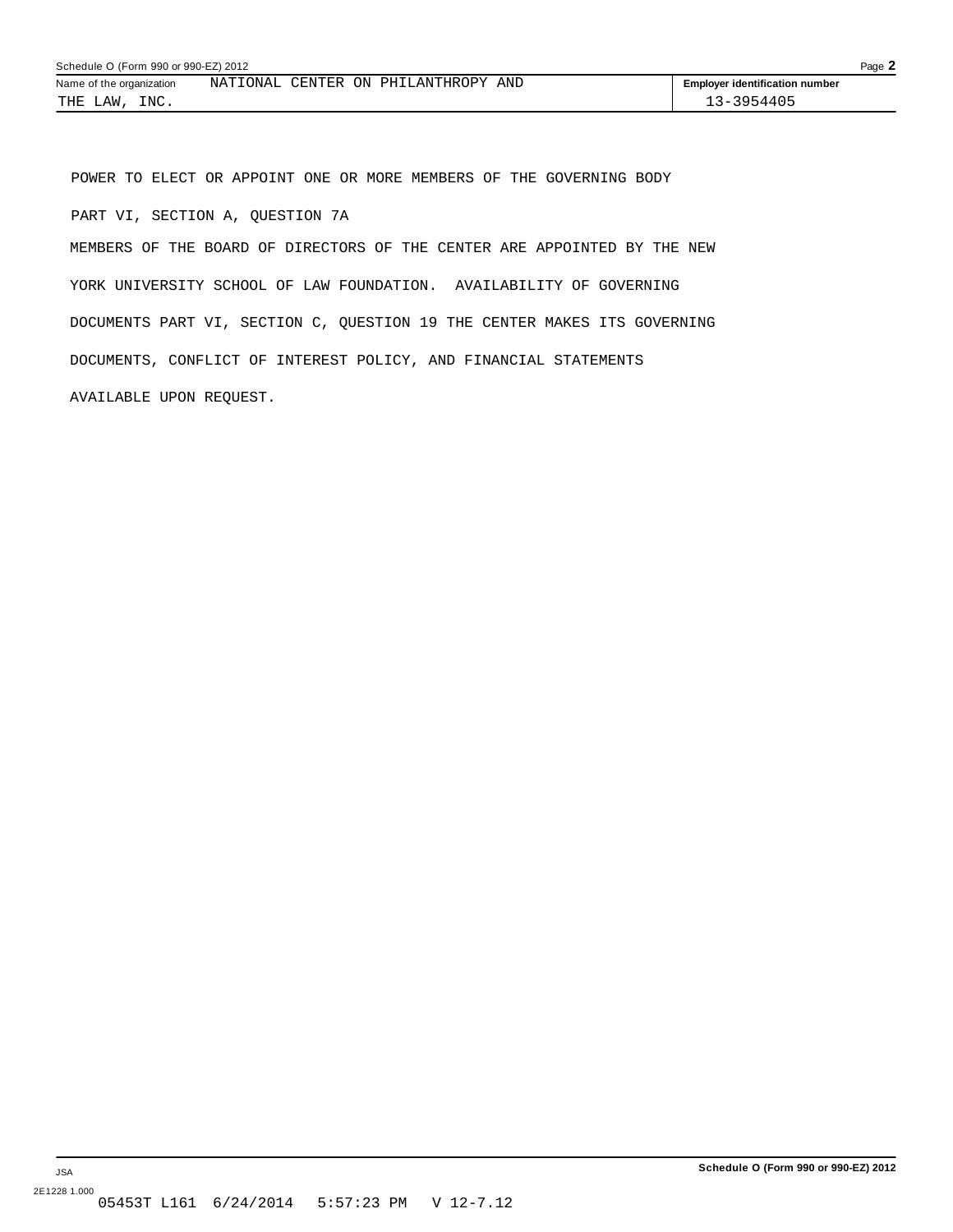POWER TO ELECT OR APPOINT ONE OR MORE MEMBERS OF THE GOVERNING BODY PART VI, SECTION A, QUESTION 7A

MEMBERS OF THE BOARD OF DIRECTORS OF THE CENTER ARE APPOINTED BY THE NEW YORK UNIVERSITY SCHOOL OF LAW FOUNDATION. AVAILABILITY OF GOVERNING DOCUMENTS PART VI, SECTION C, QUESTION 19 THE CENTER MAKES ITS GOVERNING DOCUMENTS, CONFLICT OF INTEREST POLICY, AND FINANCIAL STATEMENTS AVAILABLE UPON REQUEST.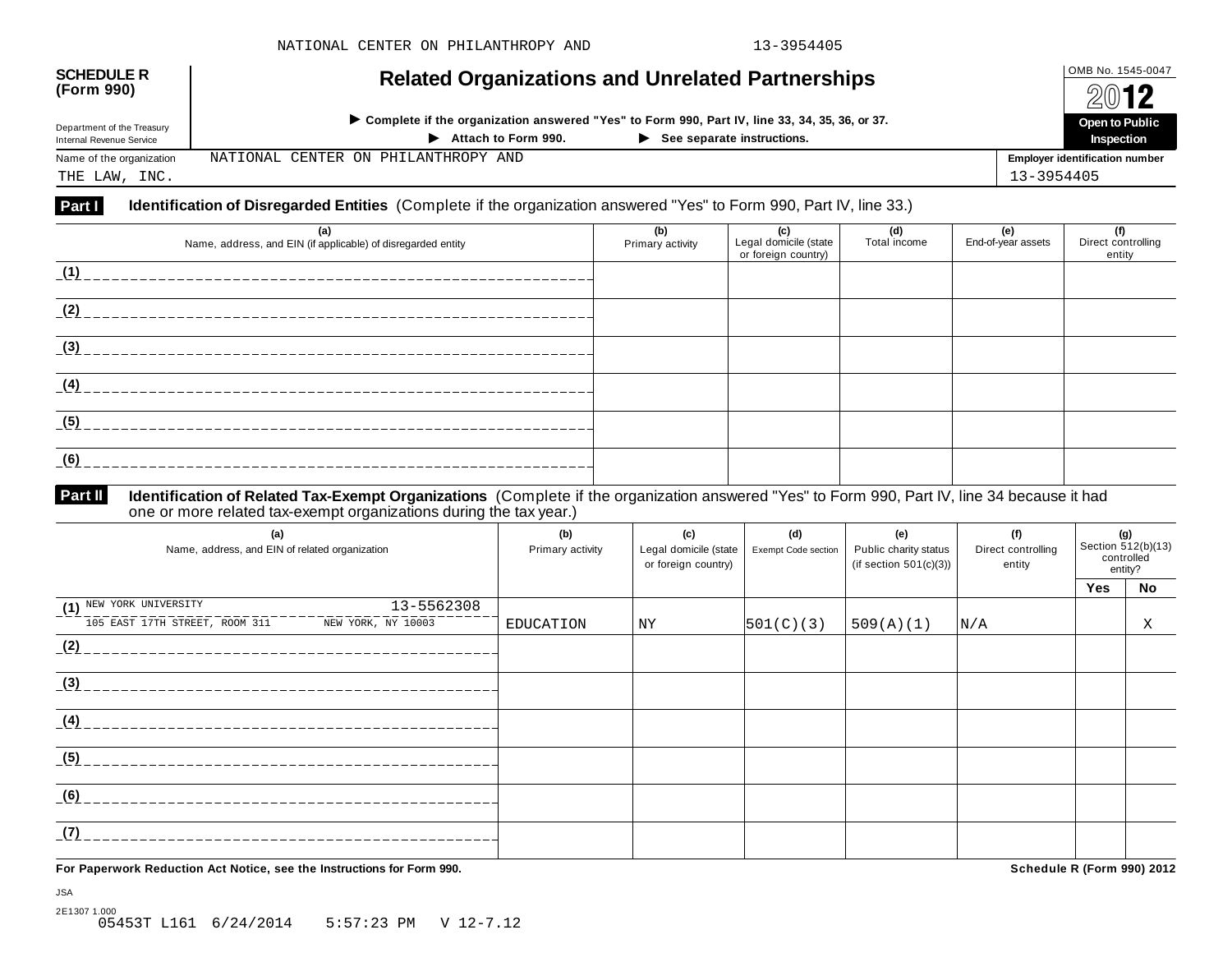| <b>SCHEDULE R</b><br>(Form 990)                        | <b>Related Organizations and Unrelated Partnerships</b>                                                                                        |                         |                              |                     |                           | OMB No. 1545-0047<br>2012             |
|--------------------------------------------------------|------------------------------------------------------------------------------------------------------------------------------------------------|-------------------------|------------------------------|---------------------|---------------------------|---------------------------------------|
| Department of the Treasury<br>Internal Revenue Service | ► Complete if the organization answered "Yes" to Form 990, Part IV, line 33, 34, 35, 36, or 37.<br>Attach to Form 990.<br>$\ddot{\phantom{1}}$ |                         | Open to Public<br>Inspection |                     |                           |                                       |
| Name of the organization<br>THE LAW, INC.              | PHILANTHROPY AND<br>NATIONAL<br>CENTER ON                                                                                                      |                         |                              |                     | 13-3954405                | <b>Employer identification number</b> |
| Part I                                                 | <b>Identification of Disregarded Entities</b> (Complete if the organization answered "Yes" to Form 990, Part IV, line 33.)                     |                         |                              |                     |                           |                                       |
|                                                        | (a)<br>Name, address, and EIN (if applicable) of disregarded entity                                                                            | (b)<br>Primary activity | (c)<br>Legal domicile (state | (d)<br>Total income | (e)<br>End-of-year assets | (f)<br>Direct controlling             |
| (1)                                                    |                                                                                                                                                |                         | or foreign country)          |                     |                           | entity                                |
| (2)                                                    |                                                                                                                                                |                         |                              |                     |                           |                                       |

#### **Identification of Related Tax-Exempt Organizations** (Complete if the organization answered "Yes" to Form 990, Part IV, line 34 because it had one or more related tax-exempt organizations during the tax year.) **Part II**

| (a)<br>Name, address, and EIN of related organization | (b)<br>Primary activity | (c)<br>Legal domicile (state  <br>or foreign country) | (d)<br>Exempt Code section | (e)<br>Public charity status<br>(if section $501(c)(3)$ ) | (f)<br>Direct controlling<br>entity | (g)<br>Section $512(b)(13)$<br>controlled | entity? |
|-------------------------------------------------------|-------------------------|-------------------------------------------------------|----------------------------|-----------------------------------------------------------|-------------------------------------|-------------------------------------------|---------|
|                                                       |                         |                                                       |                            |                                                           |                                     | <b>Yes</b>                                | No      |
| 13-5562308<br>(1) NEW YORK UNIVERSITY                 |                         |                                                       |                            |                                                           |                                     |                                           |         |
| 105 EAST 17TH STREET, ROOM 311<br>NEW YORK, NY 10003  | <b>EDUCATION</b>        | NY                                                    | 501(C)(3)                  | 509(A)(1)                                                 | N/A                                 |                                           | X       |
| (2)                                                   |                         |                                                       |                            |                                                           |                                     |                                           |         |
| (3)                                                   |                         |                                                       |                            |                                                           |                                     |                                           |         |
| (4)                                                   |                         |                                                       |                            |                                                           |                                     |                                           |         |
| (5)                                                   |                         |                                                       |                            |                                                           |                                     |                                           |         |
| (6)                                                   |                         |                                                       |                            |                                                           |                                     |                                           |         |
| (7)                                                   |                         |                                                       |                            |                                                           |                                     |                                           |         |

**For Paperwork Reduction Act Notice, see the Instructions for Form 990. Schedule R (Form 990) 2012**

**(3)**

------------------------------------

**(4)**

**(5)**

**(6)**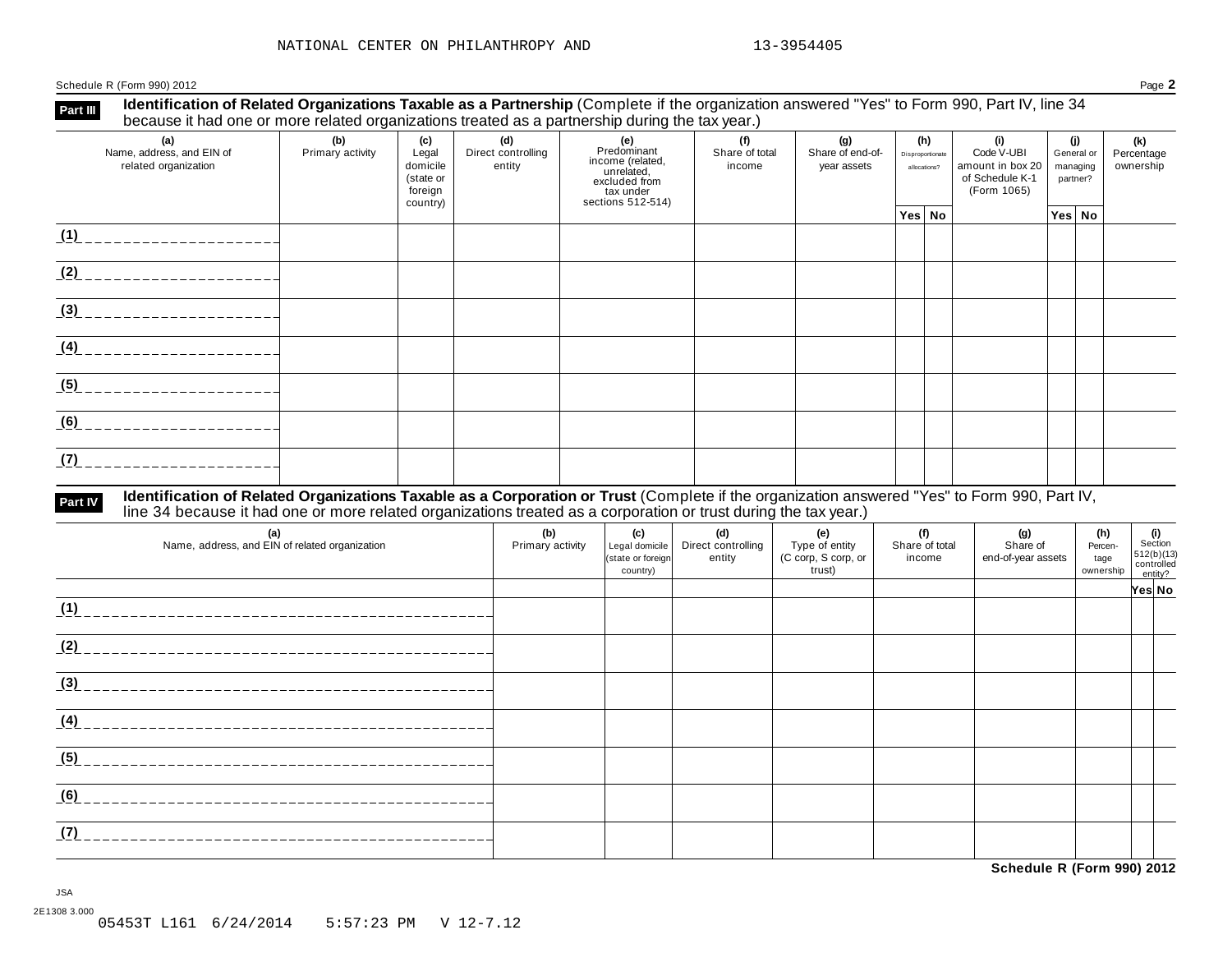Schedule R (Form 990) 2012 Page **2**

**Identification of Related Organizations Taxable as a Partnership** (Complete if the organization answered "Yes" to Form 990, Part IV, line 34 **because it had one or more related organizations i axable as a Partnership** (Complete if the organizations because it had one or more related organizations treated as a partnership during the tax year.)

| (a)<br>Name, address, and EIN of<br>related organization | (b)<br>Primary activity | (c)<br>Legal<br>domicile<br>(state or<br>foreign<br>country) | (d)<br>Direct controlling<br>entity | (e)<br>Predominant<br>income (related,<br>unrelated,<br>excluded from<br>tax under<br>sections 512-514) | (f)<br>Share of total<br>income | (g)<br>Share of end-of-<br>year assets | (h)<br>Disproportionate<br>allocations? | (i)<br>Code V-UBI<br>amount in box 20<br>of Schedule K-1<br>(Form 1065) | (i)<br>General or<br>managing<br>partner? | (k)<br>Percentage<br>ownership |
|----------------------------------------------------------|-------------------------|--------------------------------------------------------------|-------------------------------------|---------------------------------------------------------------------------------------------------------|---------------------------------|----------------------------------------|-----------------------------------------|-------------------------------------------------------------------------|-------------------------------------------|--------------------------------|
|                                                          |                         |                                                              |                                     |                                                                                                         |                                 |                                        | Yes No                                  |                                                                         | Yes No                                    |                                |
| (1)                                                      |                         |                                                              |                                     |                                                                                                         |                                 |                                        |                                         |                                                                         |                                           |                                |
| (2)                                                      |                         |                                                              |                                     |                                                                                                         |                                 |                                        |                                         |                                                                         |                                           |                                |
| (3)                                                      |                         |                                                              |                                     |                                                                                                         |                                 |                                        |                                         |                                                                         |                                           |                                |
| (4)                                                      |                         |                                                              |                                     |                                                                                                         |                                 |                                        |                                         |                                                                         |                                           |                                |
| (5)                                                      |                         |                                                              |                                     |                                                                                                         |                                 |                                        |                                         |                                                                         |                                           |                                |
| (6)                                                      |                         |                                                              |                                     |                                                                                                         |                                 |                                        |                                         |                                                                         |                                           |                                |
| (7)                                                      |                         |                                                              |                                     |                                                                                                         |                                 |                                        |                                         |                                                                         |                                           |                                |

# Part IV Identification of Related Organizations Taxable as a Corporation or Trust (Complete if the organization answered "Yes" to Form 990, Part IV,<br>line 34 because it had one or more related organizations treated as a cor

| (a)<br>Name, address, and EIN of related organization | (b)<br>Primary activity | (c)<br>Legal domicile<br>(state or foreign<br>country) | (d)<br>Direct controlling<br>entity | (e)<br>Type of entity<br>(C corp, S corp, or<br>trust) | (f)<br>Share of total<br>income | (g)<br>Share of<br>end-of-year assets | (h)<br>Percen-<br>tage<br>ownership | (i)<br>Section<br>512(b)(13)<br>controlled<br>entity? |  |
|-------------------------------------------------------|-------------------------|--------------------------------------------------------|-------------------------------------|--------------------------------------------------------|---------------------------------|---------------------------------------|-------------------------------------|-------------------------------------------------------|--|
|                                                       |                         |                                                        |                                     |                                                        |                                 |                                       |                                     | Yes No                                                |  |
| (1)<br>_________________________                      |                         |                                                        |                                     |                                                        |                                 |                                       |                                     |                                                       |  |
| (2)                                                   |                         |                                                        |                                     |                                                        |                                 |                                       |                                     |                                                       |  |
| (3)                                                   |                         |                                                        |                                     |                                                        |                                 |                                       |                                     |                                                       |  |
| (4)                                                   |                         |                                                        |                                     |                                                        |                                 |                                       |                                     |                                                       |  |
| (5)                                                   |                         |                                                        |                                     |                                                        |                                 |                                       |                                     |                                                       |  |
| (6)                                                   |                         |                                                        |                                     |                                                        |                                 |                                       |                                     |                                                       |  |
| (7)<br>________________________                       |                         |                                                        |                                     |                                                        |                                 |                                       |                                     |                                                       |  |

**Schedule R (Form 990) 2012**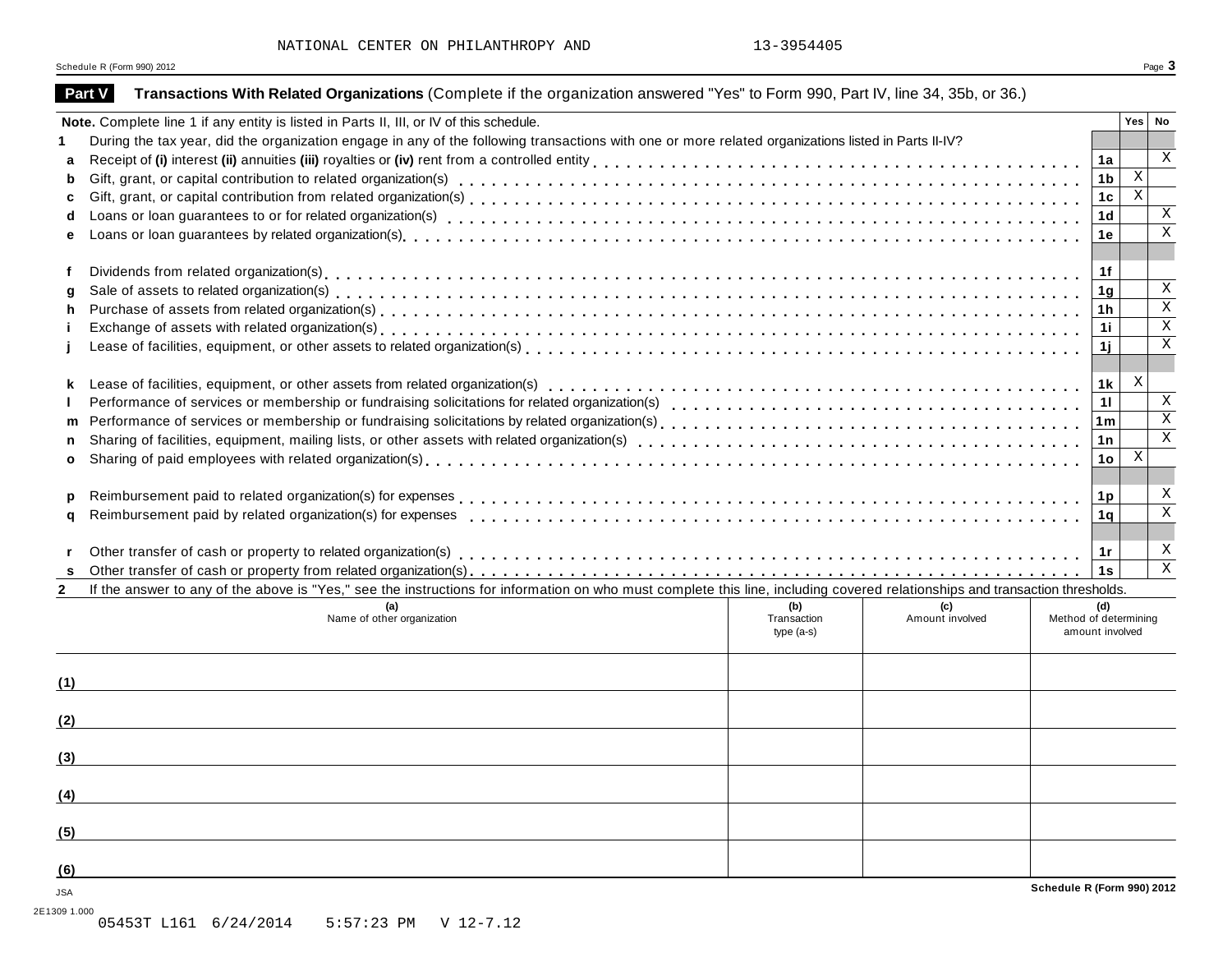Schedule <sup>R</sup> (Form 990) <sup>2012</sup> Page **3**

|              | Note. Complete line 1 if any entity is listed in Parts II, III, or IV of this schedule.                                                                                      |              |                 |                       |                | Yes   No     |                                         |
|--------------|------------------------------------------------------------------------------------------------------------------------------------------------------------------------------|--------------|-----------------|-----------------------|----------------|--------------|-----------------------------------------|
|              | During the tax year, did the organization engage in any of the following transactions with one or more related organizations listed in Parts II-IV?                          |              |                 |                       |                |              |                                         |
| a            |                                                                                                                                                                              |              |                 |                       | 1a             |              |                                         |
| b            |                                                                                                                                                                              |              |                 |                       | 1b             | $\mathbf X$  |                                         |
| c            |                                                                                                                                                                              |              |                 |                       | 1 <sub>c</sub> | $\mathbf x$  |                                         |
| d            |                                                                                                                                                                              |              |                 |                       | 1 <sub>d</sub> |              | X                                       |
|              |                                                                                                                                                                              |              |                 |                       | 1e             |              | $\overline{\mathbf{x}}$                 |
|              |                                                                                                                                                                              |              |                 |                       |                |              |                                         |
|              |                                                                                                                                                                              |              |                 |                       | 1f             |              |                                         |
| a            |                                                                                                                                                                              |              |                 |                       | 1 <sub>g</sub> |              | $\mathbf{X}$<br>$\overline{\mathbf{x}}$ |
| h            |                                                                                                                                                                              |              |                 |                       | 1h             |              |                                         |
|              |                                                                                                                                                                              |              |                 |                       | 1i             |              | $\overline{\mathbf{x}}$                 |
|              |                                                                                                                                                                              |              |                 |                       | 1j             |              |                                         |
| k            |                                                                                                                                                                              |              |                 |                       | 1 k            | $\mathbf{X}$ |                                         |
|              |                                                                                                                                                                              |              |                 |                       | 11             |              |                                         |
| m            |                                                                                                                                                                              |              |                 |                       | 1 <sub>m</sub> |              | $\overline{\mathbf{x}}$                 |
| n            |                                                                                                                                                                              |              |                 |                       | 1n             |              |                                         |
| o            |                                                                                                                                                                              |              |                 |                       | 1o             | $\mathbf{X}$ |                                         |
|              |                                                                                                                                                                              |              |                 |                       |                |              |                                         |
| D            |                                                                                                                                                                              |              |                 |                       | 1p             |              |                                         |
| a            |                                                                                                                                                                              |              |                 |                       | 1q             |              |                                         |
|              |                                                                                                                                                                              |              |                 |                       |                |              |                                         |
|              |                                                                                                                                                                              |              |                 |                       | −1r<br>1s      |              | X                                       |
|              | If the answer to any of the above is "Yes," see the instructions for information on who must complete this line, including covered relationships and transaction thresholds. |              |                 |                       |                |              |                                         |
| $\mathbf{2}$ |                                                                                                                                                                              | (b)          | (c)             |                       | (d)            |              |                                         |
|              | Name of other organization                                                                                                                                                   | Transaction  | Amount involved | Method of determining |                |              |                                         |
|              |                                                                                                                                                                              | type $(a-s)$ |                 | amount involved       |                |              |                                         |
|              |                                                                                                                                                                              |              |                 |                       |                |              |                                         |
| (1)          |                                                                                                                                                                              |              |                 |                       |                |              |                                         |
| (2)          |                                                                                                                                                                              |              |                 |                       |                |              |                                         |
| (3)          |                                                                                                                                                                              |              |                 |                       |                |              |                                         |
|              |                                                                                                                                                                              |              |                 |                       |                |              |                                         |
| (4)          |                                                                                                                                                                              |              |                 |                       |                |              |                                         |
| (5)          |                                                                                                                                                                              |              |                 |                       |                |              |                                         |
|              |                                                                                                                                                                              |              |                 |                       |                |              |                                         |
| (6)          |                                                                                                                                                                              |              |                 |                       |                |              |                                         |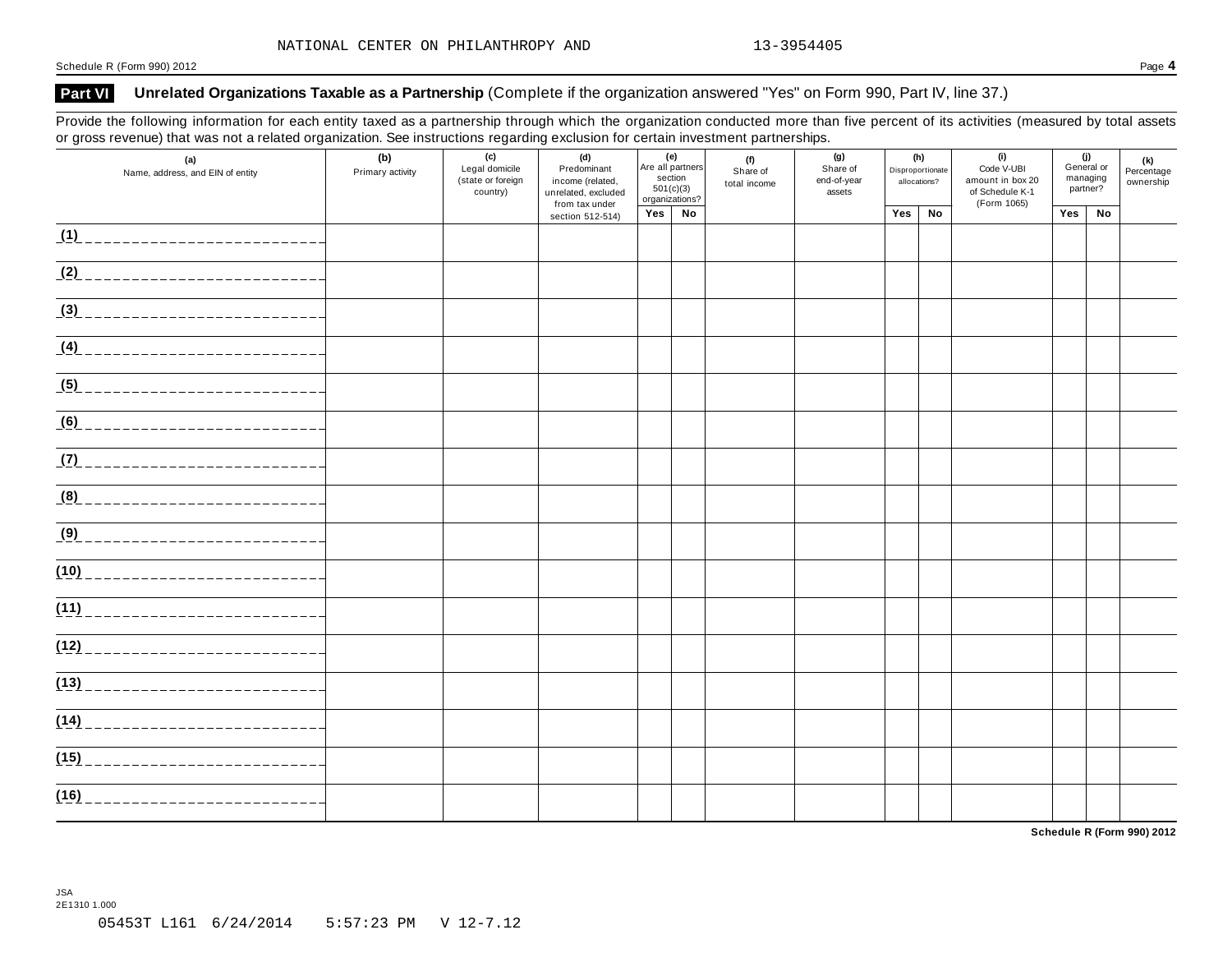#### **Part VI Unrelated Organizations Taxable as a Partnership** (Complete if the organization answered "Yes" on Form 990, Part IV, line 37.)

Provide the following information for each entity taxed as a partnership through which the organization conducted more than five percent of its activities (measured by total assets or gross revenue) that was not a related organization. See instructions regarding exclusion for certain investment partnerships.

| (a)<br>Name, address, and EIN of entity | (b)<br>Primary activity | (c)<br>Legal domicile<br>(state or foreign<br>country) | (d)<br>Predominant<br>income (related,<br>unrelated, excluded<br>from tax under | (e)<br>Are all partners<br>section<br>501(c)(3)<br>organizations? |    | (f)<br>Share of<br>total income | (g)<br>Share of<br>end-of-year<br>assets | (h)<br>Disproportionate<br>allocations? |    | (i)<br>Code V-UBI<br>amount in box 20<br>of Schedule K-1<br>(Form 1065) | (j)<br>General or<br>managing<br>partner? |    | (k)<br>Percentage<br>ownership |
|-----------------------------------------|-------------------------|--------------------------------------------------------|---------------------------------------------------------------------------------|-------------------------------------------------------------------|----|---------------------------------|------------------------------------------|-----------------------------------------|----|-------------------------------------------------------------------------|-------------------------------------------|----|--------------------------------|
|                                         |                         |                                                        | section 512-514)                                                                | Yes                                                               | No |                                 |                                          | Yes                                     | No |                                                                         | Yes                                       | No |                                |
| $\frac{1}{1}$                           |                         |                                                        |                                                                                 |                                                                   |    |                                 |                                          |                                         |    |                                                                         |                                           |    |                                |
| (2)                                     |                         |                                                        |                                                                                 |                                                                   |    |                                 |                                          |                                         |    |                                                                         |                                           |    |                                |
| (3)                                     |                         |                                                        |                                                                                 |                                                                   |    |                                 |                                          |                                         |    |                                                                         |                                           |    |                                |
| <u>(4) __________________________</u>   |                         |                                                        |                                                                                 |                                                                   |    |                                 |                                          |                                         |    |                                                                         |                                           |    |                                |
| (5) _____________________________       |                         |                                                        |                                                                                 |                                                                   |    |                                 |                                          |                                         |    |                                                                         |                                           |    |                                |
| (6)<br>____________________________     |                         |                                                        |                                                                                 |                                                                   |    |                                 |                                          |                                         |    |                                                                         |                                           |    |                                |
|                                         |                         |                                                        |                                                                                 |                                                                   |    |                                 |                                          |                                         |    |                                                                         |                                           |    |                                |
|                                         |                         |                                                        |                                                                                 |                                                                   |    |                                 |                                          |                                         |    |                                                                         |                                           |    |                                |
| (9) _____________________________       |                         |                                                        |                                                                                 |                                                                   |    |                                 |                                          |                                         |    |                                                                         |                                           |    |                                |
|                                         |                         |                                                        |                                                                                 |                                                                   |    |                                 |                                          |                                         |    |                                                                         |                                           |    |                                |
| (11)                                    |                         |                                                        |                                                                                 |                                                                   |    |                                 |                                          |                                         |    |                                                                         |                                           |    |                                |
| (12)                                    |                         |                                                        |                                                                                 |                                                                   |    |                                 |                                          |                                         |    |                                                                         |                                           |    |                                |
| (13)                                    |                         |                                                        |                                                                                 |                                                                   |    |                                 |                                          |                                         |    |                                                                         |                                           |    |                                |
| (14)<br>------------------------        |                         |                                                        |                                                                                 |                                                                   |    |                                 |                                          |                                         |    |                                                                         |                                           |    |                                |
| (15)<br>--------------------------      |                         |                                                        |                                                                                 |                                                                   |    |                                 |                                          |                                         |    |                                                                         |                                           |    |                                |
| (16)<br>___________________             |                         |                                                        |                                                                                 |                                                                   |    |                                 |                                          |                                         |    |                                                                         |                                           |    |                                |

**Schedule R (Form 990) 2012**